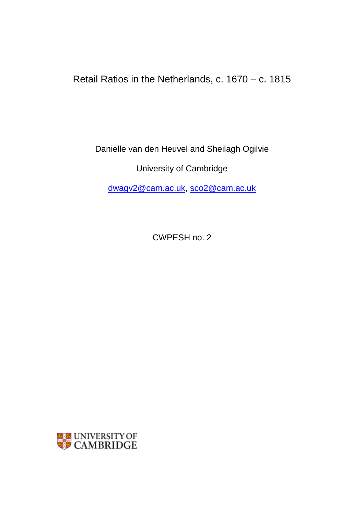Retail Ratios in the Netherlands, c. 1670 – c. 1815

Danielle van den Heuvel and Sheilagh Ogilvie

University of Cambridge

[dwagv2@cam.ac.uk,](mailto:dwagv2@cam.ac.uk) [sco2@cam.ac.uk](mailto:sco2@cam.ac.uk)

CWPESH no. 2

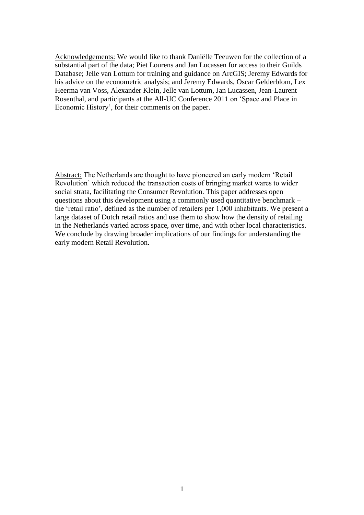Acknowledgements: We would like to thank Daniëlle Teeuwen for the collection of a substantial part of the data; Piet Lourens and Jan Lucassen for access to their Guilds Database; Jelle van Lottum for training and guidance on ArcGIS; Jeremy Edwards for his advice on the econometric analysis; and Jeremy Edwards, Oscar Gelderblom, Lex Heerma van Voss, Alexander Klein, Jelle van Lottum, Jan Lucassen, Jean-Laurent Rosenthal, and participants at the All-UC Conference 2011 on 'Space and Place in Economic History', for their comments on the paper.

Abstract: The Netherlands are thought to have pioneered an early modern 'Retail Revolution' which reduced the transaction costs of bringing market wares to wider social strata, facilitating the Consumer Revolution. This paper addresses open questions about this development using a commonly used quantitative benchmark – the 'retail ratio', defined as the number of retailers per 1,000 inhabitants. We present a large dataset of Dutch retail ratios and use them to show how the density of retailing in the Netherlands varied across space, over time, and with other local characteristics. We conclude by drawing broader implications of our findings for understanding the early modern Retail Revolution.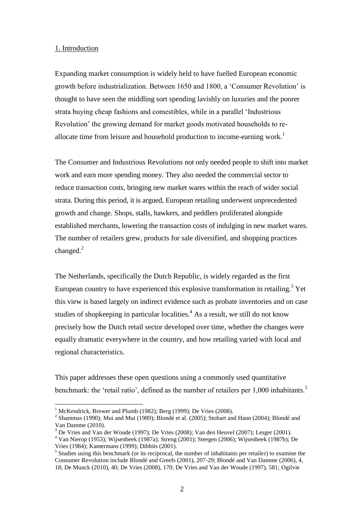## 1. Introduction

Expanding market consumption is widely held to have fuelled European economic growth before industrialization. Between 1650 and 1800, a 'Consumer Revolution' is thought to have seen the middling sort spending lavishly on luxuries and the poorer strata buying cheap fashions and comestibles, while in a parallel 'Industrious Revolution' the growing demand for market goods motivated households to reallocate time from leisure and household production to income-earning work.<sup>1</sup>

The Consumer and Industrious Revolutions not only needed people to shift into market work and earn more spending money. They also needed the commercial sector to reduce transaction costs, bringing new market wares within the reach of wider social strata. During this period, it is argued, European retailing underwent unprecedented growth and change. Shops, stalls, hawkers, and peddlers proliferated alongside established merchants, lowering the transaction costs of indulging in new market wares. The number of retailers grew, products for sale diversified, and shopping practices changed. $^{2}$ 

The Netherlands, specifically the Dutch Republic, is widely regarded as the first European country to have experienced this explosive transformation in retailing.<sup>3</sup> Yet this view is based largely on indirect evidence such as probate inventories and on case studies of shopkeeping in particular localities.<sup>4</sup> As a result, we still do not know precisely how the Dutch retail sector developed over time, whether the changes were equally dramatic everywhere in the country, and how retailing varied with local and regional characteristics.

This paper addresses these open questions using a commonly used quantitative benchmark: the 'retail ratio', defined as the number of retailers per 1,000 inhabitants.<sup>5</sup>

 $1$  McKendrick, Brewer and Plumb (1982); Berg (1999); De Vries (2008).

<sup>&</sup>lt;sup>2</sup> Shammas (1990); Mui and Mui (1989); Blondé et al. (2005); Stobart and Hann (2004); Blondé and Van Damme (2010).

<sup>3</sup> De Vries and Van der Woude (1997); De Vries (2008); Van den Heuvel (2007); Lesger (2001).

<sup>4</sup> Van Nierop (1953); Wijsenbeek (1987a); Streng (2001); Steegen (2006); Wijsenbeek (1987b); De Vries (1984); Kamermans (1999); Dibbits (2001).

<sup>&</sup>lt;sup>5</sup> Studies using this benchmark (or its reciprocal, the number of inhabitants per retailer) to examine the Consumer Revolution include Blondé and Greefs (2001), 207-29; Blondé and Van Damme (2006), 4, 18; De Munck (2010), 40; De Vries (2008), 170; De Vries and Van der Woude (1997), 581; Ogilvie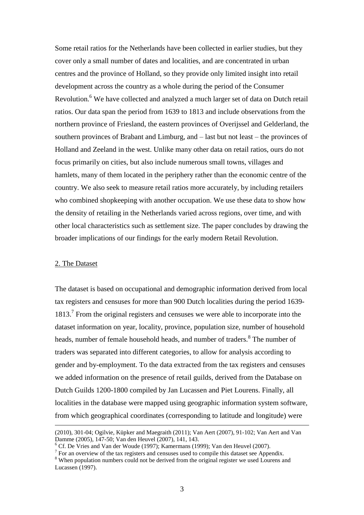Some retail ratios for the Netherlands have been collected in earlier studies, but they cover only a small number of dates and localities, and are concentrated in urban centres and the province of Holland, so they provide only limited insight into retail development across the country as a whole during the period of the Consumer Revolution.<sup>6</sup> We have collected and analyzed a much larger set of data on Dutch retail ratios. Our data span the period from 1639 to 1813 and include observations from the northern province of Friesland, the eastern provinces of Overijssel and Gelderland, the southern provinces of Brabant and Limburg, and – last but not least – the provinces of Holland and Zeeland in the west. Unlike many other data on retail ratios, ours do not focus primarily on cities, but also include numerous small towns, villages and hamlets, many of them located in the periphery rather than the economic centre of the country. We also seek to measure retail ratios more accurately, by including retailers who combined shopkeeping with another occupation. We use these data to show how the density of retailing in the Netherlands varied across regions, over time, and with other local characteristics such as settlement size. The paper concludes by drawing the broader implications of our findings for the early modern Retail Revolution.

# 2. The Dataset

 $\overline{a}$ 

The dataset is based on occupational and demographic information derived from local tax registers and censuses for more than 900 Dutch localities during the period 1639- 1813.<sup>7</sup> From the original registers and censuses we were able to incorporate into the dataset information on year, locality, province, population size, number of household heads, number of female household heads, and number of traders.<sup>8</sup> The number of traders was separated into different categories, to allow for analysis according to gender and by-employment. To the data extracted from the tax registers and censuses we added information on the presence of retail guilds, derived from the Database on Dutch Guilds 1200-1800 compiled by Jan Lucassen and Piet Lourens. Finally, all localities in the database were mapped using geographic information system software, from which geographical coordinates (corresponding to latitude and longitude) were

<sup>(2010), 301-04;</sup> Ogilvie, Küpker and Maegraith (2011); Van Aert (2007), 91-102; Van Aert and Van Damme (2005), 147-50; Van den Heuvel (2007), 141, 143.

 $6$  Cf. De Vries and Van der Woude (1997); Kamermans (1999); Van den Heuvel (2007).

 $<sup>7</sup>$  For an overview of the tax registers and censuses used to compile this dataset see Appendix.</sup>

<sup>&</sup>lt;sup>8</sup> When population numbers could not be derived from the original register we used Lourens and Lucassen (1997).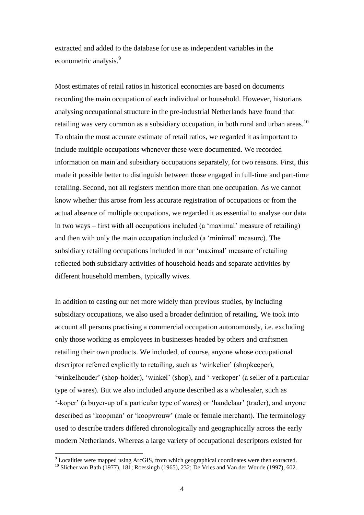extracted and added to the database for use as independent variables in the econometric analysis.<sup>9</sup>

Most estimates of retail ratios in historical economies are based on documents recording the main occupation of each individual or household. However, historians analysing occupational structure in the pre-industrial Netherlands have found that retailing was very common as a subsidiary occupation, in both rural and urban areas.<sup>10</sup> To obtain the most accurate estimate of retail ratios, we regarded it as important to include multiple occupations whenever these were documented. We recorded information on main and subsidiary occupations separately, for two reasons. First, this made it possible better to distinguish between those engaged in full-time and part-time retailing. Second, not all registers mention more than one occupation. As we cannot know whether this arose from less accurate registration of occupations or from the actual absence of multiple occupations, we regarded it as essential to analyse our data in two ways – first with all occupations included (a 'maximal' measure of retailing) and then with only the main occupation included (a 'minimal' measure). The subsidiary retailing occupations included in our 'maximal' measure of retailing reflected both subsidiary activities of household heads and separate activities by different household members, typically wives.

In addition to casting our net more widely than previous studies, by including subsidiary occupations, we also used a broader definition of retailing. We took into account all persons practising a commercial occupation autonomously, i.e. excluding only those working as employees in businesses headed by others and craftsmen retailing their own products. We included, of course, anyone whose occupational descriptor referred explicitly to retailing, such as 'winkelier' (shopkeeper), 'winkelhouder' (shop-holder), 'winkel' (shop), and '-verkoper' (a seller of a particular type of wares). But we also included anyone described as a wholesaler, such as '-koper' (a buyer-up of a particular type of wares) or 'handelaar' (trader), and anyone described as 'koopman' or 'koopvrouw' (male or female merchant). The terminology used to describe traders differed chronologically and geographically across the early modern Netherlands. Whereas a large variety of occupational descriptors existed for

 $9$  Localities were mapped using ArcGIS, from which geographical coordinates were then extracted.

<sup>&</sup>lt;sup>10</sup> Slicher van Bath (1977), 181; Roessingh (1965), 232; De Vries and Van der Woude (1997), 602.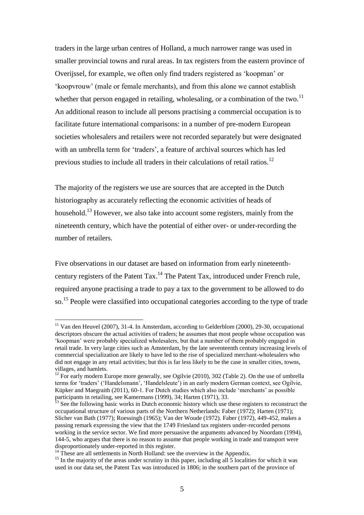traders in the large urban centres of Holland, a much narrower range was used in smaller provincial towns and rural areas. In tax registers from the eastern province of Overijssel, for example, we often only find traders registered as 'koopman' or 'koopvrouw' (male or female merchants), and from this alone we cannot establish whether that person engaged in retailing, wholesaling, or a combination of the two.<sup>11</sup> An additional reason to include all persons practising a commercial occupation is to facilitate future international comparisons: in a number of pre-modern European societies wholesalers and retailers were not recorded separately but were designated with an umbrella term for 'traders', a feature of archival sources which has led previous studies to include all traders in their calculations of retail ratios.<sup>12</sup>

The majority of the registers we use are sources that are accepted in the Dutch historiography as accurately reflecting the economic activities of heads of household.<sup>13</sup> However, we also take into account some registers, mainly from the nineteenth century, which have the potential of either over- or under-recording the number of retailers.

Five observations in our dataset are based on information from early nineteenthcentury registers of the Patent Tax.<sup>14</sup> The Patent Tax, introduced under French rule, required anyone practising a trade to pay a tax to the government to be allowed to do so.<sup>15</sup> People were classified into occupational categories according to the type of trade

 $11$  Van den Heuvel (2007), 31-4. In Amsterdam, according to Gelderblom (2000), 29-30, occupational descriptors obscure the actual activities of traders; he assumes that most people whose occupation was 'koopman' were probably specialized wholesalers, but that a number of them probably engaged in retail trade. In very large cities such as Amsterdam, by the late seventeenth century increasing levels of commercial specialization are likely to have led to the rise of specialized merchant-wholesalers who did not engage in any retail activities; but this is far less likely to be the case in smaller cities, towns, villages, and hamlets.

 $12$  For early modern Europe more generally, see Ogilvie (2010), 302 (Table 2). On the use of umbrella terms for 'traders' ('Handelsmann', 'Handelsleute') in an early modern German context, see Ogilvie, Küpker and Maegraith (2011), 60-1. For Dutch studies which also include 'merchants' as possible participants in retailing, see Kamermans (1999), 34; Harten (1971), 33.

<sup>&</sup>lt;sup>13</sup> See the following basic works in Dutch economic history which use these registers to reconstruct the occupational structure of various parts of the Northern Netherlands: Faber (1972); Harten (1971); Slicher van Bath (1977); Roessingh (1965); Van der Woude (1972). Faber (1972), 449-452, makes a passing remark expressing the view that the 1749 Friesland tax registers under-recorded persons working in the service sector. We find more persuasive the arguments advanced by Noordam (1994), 144-5, who argues that there is no reason to assume that people working in trade and transport were disproportionately under-reported in this register.

These are all settlements in North Holland: see the overview in the Appendix.

<sup>&</sup>lt;sup>15</sup> In the majority of the areas under scrutiny in this paper, including all  $\overline{5}$  localities for which it was used in our data set, the Patent Tax was introduced in 1806; in the southern part of the province of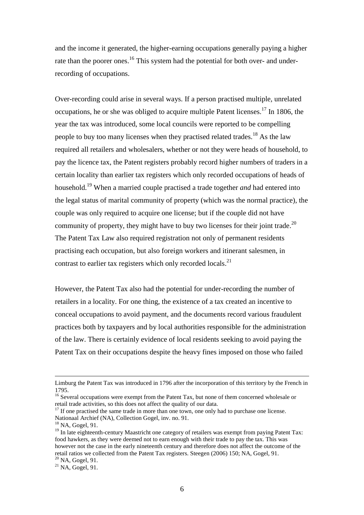and the income it generated, the higher-earning occupations generally paying a higher rate than the poorer ones.<sup>16</sup> This system had the potential for both over- and underrecording of occupations.

Over-recording could arise in several ways. If a person practised multiple, unrelated occupations, he or she was obliged to acquire multiple Patent licenses.<sup>17</sup> In 1806, the year the tax was introduced, some local councils were reported to be compelling people to buy too many licenses when they practised related trades.<sup>18</sup> As the law required all retailers and wholesalers, whether or not they were heads of household, to pay the licence tax, the Patent registers probably record higher numbers of traders in a certain locality than earlier tax registers which only recorded occupations of heads of household.<sup>19</sup> When a married couple practised a trade together *and* had entered into the legal status of marital community of property (which was the normal practice), the couple was only required to acquire one license; but if the couple did not have community of property, they might have to buy two licenses for their joint trade.<sup>20</sup> The Patent Tax Law also required registration not only of permanent residents practising each occupation, but also foreign workers and itinerant salesmen, in contrast to earlier tax registers which only recorded locals.<sup>21</sup>

However, the Patent Tax also had the potential for under-recording the number of retailers in a locality. For one thing, the existence of a tax created an incentive to conceal occupations to avoid payment, and the documents record various fraudulent practices both by taxpayers and by local authorities responsible for the administration of the law. There is certainly evidence of local residents seeking to avoid paying the Patent Tax on their occupations despite the heavy fines imposed on those who failed

Limburg the Patent Tax was introduced in 1796 after the incorporation of this territory by the French in 1795.

<sup>&</sup>lt;sup>16</sup> Several occupations were exempt from the Patent Tax, but none of them concerned wholesale or retail trade activities, so this does not affect the quality of our data.

 $17$  If one practised the same trade in more than one town, one only had to purchase one license. Nationaal Archief (NA), Collection Gogel, inv. no. 91.

<sup>18</sup> NA, Gogel, 91.

<sup>&</sup>lt;sup>19</sup> In late eighteenth-century Maastricht one category of retailers was exempt from paying Patent Tax: food hawkers, as they were deemed not to earn enough with their trade to pay the tax. This was however not the case in the early nineteenth century and therefore does not affect the outcome of the retail ratios we collected from the Patent Tax registers. Steegen (2006) 150; NA, Gogel, 91. <sup>20</sup> NA, Gogel, 91.

 $^{21}$  NA, Gogel, 91.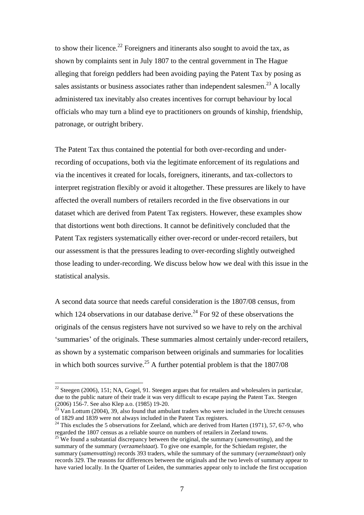to show their licence.<sup>22</sup> Foreigners and itinerants also sought to avoid the tax, as shown by complaints sent in July 1807 to the central government in The Hague alleging that foreign peddlers had been avoiding paying the Patent Tax by posing as sales assistants or business associates rather than independent salesmen.<sup>23</sup> A locally administered tax inevitably also creates incentives for corrupt behaviour by local officials who may turn a blind eye to practitioners on grounds of kinship, friendship, patronage, or outright bribery.

The Patent Tax thus contained the potential for both over-recording and underrecording of occupations, both via the legitimate enforcement of its regulations and via the incentives it created for locals, foreigners, itinerants, and tax-collectors to interpret registration flexibly or avoid it altogether. These pressures are likely to have affected the overall numbers of retailers recorded in the five observations in our dataset which are derived from Patent Tax registers. However, these examples show that distortions went both directions. It cannot be definitively concluded that the Patent Tax registers systematically either over-record or under-record retailers, but our assessment is that the pressures leading to over-recording slightly outweighed those leading to under-recording. We discuss below how we deal with this issue in the statistical analysis.

A second data source that needs careful consideration is the 1807/08 census, from which 124 observations in our database derive.<sup>24</sup> For 92 of these observations the originals of the census registers have not survived so we have to rely on the archival 'summaries' of the originals. These summaries almost certainly under-record retailers, as shown by a systematic comparison between originals and summaries for localities in which both sources survive.<sup>25</sup> A further potential problem is that the  $1807/08$ 

<sup>&</sup>lt;sup>22</sup> Steegen (2006), 151; NA, Gogel, 91. Steegen argues that for retailers and wholesalers in particular, due to the public nature of their trade it was very difficult to escape paying the Patent Tax. Steegen (2006) 156-7. See also Klep a.o. (1985) 19-20.

 $^{23}$  Van Lottum (2004), 39, also found that ambulant traders who were included in the Utrecht censuses of 1829 and 1839 were not always included in the Patent Tax registers.

 $^{24}$  This excludes the 5 observations for Zeeland, which are derived from Harten (1971), 57, 67-9, who regarded the 1807 census as a reliable source on numbers of retailers in Zeeland towns.

<sup>&</sup>lt;sup>25</sup> We found a substantial discrepancy between the original, the summary (*samenvatting*), and the summary of the summary (*verzamelstaat*). To give one example, for the Schiedam register, the summary (*samenvatting*) records 393 traders, while the summary of the summary (*verzamelstaat*) only records 329. The reasons for differences between the originals and the two levels of summary appear to have varied locally. In the Quarter of Leiden, the summaries appear only to include the first occupation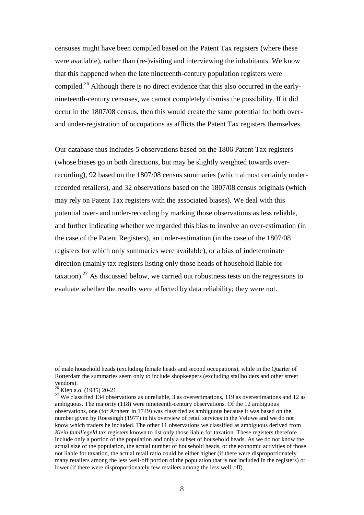censuses might have been compiled based on the Patent Tax registers (where these were available), rather than (re-)visiting and interviewing the inhabitants. We know that this happened when the late nineteenth-century population registers were compiled.<sup>26</sup> Although there is no direct evidence that this also occurred in the earlynineteenth-century censuses, we cannot completely dismiss the possibility. If it did occur in the 1807/08 census, then this would create the same potential for both overand under-registration of occupations as afflicts the Patent Tax registers themselves.

Our database thus includes 5 observations based on the 1806 Patent Tax registers (whose biases go in both directions, but may be slightly weighted towards overrecording), 92 based on the 1807/08 census summaries (which almost certainly underrecorded retailers), and 32 observations based on the 1807/08 census originals (which may rely on Patent Tax registers with the associated biases). We deal with this potential over- and under-recording by marking those observations as less reliable, and further indicating whether we regarded this bias to involve an over-estimation (in the case of the Patent Registers), an under-estimation (in the case of the 1807/08 registers for which only summaries were available), or a bias of indeterminate direction (mainly tax registers listing only those heads of household liable for taxation).<sup>27</sup> As discussed below, we carried out robustness tests on the regressions to evaluate whether the results were affected by data reliability; they were not.

of male household heads (excluding female heads and second occupations), while in the Quarter of Rotterdam the summaries seem only to include shopkeepers (excluding stallholders and other street vendors).

<sup>&</sup>lt;sup>26</sup> Klep a.o. (1985) 20-21.

<sup>&</sup>lt;sup>27</sup> We classified 134 observations as unreliable, 3 as overestimations, 119 as overestimations and 12 as ambiguous. The majority (118) were nineteenth-century observations. Of the 12 ambiguous observations, one (for Arnhem in 1749) was classified as ambiguous because it was based on the number given by Roessingh (1977) in his overview of retail services in the Veluwe and we do not know which traders he included. The other 11 observations we classified as ambiguous derived from *Klein familiegeld* tax registers known to list only those liable for taxation. These registers therefore include only a portion of the population and only a subset of household heads. As we do not know the actual size of the population, the actual number of household heads, or the economic activities of those not liable for taxation, the actual retail ratio could be either higher (if there were disproportionately many retailers among the less well-off portion of the population that is not included in the registers) or lower (if there were disproportionately few retailers among the less well-off).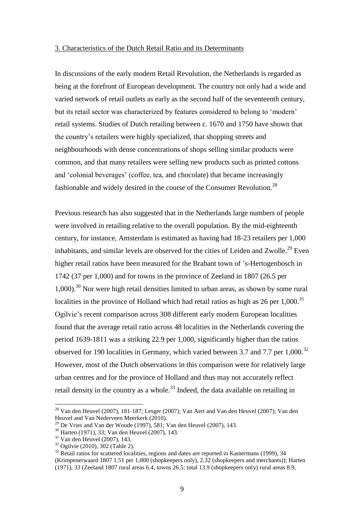#### 3. Characteristics of the Dutch Retail Ratio and its Determinants

In discussions of the early modern Retail Revolution, the Netherlands is regarded as being at the forefront of European development. The country not only had a wide and varied network of retail outlets as early as the second half of the seventeenth century, but its retail sector was characterized by features considered to belong to 'modern' retail systems. Studies of Dutch retailing between c. 1670 and 1750 have shown that the country's retailers were highly specialized, that shopping streets and neighbourhoods with dense concentrations of shops selling similar products were common, and that many retailers were selling new products such as printed cottons and 'colonial beverages' (coffee, tea, and chocolate) that became increasingly fashionable and widely desired in the course of the Consumer Revolution.<sup>28</sup>

Previous research has also suggested that in the Netherlands large numbers of people were involved in retailing relative to the overall population. By the mid-eighteenth century, for instance, Amsterdam is estimated as having had 18-23 retailers per 1,000 inhabitants, and similar levels are observed for the cities of Leiden and Zwolle.<sup>29</sup> Even higher retail ratios have been measured for the Brabant town of 's-Hertogenbosch in 1742 (37 per 1,000) and for towns in the province of Zeeland in 1807 (26.5 per  $1,000$ .<sup>30</sup> Nor were high retail densities limited to urban areas, as shown by some rural localities in the province of Holland which had retail ratios as high as  $26$  per  $1,000$ .<sup>31</sup> Ogilvie's recent comparison across 308 different early modern European localities found that the average retail ratio across 48 localities in the Netherlands covering the period 1639-1811 was a striking 22.9 per 1,000, significantly higher than the ratios observed for 190 localities in Germany, which varied between 3.7 and 7.7 per 1,000.<sup>32</sup> However, most of the Dutch observations in this comparison were for relatively large urban centres and for the province of Holland and thus may not accurately reflect retail density in the country as a whole.<sup>33</sup> Indeed, the data available on retailing in

 $28$  Van den Heuvel (2007), 181-187; Lesger (2007); Van Aert and Van den Heuvel (2007); Van den Heuvel and Van Nederveen Meerkerk (2010).

 $^{29}$  De Vries and Van der Woude (1997), 581; Van den Heuvel (2007), 143.

<sup>30</sup> Harten (1971), 33; Van den Heuvel (2007), 143.

 $31$  Van den Heuvel (2007), 143.

<sup>32</sup> Ogilvie (2010), 302 (Table 2).

<sup>&</sup>lt;sup>33</sup> Retail ratios for scattered localities, regions and dates are reported in Kamermans (1999), 34 (Krimpenerwaard 1807 1.51 per 1,000 (shopkeepers only), 2.32 (shopkeepers and merchants)); Harten (1971), 33 (Zeeland 1807 rural areas 6.4, towns 26.5; total 13.9 (shopkeepers only) rural areas 8.9,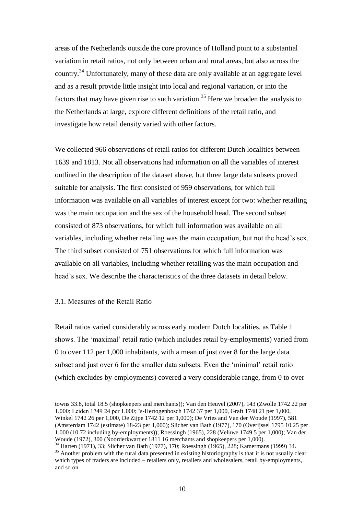areas of the Netherlands outside the core province of Holland point to a substantial variation in retail ratios, not only between urban and rural areas, but also across the country.<sup>34</sup> Unfortunately, many of these data are only available at an aggregate level and as a result provide little insight into local and regional variation, or into the factors that may have given rise to such variation.<sup>35</sup> Here we broaden the analysis to the Netherlands at large, explore different definitions of the retail ratio, and investigate how retail density varied with other factors.

We collected 966 observations of retail ratios for different Dutch localities between 1639 and 1813. Not all observations had information on all the variables of interest outlined in the description of the dataset above, but three large data subsets proved suitable for analysis. The first consisted of 959 observations, for which full information was available on all variables of interest except for two: whether retailing was the main occupation and the sex of the household head. The second subset consisted of 873 observations, for which full information was available on all variables, including whether retailing was the main occupation, but not the head's sex. The third subset consisted of 751 observations for which full information was available on all variables, including whether retailing was the main occupation and head's sex. We describe the characteristics of the three datasets in detail below.

## 3.1. Measures of the Retail Ratio

 $\overline{a}$ 

Retail ratios varied considerably across early modern Dutch localities, as Table 1 shows. The 'maximal' retail ratio (which includes retail by-employments) varied from 0 to over 112 per 1,000 inhabitants, with a mean of just over 8 for the large data subset and just over 6 for the smaller data subsets. Even the 'minimal' retail ratio (which excludes by-employments) covered a very considerable range, from 0 to over

towns 33.8, total 18.5 (shopkeepers and merchants)); Van den Heuvel (2007), 143 (Zwolle 1742 22 per 1,000; Leiden 1749 24 per 1,000; 's-Hertogenbosch 1742 37 per 1,000, Graft 1748 21 per 1,000, Winkel 1742 26 per 1,000, De Zijpe 1742 12 per 1,000); De Vries and Van der Woude (1997), 581 (Amsterdam 1742 (estimate) 18-23 per 1,000); Slicher van Bath (1977), 170 (Overijssel 1795 10.25 per 1,000 (10.72 including by-employments)); Roessingh (1965), 228 (Veluwe 1749 5 per 1,000); Van der Woude (1972), 300 (Noorderkwartier 1811 16 merchants and shopkeepers per 1,000).

<sup>34</sup> Harten (1971), 33; Slicher van Bath (1977), 170; Roessingh (1965), 228; Kamermans (1999) 34. <sup>35</sup> Another problem with the rural data presented in existing historiography is that it is not usually clear which types of traders are included – retailers only, retailers and wholesalers, retail by-employments, and so on.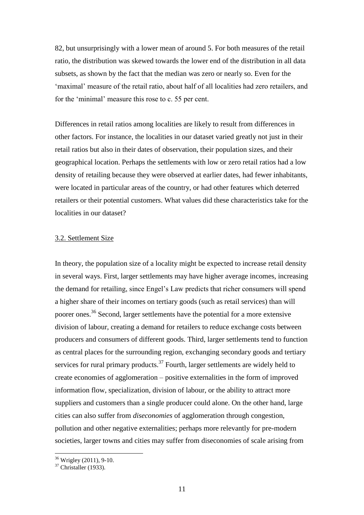82, but unsurprisingly with a lower mean of around 5. For both measures of the retail ratio, the distribution was skewed towards the lower end of the distribution in all data subsets, as shown by the fact that the median was zero or nearly so. Even for the 'maximal' measure of the retail ratio, about half of all localities had zero retailers, and for the 'minimal' measure this rose to c. 55 per cent.

Differences in retail ratios among localities are likely to result from differences in other factors. For instance, the localities in our dataset varied greatly not just in their retail ratios but also in their dates of observation, their population sizes, and their geographical location. Perhaps the settlements with low or zero retail ratios had a low density of retailing because they were observed at earlier dates, had fewer inhabitants, were located in particular areas of the country, or had other features which deterred retailers or their potential customers. What values did these characteristics take for the localities in our dataset?

### 3.2. Settlement Size

In theory, the population size of a locality might be expected to increase retail density in several ways. First, larger settlements may have higher average incomes, increasing the demand for retailing, since Engel's Law predicts that richer consumers will spend a higher share of their incomes on tertiary goods (such as retail services) than will poorer ones.<sup>36</sup> Second, larger settlements have the potential for a more extensive division of labour, creating a demand for retailers to reduce exchange costs between producers and consumers of different goods. Third, larger settlements tend to function as central places for the surrounding region, exchanging secondary goods and tertiary services for rural primary products.<sup>37</sup> Fourth, larger settlements are widely held to create economies of agglomeration – positive externalities in the form of improved information flow, specialization, division of labour, or the ability to attract more suppliers and customers than a single producer could alone. On the other hand, large cities can also suffer from *diseconomies* of agglomeration through congestion, pollution and other negative externalities; perhaps more relevantly for pre-modern societies, larger towns and cities may suffer from diseconomies of scale arising from

 $\overline{a}$ <sup>36</sup> Wrigley (2011), 9-10.

 $37$  Christaller (1933).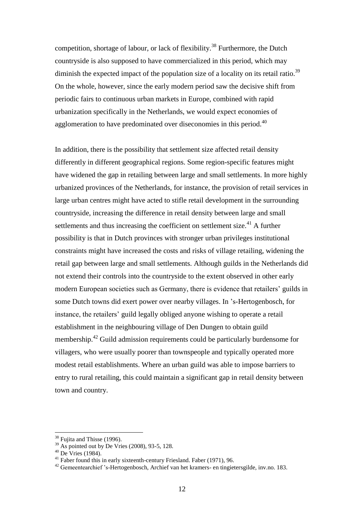competition, shortage of labour, or lack of flexibility.<sup>38</sup> Furthermore, the Dutch countryside is also supposed to have commercialized in this period, which may diminish the expected impact of the population size of a locality on its retail ratio.<sup>39</sup> On the whole, however, since the early modern period saw the decisive shift from periodic fairs to continuous urban markets in Europe, combined with rapid urbanization specifically in the Netherlands, we would expect economies of agglomeration to have predominated over diseconomies in this period.<sup>40</sup>

In addition, there is the possibility that settlement size affected retail density differently in different geographical regions. Some region-specific features might have widened the gap in retailing between large and small settlements. In more highly urbanized provinces of the Netherlands, for instance, the provision of retail services in large urban centres might have acted to stifle retail development in the surrounding countryside, increasing the difference in retail density between large and small settlements and thus increasing the coefficient on settlement size.<sup>41</sup> A further possibility is that in Dutch provinces with stronger urban privileges institutional constraints might have increased the costs and risks of village retailing, widening the retail gap between large and small settlements. Although guilds in the Netherlands did not extend their controls into the countryside to the extent observed in other early modern European societies such as Germany, there is evidence that retailers' guilds in some Dutch towns did exert power over nearby villages. In 's-Hertogenbosch, for instance, the retailers' guild legally obliged anyone wishing to operate a retail establishment in the neighbouring village of Den Dungen to obtain guild membership.<sup>42</sup> Guild admission requirements could be particularly burdensome for villagers, who were usually poorer than townspeople and typically operated more modest retail establishments. Where an urban guild was able to impose barriers to entry to rural retailing, this could maintain a significant gap in retail density between town and country.

 $38$  Fujita and Thisse (1996).

 $39$  As pointed out by De Vries (2008), 93-5, 128.

 $40$  De Vries (1984).

 $41$  Faber found this in early sixteenth-century Friesland. Faber (1971), 96.

<sup>&</sup>lt;sup>42</sup> Gemeentearchief 's-Hertogenbosch, Archief van het kramers- en tingietersgilde, inv.no. 183.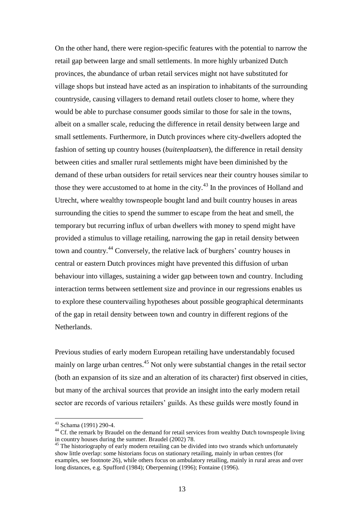On the other hand, there were region-specific features with the potential to narrow the retail gap between large and small settlements. In more highly urbanized Dutch provinces, the abundance of urban retail services might not have substituted for village shops but instead have acted as an inspiration to inhabitants of the surrounding countryside, causing villagers to demand retail outlets closer to home, where they would be able to purchase consumer goods similar to those for sale in the towns, albeit on a smaller scale, reducing the difference in retail density between large and small settlements. Furthermore, in Dutch provinces where city-dwellers adopted the fashion of setting up country houses (*buitenplaatsen*), the difference in retail density between cities and smaller rural settlements might have been diminished by the demand of these urban outsiders for retail services near their country houses similar to those they were accustomed to at home in the city.<sup>43</sup> In the provinces of Holland and Utrecht, where wealthy townspeople bought land and built country houses in areas surrounding the cities to spend the summer to escape from the heat and smell, the temporary but recurring influx of urban dwellers with money to spend might have provided a stimulus to village retailing, narrowing the gap in retail density between town and country.<sup>44</sup> Conversely, the relative lack of burghers' country houses in central or eastern Dutch provinces might have prevented this diffusion of urban behaviour into villages, sustaining a wider gap between town and country. Including interaction terms between settlement size and province in our regressions enables us to explore these countervailing hypotheses about possible geographical determinants of the gap in retail density between town and country in different regions of the Netherlands.

Previous studies of early modern European retailing have understandably focused mainly on large urban centres.<sup>45</sup> Not only were substantial changes in the retail sector (both an expansion of its size and an alteration of its character) first observed in cities, but many of the archival sources that provide an insight into the early modern retail sector are records of various retailers' guilds. As these guilds were mostly found in

<sup>43</sup> Schama (1991) 290-4.

<sup>&</sup>lt;sup>44</sup> Cf. the remark by Braudel on the demand for retail services from wealthy Dutch townspeople living in country houses during the summer. Braudel (2002) 78.

<sup>&</sup>lt;sup>45</sup> The historiography of early modern retailing can be divided into two strands which unfortunately show little overlap: some historians focus on stationary retailing, mainly in urban centres (for examples, see footnote 26), while others focus on ambulatory retailing, mainly in rural areas and over long distances, e.g. Spufford (1984); Oberpenning (1996); Fontaine (1996).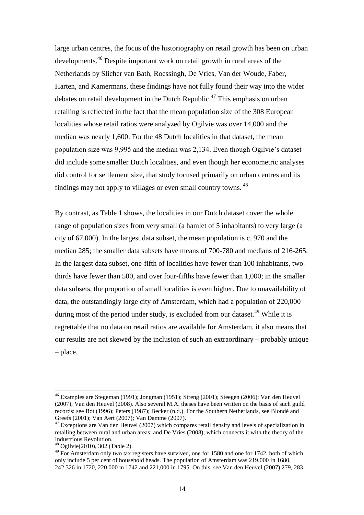large urban centres, the focus of the historiography on retail growth has been on urban developments.<sup>46</sup> Despite important work on retail growth in rural areas of the Netherlands by Slicher van Bath, Roessingh, De Vries, Van der Woude, Faber, Harten, and Kamermans, these findings have not fully found their way into the wider debates on retail development in the Dutch Republic.<sup>47</sup> This emphasis on urban retailing is reflected in the fact that the mean population size of the 308 European localities whose retail ratios were analyzed by Ogilvie was over 14,000 and the median was nearly 1,600. For the 48 Dutch localities in that dataset, the mean population size was 9,995 and the median was 2,134. Even though Ogilvie's dataset did include some smaller Dutch localities, and even though her econometric analyses did control for settlement size, that study focused primarily on urban centres and its findings may not apply to villages or even small country towns. <sup>48</sup>

By contrast, as Table 1 shows, the localities in our Dutch dataset cover the whole range of population sizes from very small (a hamlet of 5 inhabitants) to very large (a city of 67,000). In the largest data subset, the mean population is c. 970 and the median 285; the smaller data subsets have means of 700-780 and medians of 216-265. In the largest data subset, one-fifth of localities have fewer than 100 inhabitants, twothirds have fewer than 500, and over four-fifths have fewer than 1,000; in the smaller data subsets, the proportion of small localities is even higher. Due to unavailability of data, the outstandingly large city of Amsterdam, which had a population of 220,000 during most of the period under study, is excluded from our dataset.<sup>49</sup> While it is regrettable that no data on retail ratios are available for Amsterdam, it also means that our results are not skewed by the inclusion of such an extraordinary – probably unique – place.

<sup>46</sup> Examples are Stegeman (1991); Jongman (1951); Streng (2001); Steegen (2006); Van den Heuvel (2007); Van den Heuvel (2008). Also several M.A. theses have been written on the basis of such guild records: see Bot (1996); Peters (1987); Becker (n.d.). For the Southern Netherlands, see Blondé and Greefs (2001); Van Aert (2007); Van Damme (2007).

 $47$  Exceptions are Van den Heuvel (2007) which compares retail density and levels of specialization in retailing between rural and urban areas; and De Vries (2008), which connects it with the theory of the Industrious Revolution.

<sup>48</sup> Ogilvie(2010), 302 (Table 2).

<sup>&</sup>lt;sup>49</sup> For Amsterdam only two tax registers have survived, one for 1580 and one for 1742, both of which only include 5 per cent of household heads. The population of Amsterdam was 219,000 in 1680, 242,326 in 1720, 220,000 in 1742 and 221,000 in 1795. On this, see Van den Heuvel (2007) 279, 283.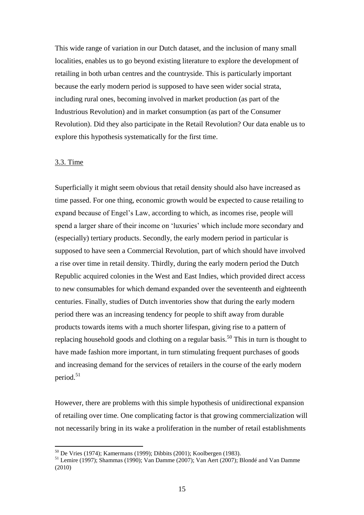This wide range of variation in our Dutch dataset, and the inclusion of many small localities, enables us to go beyond existing literature to explore the development of retailing in both urban centres and the countryside. This is particularly important because the early modern period is supposed to have seen wider social strata, including rural ones, becoming involved in market production (as part of the Industrious Revolution) and in market consumption (as part of the Consumer Revolution). Did they also participate in the Retail Revolution? Our data enable us to explore this hypothesis systematically for the first time.

# 3.3. Time

 $\overline{a}$ 

Superficially it might seem obvious that retail density should also have increased as time passed. For one thing, economic growth would be expected to cause retailing to expand because of Engel's Law, according to which, as incomes rise, people will spend a larger share of their income on 'luxuries' which include more secondary and (especially) tertiary products. Secondly, the early modern period in particular is supposed to have seen a Commercial Revolution, part of which should have involved a rise over time in retail density. Thirdly, during the early modern period the Dutch Republic acquired colonies in the West and East Indies, which provided direct access to new consumables for which demand expanded over the seventeenth and eighteenth centuries. Finally, studies of Dutch inventories show that during the early modern period there was an increasing tendency for people to shift away from durable products towards items with a much shorter lifespan, giving rise to a pattern of replacing household goods and clothing on a regular basis.<sup>50</sup> This in turn is thought to have made fashion more important, in turn stimulating frequent purchases of goods and increasing demand for the services of retailers in the course of the early modern period. 51

However, there are problems with this simple hypothesis of unidirectional expansion of retailing over time. One complicating factor is that growing commercialization will not necessarily bring in its wake a proliferation in the number of retail establishments

<sup>50</sup> De Vries (1974); Kamermans (1999); Dibbits (2001); Koolbergen (1983).

<sup>51</sup> Lemire (1997); Shammas (1990); Van Damme (2007); Van Aert (2007); Blondé and Van Damme (2010)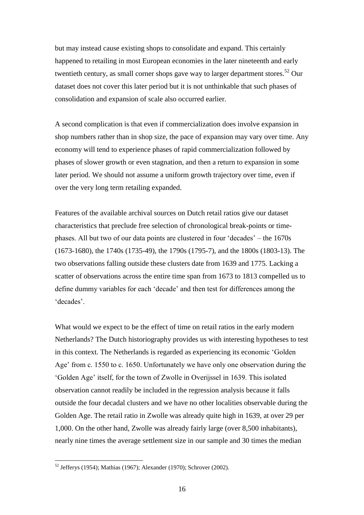but may instead cause existing shops to consolidate and expand. This certainly happened to retailing in most European economies in the later nineteenth and early twentieth century, as small corner shops gave way to larger department stores.<sup>52</sup> Our dataset does not cover this later period but it is not unthinkable that such phases of consolidation and expansion of scale also occurred earlier.

A second complication is that even if commercialization does involve expansion in shop numbers rather than in shop size, the pace of expansion may vary over time. Any economy will tend to experience phases of rapid commercialization followed by phases of slower growth or even stagnation, and then a return to expansion in some later period. We should not assume a uniform growth trajectory over time, even if over the very long term retailing expanded.

Features of the available archival sources on Dutch retail ratios give our dataset characteristics that preclude free selection of chronological break-points or timephases. All but two of our data points are clustered in four 'decades' – the 1670s (1673-1680), the 1740s (1735-49), the 1790s (1795-7), and the 1800s (1803-13). The two observations falling outside these clusters date from 1639 and 1775. Lacking a scatter of observations across the entire time span from 1673 to 1813 compelled us to define dummy variables for each 'decade' and then test for differences among the 'decades'.

What would we expect to be the effect of time on retail ratios in the early modern Netherlands? The Dutch historiography provides us with interesting hypotheses to test in this context. The Netherlands is regarded as experiencing its economic 'Golden Age' from c. 1550 to c. 1650. Unfortunately we have only one observation during the 'Golden Age' itself, for the town of Zwolle in Overijssel in 1639. This isolated observation cannot readily be included in the regression analysis because it falls outside the four decadal clusters and we have no other localities observable during the Golden Age. The retail ratio in Zwolle was already quite high in 1639, at over 29 per 1,000. On the other hand, Zwolle was already fairly large (over 8,500 inhabitants), nearly nine times the average settlement size in our sample and 30 times the median

 $52$  Jefferys (1954); Mathias (1967); Alexander (1970); Schrover (2002).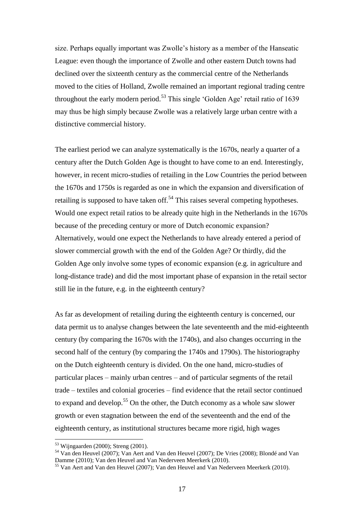size. Perhaps equally important was Zwolle's history as a member of the Hanseatic League: even though the importance of Zwolle and other eastern Dutch towns had declined over the sixteenth century as the commercial centre of the Netherlands moved to the cities of Holland, Zwolle remained an important regional trading centre throughout the early modern period.<sup>53</sup> This single 'Golden Age' retail ratio of 1639 may thus be high simply because Zwolle was a relatively large urban centre with a distinctive commercial history.

The earliest period we can analyze systematically is the 1670s, nearly a quarter of a century after the Dutch Golden Age is thought to have come to an end. Interestingly, however, in recent micro-studies of retailing in the Low Countries the period between the 1670s and 1750s is regarded as one in which the expansion and diversification of retailing is supposed to have taken of  $5<sup>54</sup>$  This raises several competing hypotheses. Would one expect retail ratios to be already quite high in the Netherlands in the 1670s because of the preceding century or more of Dutch economic expansion? Alternatively, would one expect the Netherlands to have already entered a period of slower commercial growth with the end of the Golden Age? Or thirdly, did the Golden Age only involve some types of economic expansion (e.g. in agriculture and long-distance trade) and did the most important phase of expansion in the retail sector still lie in the future, e.g. in the eighteenth century?

As far as development of retailing during the eighteenth century is concerned, our data permit us to analyse changes between the late seventeenth and the mid-eighteenth century (by comparing the 1670s with the 1740s), and also changes occurring in the second half of the century (by comparing the 1740s and 1790s). The historiography on the Dutch eighteenth century is divided. On the one hand, micro-studies of particular places – mainly urban centres – and of particular segments of the retail trade – textiles and colonial groceries – find evidence that the retail sector continued to expand and develop.<sup>55</sup> On the other, the Dutch economy as a whole saw slower growth or even stagnation between the end of the seventeenth and the end of the eighteenth century, as institutional structures became more rigid, high wages

<sup>&</sup>lt;sup>53</sup> Wijngaarden (2000); Streng (2001).

<sup>54</sup> Van den Heuvel (2007); Van Aert and Van den Heuvel (2007); De Vries (2008); Blondé and Van Damme (2010); Van den Heuvel and Van Nederveen Meerkerk (2010).

<sup>&</sup>lt;sup>55</sup> Van Aert and Van den Heuvel (2007); Van den Heuvel and Van Nederveen Meerkerk (2010).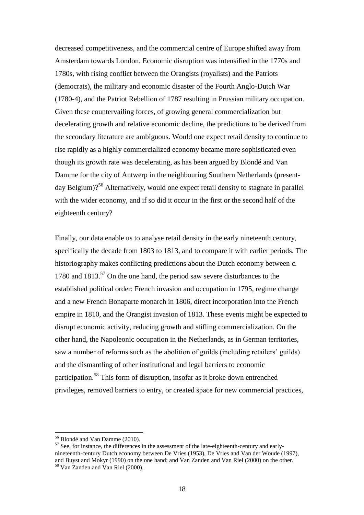decreased competitiveness, and the commercial centre of Europe shifted away from Amsterdam towards London. Economic disruption was intensified in the 1770s and 1780s, with rising conflict between the Orangists (royalists) and the Patriots (democrats), the military and economic disaster of the Fourth Anglo-Dutch War (1780-4), and the Patriot Rebellion of 1787 resulting in Prussian military occupation. Given these countervailing forces, of growing general commercialization but decelerating growth and relative economic decline, the predictions to be derived from the secondary literature are ambiguous. Would one expect retail density to continue to rise rapidly as a highly commercialized economy became more sophisticated even though its growth rate was decelerating, as has been argued by Blondé and Van Damme for the city of Antwerp in the neighbouring Southern Netherlands (presentday Belgium)?<sup>56</sup> Alternatively, would one expect retail density to stagnate in parallel with the wider economy, and if so did it occur in the first or the second half of the eighteenth century?

Finally, our data enable us to analyse retail density in the early nineteenth century, specifically the decade from 1803 to 1813, and to compare it with earlier periods. The historiography makes conflicting predictions about the Dutch economy between c. 1780 and  $1813<sup>57</sup>$  On the one hand, the period saw severe disturbances to the established political order: French invasion and occupation in 1795, regime change and a new French Bonaparte monarch in 1806, direct incorporation into the French empire in 1810, and the Orangist invasion of 1813. These events might be expected to disrupt economic activity, reducing growth and stifling commercialization. On the other hand, the Napoleonic occupation in the Netherlands, as in German territories, saw a number of reforms such as the abolition of guilds (including retailers' guilds) and the dismantling of other institutional and legal barriers to economic participation.<sup>58</sup> This form of disruption, insofar as it broke down entrenched privileges, removed barriers to entry, or created space for new commercial practices,

<sup>56</sup> Blondé and Van Damme (2010).

<sup>&</sup>lt;sup>57</sup> See, for instance, the differences in the assessment of the late-eighteenth-century and earlynineteenth-century Dutch economy between De Vries (1953), De Vries and Van der Woude (1997), and Buyst and Mokyr (1990) on the one hand; and Van Zanden and Van Riel (2000) on the other. <sup>58</sup> Van Zanden and Van Riel (2000).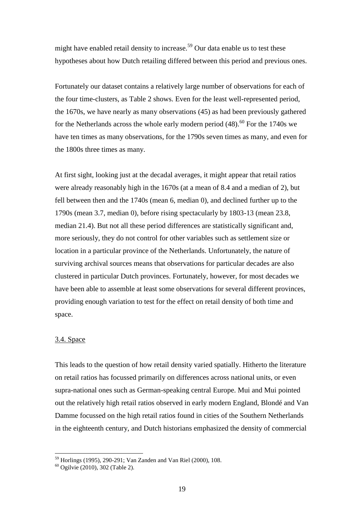might have enabled retail density to increase.<sup>59</sup> Our data enable us to test these hypotheses about how Dutch retailing differed between this period and previous ones.

Fortunately our dataset contains a relatively large number of observations for each of the four time-clusters, as Table 2 shows. Even for the least well-represented period, the 1670s, we have nearly as many observations (45) as had been previously gathered for the Netherlands across the whole early modern period  $(48)$ .<sup>60</sup> For the 1740s we have ten times as many observations, for the 1790s seven times as many, and even for the 1800s three times as many.

At first sight, looking just at the decadal averages, it might appear that retail ratios were already reasonably high in the 1670s (at a mean of 8.4 and a median of 2), but fell between then and the 1740s (mean 6, median 0), and declined further up to the 1790s (mean 3.7, median 0), before rising spectacularly by 1803-13 (mean 23.8, median 21.4). But not all these period differences are statistically significant and, more seriously, they do not control for other variables such as settlement size or location in a particular province of the Netherlands. Unfortunately, the nature of surviving archival sources means that observations for particular decades are also clustered in particular Dutch provinces. Fortunately, however, for most decades we have been able to assemble at least some observations for several different provinces, providing enough variation to test for the effect on retail density of both time and space.

# 3.4. Space

 $\overline{a}$ 

This leads to the question of how retail density varied spatially. Hitherto the literature on retail ratios has focussed primarily on differences across national units, or even supra-national ones such as German-speaking central Europe. Mui and Mui pointed out the relatively high retail ratios observed in early modern England, Blondé and Van Damme focussed on the high retail ratios found in cities of the Southern Netherlands in the eighteenth century, and Dutch historians emphasized the density of commercial

<sup>59</sup> Horlings (1995), 290-291; Van Zanden and Van Riel (2000), 108.

<sup>60</sup> Ogilvie (2010), 302 (Table 2).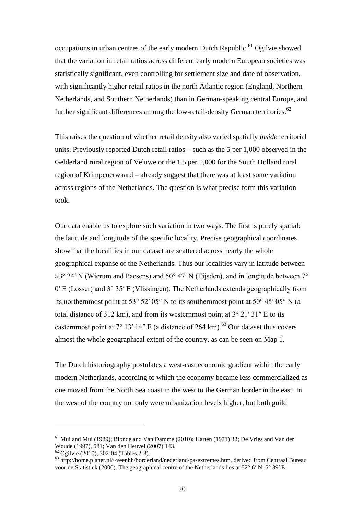occupations in urban centres of the early modern Dutch Republic.<sup>61</sup> Ogilvie showed that the variation in retail ratios across different early modern European societies was statistically significant, even controlling for settlement size and date of observation, with significantly higher retail ratios in the north Atlantic region (England, Northern Netherlands, and Southern Netherlands) than in German-speaking central Europe, and further significant differences among the low-retail-density German territories.<sup>62</sup>

This raises the question of whether retail density also varied spatially *inside* territorial units. Previously reported Dutch retail ratios – such as the 5 per 1,000 observed in the Gelderland rural region of Veluwe or the 1.5 per 1,000 for the South Holland rural region of Krimpenerwaard – already suggest that there was at least some variation across regions of the Netherlands. The question is what precise form this variation took.

Our data enable us to explore such variation in two ways. The first is purely spatial: the latitude and longitude of the specific locality. Precise geographical coordinates show that the localities in our dataset are scattered across nearly the whole geographical expanse of the Netherlands. Thus our localities vary in latitude between 53° 24′ N (Wierum and Paesens) and 50° 47′ N (Eijsden), and in longitude between 7° 0′ E (Losser) and 3° 35′ E (Vlissingen). The Netherlands extends geographically from its northernmost point at 53° 52′ 05″ N to its southernmost point at 50° 45′ 05″ N (a total distance of 312 km), and from its westernmost point at  $3^{\circ}$  21' 31" E to its easternmost point at  $7^{\circ}$  13' 14" E (a distance of 264 km).<sup>63</sup> Our dataset thus covers almost the whole geographical extent of the country, as can be seen on Map 1.

The Dutch historiography postulates a west-east economic gradient within the early modern Netherlands, according to which the economy became less commercialized as one moved from the North Sea coast in the west to the German border in the east. In the west of the country not only were urbanization levels higher, but both guild

<sup>&</sup>lt;sup>61</sup> Mui and Mui (1989); Blondé and Van Damme (2010); Harten (1971) 33; De Vries and Van der Woude (1997), 581; Van den Heuvel (2007) 143.

<sup>62</sup> Ogilvie (2010), 302-04 (Tables 2-3).

<sup>63</sup> http://home.planet.nl/~veenhh/borderland/nederland/pa-extremes.htm, derived from Centraal Bureau voor de Statistiek (2000). The geographical centre of the Netherlands lies at 52° 6′ N, 5° 39′ E.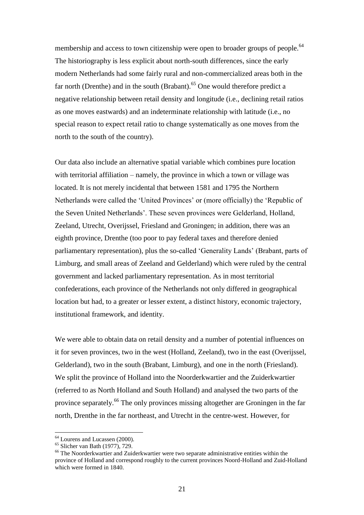membership and access to town citizenship were open to broader groups of people.<sup>64</sup> The historiography is less explicit about north-south differences, since the early modern Netherlands had some fairly rural and non-commercialized areas both in the far north (Drenthe) and in the south (Brabant).<sup>65</sup> One would therefore predict a negative relationship between retail density and longitude (i.e., declining retail ratios as one moves eastwards) and an indeterminate relationship with latitude (i.e., no special reason to expect retail ratio to change systematically as one moves from the north to the south of the country).

Our data also include an alternative spatial variable which combines pure location with territorial affiliation – namely, the province in which a town or village was located. It is not merely incidental that between 1581 and 1795 the Northern Netherlands were called the 'United Provinces' or (more officially) the 'Republic of the Seven United Netherlands'. These seven provinces were Gelderland, Holland, Zeeland, Utrecht, Overijssel, Friesland and Groningen; in addition, there was an eighth province, Drenthe (too poor to pay federal taxes and therefore denied parliamentary representation), plus the so-called 'Generality Lands' (Brabant, parts of Limburg, and small areas of Zeeland and Gelderland) which were ruled by the central government and lacked parliamentary representation. As in most territorial confederations, each province of the Netherlands not only differed in geographical location but had, to a greater or lesser extent, a distinct history, economic trajectory, institutional framework, and identity.

We were able to obtain data on retail density and a number of potential influences on it for seven provinces, two in the west (Holland, Zeeland), two in the east (Overijssel, Gelderland), two in the south (Brabant, Limburg), and one in the north (Friesland). We split the province of Holland into the Noorderkwartier and the Zuiderkwartier (referred to as North Holland and South Holland) and analysed the two parts of the province separately.<sup>66</sup> The only provinces missing altogether are Groningen in the far north, Drenthe in the far northeast, and Utrecht in the centre-west. However, for

<sup>&</sup>lt;sup>64</sup> Lourens and Lucassen (2000).

<sup>65</sup> Slicher van Bath (1977), 729.

<sup>&</sup>lt;sup>66</sup> The Noorderkwartier and Zuiderkwartier were two separate administrative entities within the province of Holland and correspond roughly to the current provinces Noord-Holland and Zuid-Holland which were formed in 1840.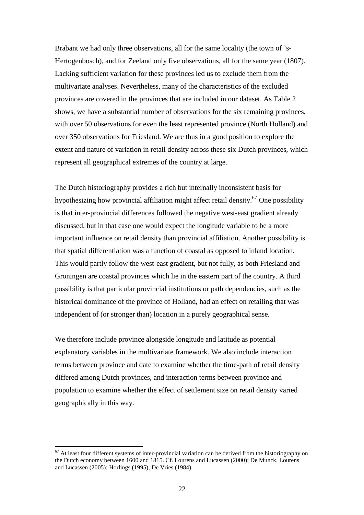Brabant we had only three observations, all for the same locality (the town of 's-Hertogenbosch), and for Zeeland only five observations, all for the same year (1807). Lacking sufficient variation for these provinces led us to exclude them from the multivariate analyses. Nevertheless, many of the characteristics of the excluded provinces are covered in the provinces that are included in our dataset. As Table 2 shows, we have a substantial number of observations for the six remaining provinces, with over 50 observations for even the least represented province (North Holland) and over 350 observations for Friesland. We are thus in a good position to explore the extent and nature of variation in retail density across these six Dutch provinces, which represent all geographical extremes of the country at large.

The Dutch historiography provides a rich but internally inconsistent basis for hypothesizing how provincial affiliation might affect retail density.<sup>67</sup> One possibility is that inter-provincial differences followed the negative west-east gradient already discussed, but in that case one would expect the longitude variable to be a more important influence on retail density than provincial affiliation. Another possibility is that spatial differentiation was a function of coastal as opposed to inland location. This would partly follow the west-east gradient, but not fully, as both Friesland and Groningen are coastal provinces which lie in the eastern part of the country. A third possibility is that particular provincial institutions or path dependencies, such as the historical dominance of the province of Holland, had an effect on retailing that was independent of (or stronger than) location in a purely geographical sense.

We therefore include province alongside longitude and latitude as potential explanatory variables in the multivariate framework. We also include interaction terms between province and date to examine whether the time-path of retail density differed among Dutch provinces, and interaction terms between province and population to examine whether the effect of settlement size on retail density varied geographically in this way.

 $67$  At least four different systems of inter-provincial variation can be derived from the historiography on the Dutch economy between 1600 and 1815. Cf. Lourens and Lucassen (2000); De Munck, Lourens and Lucassen (2005); Horlings (1995); De Vries (1984).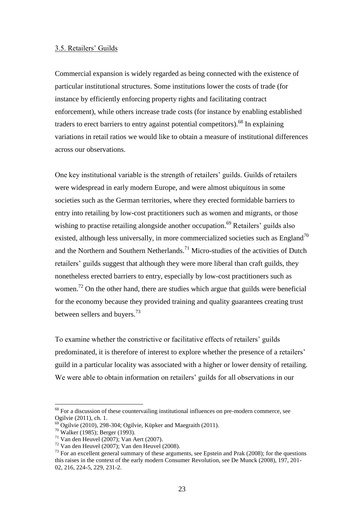### 3.5. Retailers' Guilds

Commercial expansion is widely regarded as being connected with the existence of particular institutional structures. Some institutions lower the costs of trade (for instance by efficiently enforcing property rights and facilitating contract enforcement), while others increase trade costs (for instance by enabling established traders to erect barriers to entry against potential competitors).<sup>68</sup> In explaining variations in retail ratios we would like to obtain a measure of institutional differences across our observations.

One key institutional variable is the strength of retailers' guilds. Guilds of retailers were widespread in early modern Europe, and were almost ubiquitous in some societies such as the German territories, where they erected formidable barriers to entry into retailing by low-cost practitioners such as women and migrants, or those wishing to practise retailing alongside another occupation.<sup>69</sup> Retailers' guilds also existed, although less universally, in more commercialized societies such as England<sup>70</sup> and the Northern and Southern Netherlands.<sup>71</sup> Micro-studies of the activities of Dutch retailers' guilds suggest that although they were more liberal than craft guilds, they nonetheless erected barriers to entry, especially by low-cost practitioners such as women.<sup>72</sup> On the other hand, there are studies which argue that guilds were beneficial for the economy because they provided training and quality guarantees creating trust between sellers and buyers.<sup>73</sup>

To examine whether the constrictive or facilitative effects of retailers' guilds predominated, it is therefore of interest to explore whether the presence of a retailers' guild in a particular locality was associated with a higher or lower density of retailing. We were able to obtain information on retailers' guilds for all observations in our

<sup>&</sup>lt;sup>68</sup> For a discussion of these countervailing institutional influences on pre-modern commerce, see Ogilvie (2011), ch. 1.

 $^{69}$  Ogilvie (2010), 298-304; Ogilvie, Küpker and Maegraith (2011).

<sup>70</sup> Walker (1985); Berger (1993).

 $71$  Van den Heuvel (2007); Van Aert (2007).

 $72$  Van den Heuvel (2007); Van den Heuvel (2008).

 $<sup>73</sup>$  For an excellent general summary of these arguments, see Epstein and Prak (2008); for the questions</sup> this raises in the context of the early modern Consumer Revolution, see De Munck (2008), 197, 201- 02, 216, 224-5, 229, 231-2.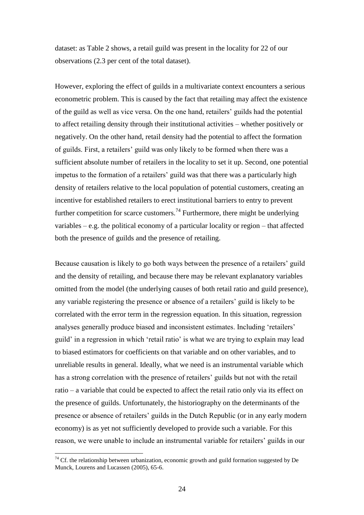dataset: as Table 2 shows, a retail guild was present in the locality for 22 of our observations (2.3 per cent of the total dataset).

However, exploring the effect of guilds in a multivariate context encounters a serious econometric problem. This is caused by the fact that retailing may affect the existence of the guild as well as vice versa. On the one hand, retailers' guilds had the potential to affect retailing density through their institutional activities – whether positively or negatively. On the other hand, retail density had the potential to affect the formation of guilds. First, a retailers' guild was only likely to be formed when there was a sufficient absolute number of retailers in the locality to set it up. Second, one potential impetus to the formation of a retailers' guild was that there was a particularly high density of retailers relative to the local population of potential customers, creating an incentive for established retailers to erect institutional barriers to entry to prevent further competition for scarce customers.<sup>74</sup> Furthermore, there might be underlying variables – e.g. the political economy of a particular locality or region – that affected both the presence of guilds and the presence of retailing.

Because causation is likely to go both ways between the presence of a retailers' guild and the density of retailing, and because there may be relevant explanatory variables omitted from the model (the underlying causes of both retail ratio and guild presence), any variable registering the presence or absence of a retailers' guild is likely to be correlated with the error term in the regression equation. In this situation, regression analyses generally produce biased and inconsistent estimates. Including 'retailers' guild' in a regression in which 'retail ratio' is what we are trying to explain may lead to biased estimators for coefficients on that variable and on other variables, and to unreliable results in general. Ideally, what we need is an instrumental variable which has a strong correlation with the presence of retailers' guilds but not with the retail ratio – a variable that could be expected to affect the retail ratio only via its effect on the presence of guilds. Unfortunately, the historiography on the determinants of the presence or absence of retailers' guilds in the Dutch Republic (or in any early modern economy) is as yet not sufficiently developed to provide such a variable. For this reason, we were unable to include an instrumental variable for retailers' guilds in our

 $74$  Cf. the relationship between urbanization, economic growth and guild formation suggested by De Munck, Lourens and Lucassen (2005), 65-6.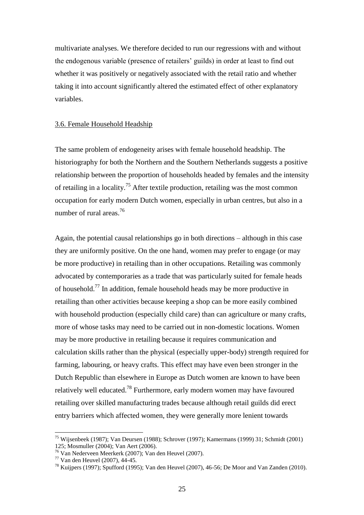multivariate analyses. We therefore decided to run our regressions with and without the endogenous variable (presence of retailers' guilds) in order at least to find out whether it was positively or negatively associated with the retail ratio and whether taking it into account significantly altered the estimated effect of other explanatory variables.

## 3.6. Female Household Headship

The same problem of endogeneity arises with female household headship. The historiography for both the Northern and the Southern Netherlands suggests a positive relationship between the proportion of households headed by females and the intensity of retailing in a locality.<sup>75</sup> After textile production, retailing was the most common occupation for early modern Dutch women, especially in urban centres, but also in a number of rural areas.<sup>76</sup>

Again, the potential causal relationships go in both directions – although in this case they are uniformly positive. On the one hand, women may prefer to engage (or may be more productive) in retailing than in other occupations. Retailing was commonly advocated by contemporaries as a trade that was particularly suited for female heads of household.<sup>77</sup> In addition, female household heads may be more productive in retailing than other activities because keeping a shop can be more easily combined with household production (especially child care) than can agriculture or many crafts, more of whose tasks may need to be carried out in non-domestic locations. Women may be more productive in retailing because it requires communication and calculation skills rather than the physical (especially upper-body) strength required for farming, labouring, or heavy crafts. This effect may have even been stronger in the Dutch Republic than elsewhere in Europe as Dutch women are known to have been relatively well educated.<sup>78</sup> Furthermore, early modern women may have favoured retailing over skilled manufacturing trades because although retail guilds did erect entry barriers which affected women, they were generally more lenient towards

<sup>&</sup>lt;sup>75</sup> Wijsenbeek (1987); Van Deursen (1988); Schrover (1997); Kamermans (1999) 31; Schmidt (2001) 125; Mosmuller (2004); Van Aert (2006).

<sup>76</sup> Van Nederveen Meerkerk (2007); Van den Heuvel (2007).

 $77$  Van den Heuvel (2007), 44-45.

<sup>78</sup> Kuijpers (1997); Spufford (1995); Van den Heuvel (2007), 46-56; De Moor and Van Zanden (2010).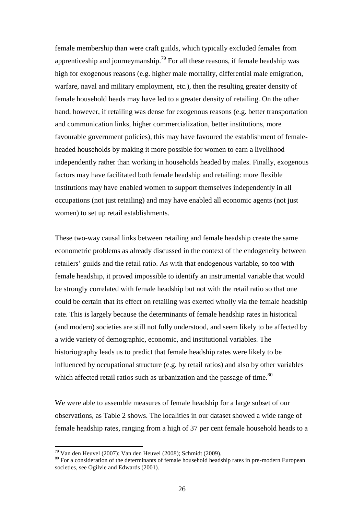female membership than were craft guilds, which typically excluded females from apprenticeship and journeymanship.<sup>79</sup> For all these reasons, if female headship was high for exogenous reasons (e.g. higher male mortality, differential male emigration, warfare, naval and military employment, etc.), then the resulting greater density of female household heads may have led to a greater density of retailing. On the other hand, however, if retailing was dense for exogenous reasons (e.g. better transportation and communication links, higher commercialization, better institutions, more favourable government policies), this may have favoured the establishment of femaleheaded households by making it more possible for women to earn a livelihood independently rather than working in households headed by males. Finally, exogenous factors may have facilitated both female headship and retailing: more flexible institutions may have enabled women to support themselves independently in all occupations (not just retailing) and may have enabled all economic agents (not just women) to set up retail establishments.

These two-way causal links between retailing and female headship create the same econometric problems as already discussed in the context of the endogeneity between retailers' guilds and the retail ratio. As with that endogenous variable, so too with female headship, it proved impossible to identify an instrumental variable that would be strongly correlated with female headship but not with the retail ratio so that one could be certain that its effect on retailing was exerted wholly via the female headship rate. This is largely because the determinants of female headship rates in historical (and modern) societies are still not fully understood, and seem likely to be affected by a wide variety of demographic, economic, and institutional variables. The historiography leads us to predict that female headship rates were likely to be influenced by occupational structure (e.g. by retail ratios) and also by other variables which affected retail ratios such as urbanization and the passage of time.<sup>80</sup>

We were able to assemble measures of female headship for a large subset of our observations, as Table 2 shows. The localities in our dataset showed a wide range of female headship rates, ranging from a high of 37 per cent female household heads to a

 $79$  Van den Heuvel (2007); Van den Heuvel (2008); Schmidt (2009).

<sup>&</sup>lt;sup>80</sup> For a consideration of the determinants of female household headship rates in pre-modern European societies, see Ogilvie and Edwards (2001).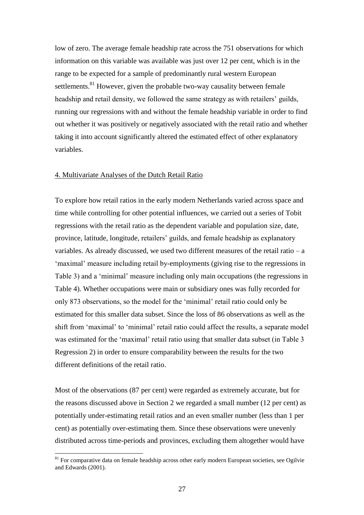low of zero. The average female headship rate across the 751 observations for which information on this variable was available was just over 12 per cent, which is in the range to be expected for a sample of predominantly rural western European settlements.<sup>81</sup> However, given the probable two-way causality between female headship and retail density, we followed the same strategy as with retailers' guilds, running our regressions with and without the female headship variable in order to find out whether it was positively or negatively associated with the retail ratio and whether taking it into account significantly altered the estimated effect of other explanatory variables.

### 4. Multivariate Analyses of the Dutch Retail Ratio

To explore how retail ratios in the early modern Netherlands varied across space and time while controlling for other potential influences, we carried out a series of Tobit regressions with the retail ratio as the dependent variable and population size, date, province, latitude, longitude, retailers' guilds, and female headship as explanatory variables. As already discussed, we used two different measures of the retail ratio – a 'maximal' measure including retail by-employments (giving rise to the regressions in Table 3) and a 'minimal' measure including only main occupations (the regressions in Table 4). Whether occupations were main or subsidiary ones was fully recorded for only 873 observations, so the model for the 'minimal' retail ratio could only be estimated for this smaller data subset. Since the loss of 86 observations as well as the shift from 'maximal' to 'minimal' retail ratio could affect the results, a separate model was estimated for the 'maximal' retail ratio using that smaller data subset (in Table 3 Regression 2) in order to ensure comparability between the results for the two different definitions of the retail ratio.

Most of the observations (87 per cent) were regarded as extremely accurate, but for the reasons discussed above in Section 2 we regarded a small number (12 per cent) as potentially under-estimating retail ratios and an even smaller number (less than 1 per cent) as potentially over-estimating them. Since these observations were unevenly distributed across time-periods and provinces, excluding them altogether would have

 $81$  For comparative data on female headship across other early modern European societies, see Ogilvie and Edwards (2001).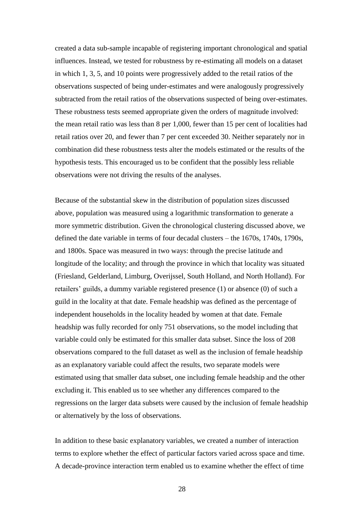created a data sub-sample incapable of registering important chronological and spatial influences. Instead, we tested for robustness by re-estimating all models on a dataset in which 1, 3, 5, and 10 points were progressively added to the retail ratios of the observations suspected of being under-estimates and were analogously progressively subtracted from the retail ratios of the observations suspected of being over-estimates. These robustness tests seemed appropriate given the orders of magnitude involved: the mean retail ratio was less than 8 per 1,000, fewer than 15 per cent of localities had retail ratios over 20, and fewer than 7 per cent exceeded 30. Neither separately nor in combination did these robustness tests alter the models estimated or the results of the hypothesis tests. This encouraged us to be confident that the possibly less reliable observations were not driving the results of the analyses.

Because of the substantial skew in the distribution of population sizes discussed above, population was measured using a logarithmic transformation to generate a more symmetric distribution. Given the chronological clustering discussed above, we defined the date variable in terms of four decadal clusters – the 1670s, 1740s, 1790s, and 1800s. Space was measured in two ways: through the precise latitude and longitude of the locality; and through the province in which that locality was situated (Friesland, Gelderland, Limburg, Overijssel, South Holland, and North Holland). For retailers' guilds, a dummy variable registered presence (1) or absence (0) of such a guild in the locality at that date. Female headship was defined as the percentage of independent households in the locality headed by women at that date. Female headship was fully recorded for only 751 observations, so the model including that variable could only be estimated for this smaller data subset. Since the loss of 208 observations compared to the full dataset as well as the inclusion of female headship as an explanatory variable could affect the results, two separate models were estimated using that smaller data subset, one including female headship and the other excluding it. This enabled us to see whether any differences compared to the regressions on the larger data subsets were caused by the inclusion of female headship or alternatively by the loss of observations.

In addition to these basic explanatory variables, we created a number of interaction terms to explore whether the effect of particular factors varied across space and time. A decade-province interaction term enabled us to examine whether the effect of time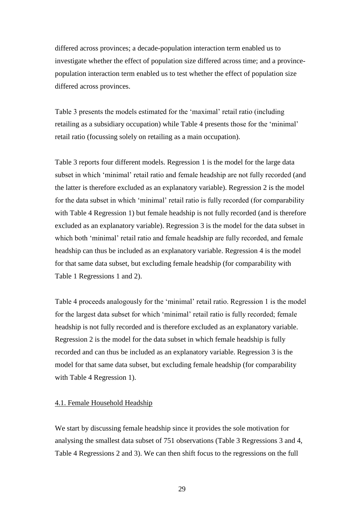differed across provinces; a decade-population interaction term enabled us to investigate whether the effect of population size differed across time; and a provincepopulation interaction term enabled us to test whether the effect of population size differed across provinces.

Table 3 presents the models estimated for the 'maximal' retail ratio (including retailing as a subsidiary occupation) while Table 4 presents those for the 'minimal' retail ratio (focussing solely on retailing as a main occupation).

Table 3 reports four different models. Regression 1 is the model for the large data subset in which 'minimal' retail ratio and female headship are not fully recorded (and the latter is therefore excluded as an explanatory variable). Regression 2 is the model for the data subset in which 'minimal' retail ratio is fully recorded (for comparability with Table 4 Regression 1) but female headship is not fully recorded (and is therefore excluded as an explanatory variable). Regression 3 is the model for the data subset in which both 'minimal' retail ratio and female headship are fully recorded, and female headship can thus be included as an explanatory variable. Regression 4 is the model for that same data subset, but excluding female headship (for comparability with Table 1 Regressions 1 and 2).

Table 4 proceeds analogously for the 'minimal' retail ratio. Regression 1 is the model for the largest data subset for which 'minimal' retail ratio is fully recorded; female headship is not fully recorded and is therefore excluded as an explanatory variable. Regression 2 is the model for the data subset in which female headship is fully recorded and can thus be included as an explanatory variable. Regression 3 is the model for that same data subset, but excluding female headship (for comparability with Table 4 Regression 1).

### 4.1. Female Household Headship

We start by discussing female headship since it provides the sole motivation for analysing the smallest data subset of 751 observations (Table 3 Regressions 3 and 4, Table 4 Regressions 2 and 3). We can then shift focus to the regressions on the full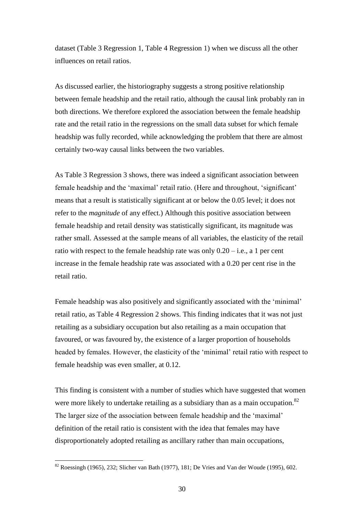dataset (Table 3 Regression 1, Table 4 Regression 1) when we discuss all the other influences on retail ratios.

As discussed earlier, the historiography suggests a strong positive relationship between female headship and the retail ratio, although the causal link probably ran in both directions. We therefore explored the association between the female headship rate and the retail ratio in the regressions on the small data subset for which female headship was fully recorded, while acknowledging the problem that there are almost certainly two-way causal links between the two variables.

As Table 3 Regression 3 shows, there was indeed a significant association between female headship and the 'maximal' retail ratio. (Here and throughout, 'significant' means that a result is statistically significant at or below the 0.05 level; it does not refer to the *magnitude* of any effect.) Although this positive association between female headship and retail density was statistically significant, its magnitude was rather small. Assessed at the sample means of all variables, the elasticity of the retail ratio with respect to the female headship rate was only  $0.20 - i.e., a 1$  per cent increase in the female headship rate was associated with a 0.20 per cent rise in the retail ratio.

Female headship was also positively and significantly associated with the 'minimal' retail ratio, as Table 4 Regression 2 shows. This finding indicates that it was not just retailing as a subsidiary occupation but also retailing as a main occupation that favoured, or was favoured by, the existence of a larger proportion of households headed by females. However, the elasticity of the 'minimal' retail ratio with respect to female headship was even smaller, at 0.12.

This finding is consistent with a number of studies which have suggested that women were more likely to undertake retailing as a subsidiary than as a main occupation.<sup>82</sup> The larger size of the association between female headship and the 'maximal' definition of the retail ratio is consistent with the idea that females may have disproportionately adopted retailing as ancillary rather than main occupations,

 $82$  Roessingh (1965), 232; Slicher van Bath (1977), 181; De Vries and Van der Woude (1995), 602.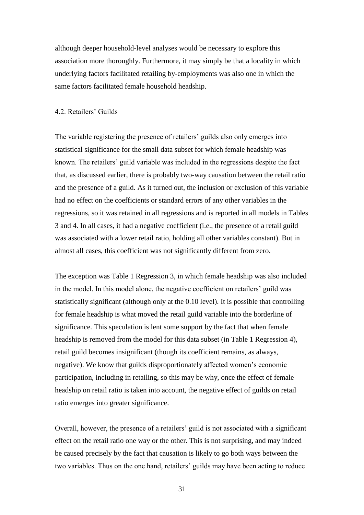although deeper household-level analyses would be necessary to explore this association more thoroughly. Furthermore, it may simply be that a locality in which underlying factors facilitated retailing by-employments was also one in which the same factors facilitated female household headship.

### 4.2. Retailers' Guilds

The variable registering the presence of retailers' guilds also only emerges into statistical significance for the small data subset for which female headship was known. The retailers' guild variable was included in the regressions despite the fact that, as discussed earlier, there is probably two-way causation between the retail ratio and the presence of a guild. As it turned out, the inclusion or exclusion of this variable had no effect on the coefficients or standard errors of any other variables in the regressions, so it was retained in all regressions and is reported in all models in Tables 3 and 4. In all cases, it had a negative coefficient (i.e., the presence of a retail guild was associated with a lower retail ratio, holding all other variables constant). But in almost all cases, this coefficient was not significantly different from zero.

The exception was Table 1 Regression 3, in which female headship was also included in the model. In this model alone, the negative coefficient on retailers' guild was statistically significant (although only at the 0.10 level). It is possible that controlling for female headship is what moved the retail guild variable into the borderline of significance. This speculation is lent some support by the fact that when female headship is removed from the model for this data subset (in Table 1 Regression 4), retail guild becomes insignificant (though its coefficient remains, as always, negative). We know that guilds disproportionately affected women's economic participation, including in retailing, so this may be why, once the effect of female headship on retail ratio is taken into account, the negative effect of guilds on retail ratio emerges into greater significance.

Overall, however, the presence of a retailers' guild is not associated with a significant effect on the retail ratio one way or the other. This is not surprising, and may indeed be caused precisely by the fact that causation is likely to go both ways between the two variables. Thus on the one hand, retailers' guilds may have been acting to reduce

31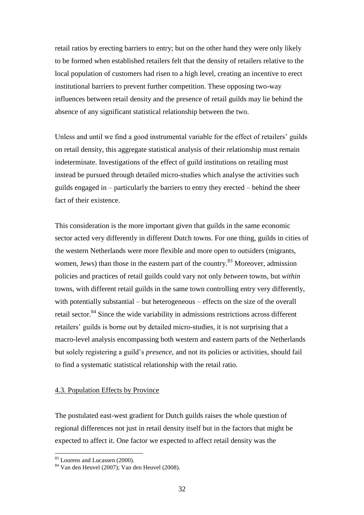retail ratios by erecting barriers to entry; but on the other hand they were only likely to be formed when established retailers felt that the density of retailers relative to the local population of customers had risen to a high level, creating an incentive to erect institutional barriers to prevent further competition. These opposing two-way influences between retail density and the presence of retail guilds may lie behind the absence of any significant statistical relationship between the two.

Unless and until we find a good instrumental variable for the effect of retailers' guilds on retail density, this aggregate statistical analysis of their relationship must remain indeterminate. Investigations of the effect of guild institutions on retailing must instead be pursued through detailed micro-studies which analyse the activities such guilds engaged in – particularly the barriers to entry they erected – behind the sheer fact of their existence.

This consideration is the more important given that guilds in the same economic sector acted very differently in different Dutch towns. For one thing, guilds in cities of the western Netherlands were more flexible and more open to outsiders (migrants, women, Jews) than those in the eastern part of the country.<sup>83</sup> Moreover, admission policies and practices of retail guilds could vary not only *between* towns, but *within* towns, with different retail guilds in the same town controlling entry very differently, with potentially substantial – but heterogeneous – effects on the size of the overall retail sector.<sup>84</sup> Since the wide variability in admissions restrictions across different retailers' guilds is borne out by detailed micro-studies, it is not surprising that a macro-level analysis encompassing both western and eastern parts of the Netherlands but solely registering a guild's *presence*, and not its policies or activities, should fail to find a systematic statistical relationship with the retail ratio.

#### 4.3. Population Effects by Province

The postulated east-west gradient for Dutch guilds raises the whole question of regional differences not just in retail density itself but in the factors that might be expected to affect it. One factor we expected to affect retail density was the

<sup>&</sup>lt;sup>83</sup> Lourens and Lucassen (2000).

 $84$  Van den Heuvel (2007); Van den Heuvel (2008).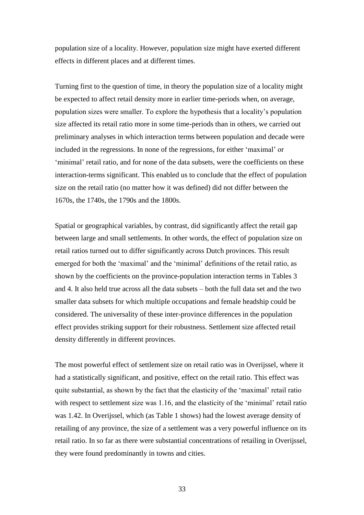population size of a locality. However, population size might have exerted different effects in different places and at different times.

Turning first to the question of time, in theory the population size of a locality might be expected to affect retail density more in earlier time-periods when, on average, population sizes were smaller. To explore the hypothesis that a locality's population size affected its retail ratio more in some time-periods than in others, we carried out preliminary analyses in which interaction terms between population and decade were included in the regressions. In none of the regressions, for either 'maximal' or 'minimal' retail ratio, and for none of the data subsets, were the coefficients on these interaction-terms significant. This enabled us to conclude that the effect of population size on the retail ratio (no matter how it was defined) did not differ between the 1670s, the 1740s, the 1790s and the 1800s.

Spatial or geographical variables, by contrast, did significantly affect the retail gap between large and small settlements. In other words, the effect of population size on retail ratios turned out to differ significantly across Dutch provinces. This result emerged for both the 'maximal' and the 'minimal' definitions of the retail ratio, as shown by the coefficients on the province-population interaction terms in Tables 3 and 4. It also held true across all the data subsets – both the full data set and the two smaller data subsets for which multiple occupations and female headship could be considered. The universality of these inter-province differences in the population effect provides striking support for their robustness. Settlement size affected retail density differently in different provinces.

The most powerful effect of settlement size on retail ratio was in Overijssel, where it had a statistically significant, and positive, effect on the retail ratio. This effect was quite substantial, as shown by the fact that the elasticity of the 'maximal' retail ratio with respect to settlement size was 1.16, and the elasticity of the 'minimal' retail ratio was 1.42. In Overijssel, which (as Table 1 shows) had the lowest average density of retailing of any province, the size of a settlement was a very powerful influence on its retail ratio. In so far as there were substantial concentrations of retailing in Overijssel, they were found predominantly in towns and cities.

33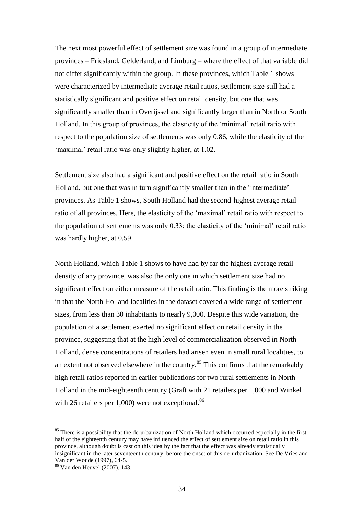The next most powerful effect of settlement size was found in a group of intermediate provinces – Friesland, Gelderland, and Limburg – where the effect of that variable did not differ significantly within the group. In these provinces, which Table 1 shows were characterized by intermediate average retail ratios, settlement size still had a statistically significant and positive effect on retail density, but one that was significantly smaller than in Overijssel and significantly larger than in North or South Holland. In this group of provinces, the elasticity of the 'minimal' retail ratio with respect to the population size of settlements was only 0.86, while the elasticity of the 'maximal' retail ratio was only slightly higher, at 1.02.

Settlement size also had a significant and positive effect on the retail ratio in South Holland, but one that was in turn significantly smaller than in the 'intermediate' provinces. As Table 1 shows, South Holland had the second-highest average retail ratio of all provinces. Here, the elasticity of the 'maximal' retail ratio with respect to the population of settlements was only 0.33; the elasticity of the 'minimal' retail ratio was hardly higher, at 0.59.

North Holland, which Table 1 shows to have had by far the highest average retail density of any province, was also the only one in which settlement size had no significant effect on either measure of the retail ratio. This finding is the more striking in that the North Holland localities in the dataset covered a wide range of settlement sizes, from less than 30 inhabitants to nearly 9,000. Despite this wide variation, the population of a settlement exerted no significant effect on retail density in the province, suggesting that at the high level of commercialization observed in North Holland, dense concentrations of retailers had arisen even in small rural localities, to an extent not observed elsewhere in the country.<sup>85</sup> This confirms that the remarkably high retail ratios reported in earlier publications for two rural settlements in North Holland in the mid-eighteenth century (Graft with 21 retailers per 1,000 and Winkel with 26 retailers per 1,000) were not exceptional.<sup>86</sup>

<sup>&</sup>lt;sup>85</sup> There is a possibility that the de-urbanization of North Holland which occurred especially in the first half of the eighteenth century may have influenced the effect of settlement size on retail ratio in this province, although doubt is cast on this idea by the fact that the effect was already statistically insignificant in the later seventeenth century, before the onset of this de-urbanization. See De Vries and Van der Woude (1997), 64-5.

<sup>86</sup> Van den Heuvel (2007), 143.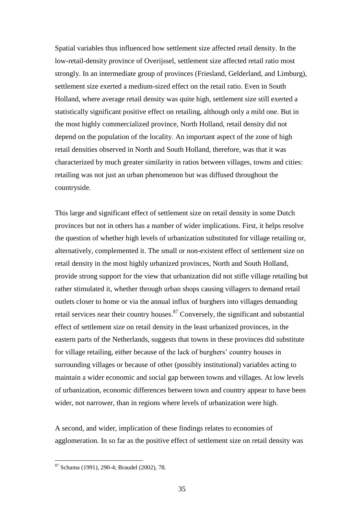Spatial variables thus influenced how settlement size affected retail density. In the low-retail-density province of Overijssel, settlement size affected retail ratio most strongly. In an intermediate group of provinces (Friesland, Gelderland, and Limburg), settlement size exerted a medium-sized effect on the retail ratio. Even in South Holland, where average retail density was quite high, settlement size still exerted a statistically significant positive effect on retailing, although only a mild one. But in the most highly commercialized province, North Holland, retail density did not depend on the population of the locality. An important aspect of the zone of high retail densities observed in North and South Holland, therefore, was that it was characterized by much greater similarity in ratios between villages, towns and cities: retailing was not just an urban phenomenon but was diffused throughout the countryside.

This large and significant effect of settlement size on retail density in some Dutch provinces but not in others has a number of wider implications. First, it helps resolve the question of whether high levels of urbanization substituted for village retailing or, alternatively, complemented it. The small or non-existent effect of settlement size on retail density in the most highly urbanized provinces, North and South Holland, provide strong support for the view that urbanization did not stifle village retailing but rather stimulated it, whether through urban shops causing villagers to demand retail outlets closer to home or via the annual influx of burghers into villages demanding retail services near their country houses.<sup>87</sup> Conversely, the significant and substantial effect of settlement size on retail density in the least urbanized provinces, in the eastern parts of the Netherlands, suggests that towns in these provinces did substitute for village retailing, either because of the lack of burghers' country houses in surrounding villages or because of other (possibly institutional) variables acting to maintain a wider economic and social gap between towns and villages. At low levels of urbanization, economic differences between town and country appear to have been wider, not narrower, than in regions where levels of urbanization were high.

A second, and wider, implication of these findings relates to economies of agglomeration. In so far as the positive effect of settlement size on retail density was

<sup>87</sup> Schama (1991), 290-4; Braudel (2002), 78.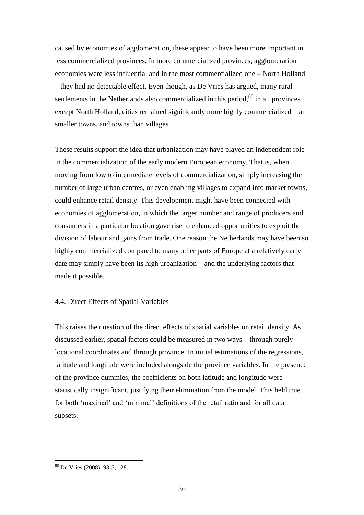caused by economies of agglomeration, these appear to have been more important in less commercialized provinces. In more commercialized provinces, agglomeration economies were less influential and in the most commercialized one – North Holland – they had no detectable effect. Even though, as De Vries has argued, many rural settlements in the Netherlands also commercialized in this period, $88$  in all provinces except North Holland, cities remained significantly more highly commercialized than smaller towns, and towns than villages.

These results support the idea that urbanization may have played an independent role in the commercialization of the early modern European economy. That is, when moving from low to intermediate levels of commercialization, simply increasing the number of large urban centres, or even enabling villages to expand into market towns, could enhance retail density. This development might have been connected with economies of agglomeration, in which the larger number and range of producers and consumers in a particular location gave rise to enhanced opportunities to exploit the division of labour and gains from trade. One reason the Netherlands may have been so highly commercialized compared to many other parts of Europe at a relatively early date may simply have been its high urbanization – and the underlying factors that made it possible.

## 4.4. Direct Effects of Spatial Variables

This raises the question of the direct effects of spatial variables on retail density. As discussed earlier, spatial factors could be measured in two ways – through purely locational coordinates and through province. In initial estimations of the regressions, latitude and longitude were included alongside the province variables. In the presence of the province dummies, the coefficients on both latitude and longitude were statistically insignificant, justifying their elimination from the model. This held true for both 'maximal' and 'minimal' definitions of the retail ratio and for all data subsets.

<sup>88</sup> De Vries (2008), 93-5, 128.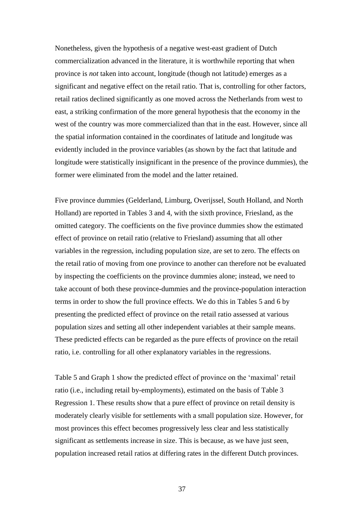Nonetheless, given the hypothesis of a negative west-east gradient of Dutch commercialization advanced in the literature, it is worthwhile reporting that when province is *not* taken into account, longitude (though not latitude) emerges as a significant and negative effect on the retail ratio. That is, controlling for other factors, retail ratios declined significantly as one moved across the Netherlands from west to east, a striking confirmation of the more general hypothesis that the economy in the west of the country was more commercialized than that in the east. However, since all the spatial information contained in the coordinates of latitude and longitude was evidently included in the province variables (as shown by the fact that latitude and longitude were statistically insignificant in the presence of the province dummies), the former were eliminated from the model and the latter retained.

Five province dummies (Gelderland, Limburg, Overijssel, South Holland, and North Holland) are reported in Tables 3 and 4, with the sixth province, Friesland, as the omitted category. The coefficients on the five province dummies show the estimated effect of province on retail ratio (relative to Friesland) assuming that all other variables in the regression, including population size, are set to zero. The effects on the retail ratio of moving from one province to another can therefore not be evaluated by inspecting the coefficients on the province dummies alone; instead, we need to take account of both these province-dummies and the province-population interaction terms in order to show the full province effects. We do this in Tables 5 and 6 by presenting the predicted effect of province on the retail ratio assessed at various population sizes and setting all other independent variables at their sample means. These predicted effects can be regarded as the pure effects of province on the retail ratio, i.e. controlling for all other explanatory variables in the regressions.

Table 5 and Graph 1 show the predicted effect of province on the 'maximal' retail ratio (i.e., including retail by-employments), estimated on the basis of Table 3 Regression 1. These results show that a pure effect of province on retail density is moderately clearly visible for settlements with a small population size. However, for most provinces this effect becomes progressively less clear and less statistically significant as settlements increase in size. This is because, as we have just seen, population increased retail ratios at differing rates in the different Dutch provinces.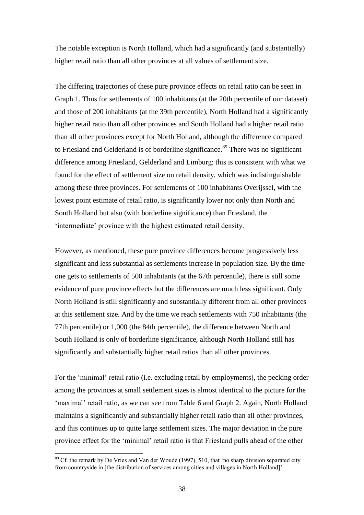The notable exception is North Holland, which had a significantly (and substantially) higher retail ratio than all other provinces at all values of settlement size.

The differing trajectories of these pure province effects on retail ratio can be seen in Graph 1. Thus for settlements of 100 inhabitants (at the 20th percentile of our dataset) and those of 200 inhabitants (at the 39th percentile), North Holland had a significantly higher retail ratio than all other provinces and South Holland had a higher retail ratio than all other provinces except for North Holland, although the difference compared to Friesland and Gelderland is of borderline significance.<sup>89</sup> There was no significant difference among Friesland, Gelderland and Limburg: this is consistent with what we found for the effect of settlement size on retail density, which was indistinguishable among these three provinces. For settlements of 100 inhabitants Overijssel, with the lowest point estimate of retail ratio, is significantly lower not only than North and South Holland but also (with borderline significance) than Friesland, the 'intermediate' province with the highest estimated retail density.

However, as mentioned, these pure province differences become progressively less significant and less substantial as settlements increase in population size. By the time one gets to settlements of 500 inhabitants (at the 67th percentile), there is still some evidence of pure province effects but the differences are much less significant. Only North Holland is still significantly and substantially different from all other provinces at this settlement size. And by the time we reach settlements with 750 inhabitants (the 77th percentile) or 1,000 (the 84th percentile), the difference between North and South Holland is only of borderline significance, although North Holland still has significantly and substantially higher retail ratios than all other provinces.

For the 'minimal' retail ratio (i.e. excluding retail by-employments), the pecking order among the provinces at small settlement sizes is almost identical to the picture for the 'maximal' retail ratio, as we can see from Table 6 and Graph 2. Again, North Holland maintains a significantly and substantially higher retail ratio than all other provinces, and this continues up to quite large settlement sizes. The major deviation in the pure province effect for the 'minimal' retail ratio is that Friesland pulls ahead of the other

 $89$  Cf. the remark by De Vries and Van der Woude (1997), 510, that 'no sharp division separated city from countryside in [the distribution of services among cities and villages in North Holland]'.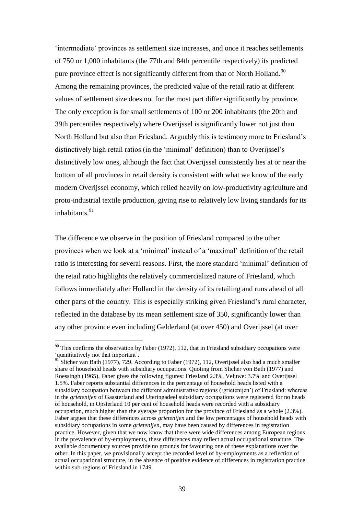'intermediate' provinces as settlement size increases, and once it reaches settlements of 750 or 1,000 inhabitants (the 77th and 84th percentile respectively) its predicted pure province effect is not significantly different from that of North Holland.<sup>90</sup> Among the remaining provinces, the predicted value of the retail ratio at different values of settlement size does not for the most part differ significantly by province. The only exception is for small settlements of 100 or 200 inhabitants (the 20th and 39th percentiles respectively) where Overijssel is significantly lower not just than North Holland but also than Friesland. Arguably this is testimony more to Friesland's distinctively high retail ratios (in the 'minimal' definition) than to Overijssel's distinctively low ones, although the fact that Overijssel consistently lies at or near the bottom of all provinces in retail density is consistent with what we know of the early modern Overijssel economy, which relied heavily on low-productivity agriculture and proto-industrial textile production, giving rise to relatively low living standards for its inhabitants.<sup>91</sup>

The difference we observe in the position of Friesland compared to the other provinces when we look at a 'minimal' instead of a 'maximal' definition of the retail ratio is interesting for several reasons. First, the more standard 'minimal' definition of the retail ratio highlights the relatively commercialized nature of Friesland, which follows immediately after Holland in the density of its retailing and runs ahead of all other parts of the country. This is especially striking given Friesland's rural character, reflected in the database by its mean settlement size of 350, significantly lower than any other province even including Gelderland (at over 450) and Overijssel (at over

 $90$  This confirms the observation by Faber (1972), 112, that in Friesland subsidiary occupations were 'quantitatively not that important'.

 $91'$ Slicher van Bath (1977), 729. According to Faber (1972), 112, Overijssel also had a much smaller share of household heads with subsidiary occupations. Quoting from Slicher von Bath (1977) and Roessingh (1965), Faber gives the following figures: Friesland 2.3%, Veluwe: 3.7% and Overijssel 1.5%. Faber reports substantial differences in the percentage of household heads listed with a subsidiary occupation between the different administrative regions ('grietenijen') of Friesland: whereas in the *grietenijen* of Gaasterland and Uteringadeel subsidiary occupations were registered for no heads of household, in Opsterland 10 per cent of household heads were recorded with a subsidiary occupation, much higher than the average proportion for the province of Friesland as a whole (2.3%). Faber argues that these differences across *grietenijen* and the low percentages of household heads with subsidiary occupations in some *grietenijen*, may have been caused by differences in registration practice. However, given that we now know that there were wide differences among European regions in the prevalence of by-employments, these differences may reflect actual occupational structure. The available documentary sources provide no grounds for favouring one of these explanations over the other. In this paper, we provisionally accept the recorded level of by-employments as a reflection of actual occupational structure, in the absence of positive evidence of differences in registration practice within sub-regions of Friesland in 1749.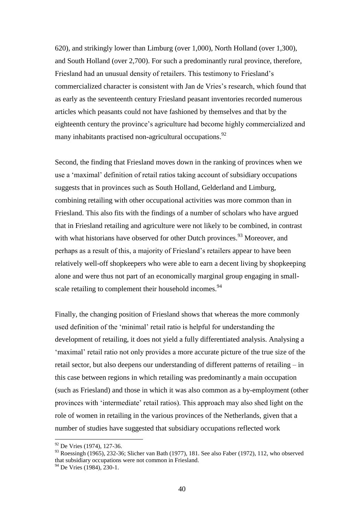620), and strikingly lower than Limburg (over 1,000), North Holland (over 1,300), and South Holland (over 2,700). For such a predominantly rural province, therefore, Friesland had an unusual density of retailers. This testimony to Friesland's commercialized character is consistent with Jan de Vries's research, which found that as early as the seventeenth century Friesland peasant inventories recorded numerous articles which peasants could not have fashioned by themselves and that by the eighteenth century the province's agriculture had become highly commercialized and many inhabitants practised non-agricultural occupations.<sup>92</sup>

Second, the finding that Friesland moves down in the ranking of provinces when we use a 'maximal' definition of retail ratios taking account of subsidiary occupations suggests that in provinces such as South Holland, Gelderland and Limburg, combining retailing with other occupational activities was more common than in Friesland. This also fits with the findings of a number of scholars who have argued that in Friesland retailing and agriculture were not likely to be combined, in contrast with what historians have observed for other Dutch provinces.<sup>93</sup> Moreover, and perhaps as a result of this, a majority of Friesland's retailers appear to have been relatively well-off shopkeepers who were able to earn a decent living by shopkeeping alone and were thus not part of an economically marginal group engaging in smallscale retailing to complement their household incomes.<sup>94</sup>

Finally, the changing position of Friesland shows that whereas the more commonly used definition of the 'minimal' retail ratio is helpful for understanding the development of retailing, it does not yield a fully differentiated analysis. Analysing a 'maximal' retail ratio not only provides a more accurate picture of the true size of the retail sector, but also deepens our understanding of different patterns of retailing – in this case between regions in which retailing was predominantly a main occupation (such as Friesland) and those in which it was also common as a by-employment (other provinces with 'intermediate' retail ratios). This approach may also shed light on the role of women in retailing in the various provinces of the Netherlands, given that a number of studies have suggested that subsidiary occupations reflected work

<sup>&</sup>lt;sup>92</sup> De Vries (1974), 127-36.

<sup>93</sup> Roessingh (1965), 232-36; Slicher van Bath (1977), 181. See also Faber (1972), 112, who observed that subsidiary occupations were not common in Friesland.

 $94$  De Vries (1984), 230-1.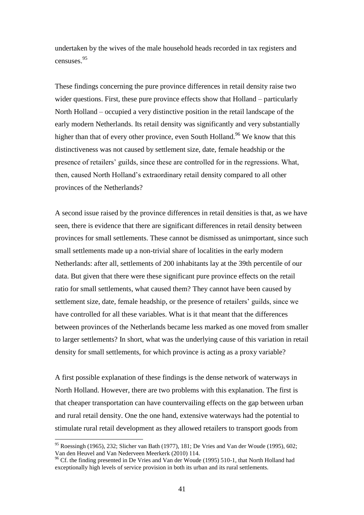undertaken by the wives of the male household heads recorded in tax registers and censuses.<sup>95</sup>

These findings concerning the pure province differences in retail density raise two wider questions. First, these pure province effects show that Holland – particularly North Holland – occupied a very distinctive position in the retail landscape of the early modern Netherlands. Its retail density was significantly and very substantially higher than that of every other province, even South Holland.<sup>96</sup> We know that this distinctiveness was not caused by settlement size, date, female headship or the presence of retailers' guilds, since these are controlled for in the regressions. What, then, caused North Holland's extraordinary retail density compared to all other provinces of the Netherlands?

A second issue raised by the province differences in retail densities is that, as we have seen, there is evidence that there are significant differences in retail density between provinces for small settlements. These cannot be dismissed as unimportant, since such small settlements made up a non-trivial share of localities in the early modern Netherlands: after all, settlements of 200 inhabitants lay at the 39th percentile of our data. But given that there were these significant pure province effects on the retail ratio for small settlements, what caused them? They cannot have been caused by settlement size, date, female headship, or the presence of retailers' guilds, since we have controlled for all these variables. What is it that meant that the differences between provinces of the Netherlands became less marked as one moved from smaller to larger settlements? In short, what was the underlying cause of this variation in retail density for small settlements, for which province is acting as a proxy variable?

A first possible explanation of these findings is the dense network of waterways in North Holland. However, there are two problems with this explanation. The first is that cheaper transportation can have countervailing effects on the gap between urban and rural retail density. One the one hand, extensive waterways had the potential to stimulate rural retail development as they allowed retailers to transport goods from

<sup>&</sup>lt;sup>95</sup> Roessingh (1965), 232; Slicher van Bath (1977), 181; De Vries and Van der Woude (1995), 602; Van den Heuvel and Van Nederveen Meerkerk (2010) 114.

<sup>&</sup>lt;sup>96</sup> Cf. the finding presented in De Vries and Van der Woude (1995) 510-1, that North Holland had exceptionally high levels of service provision in both its urban and its rural settlements.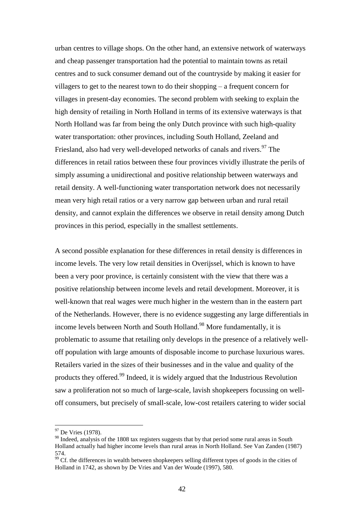urban centres to village shops. On the other hand, an extensive network of waterways and cheap passenger transportation had the potential to maintain towns as retail centres and to suck consumer demand out of the countryside by making it easier for villagers to get to the nearest town to do their shopping – a frequent concern for villages in present-day economies. The second problem with seeking to explain the high density of retailing in North Holland in terms of its extensive waterways is that North Holland was far from being the only Dutch province with such high-quality water transportation: other provinces, including South Holland, Zeeland and Friesland, also had very well-developed networks of canals and rivers.<sup>97</sup> The differences in retail ratios between these four provinces vividly illustrate the perils of simply assuming a unidirectional and positive relationship between waterways and retail density. A well-functioning water transportation network does not necessarily mean very high retail ratios or a very narrow gap between urban and rural retail density, and cannot explain the differences we observe in retail density among Dutch provinces in this period, especially in the smallest settlements.

A second possible explanation for these differences in retail density is differences in income levels. The very low retail densities in Overijssel, which is known to have been a very poor province, is certainly consistent with the view that there was a positive relationship between income levels and retail development. Moreover, it is well-known that real wages were much higher in the western than in the eastern part of the Netherlands. However, there is no evidence suggesting any large differentials in income levels between North and South Holland. <sup>98</sup> More fundamentally, it is problematic to assume that retailing only develops in the presence of a relatively welloff population with large amounts of disposable income to purchase luxurious wares. Retailers varied in the sizes of their businesses and in the value and quality of the products they offered.<sup>99</sup> Indeed, it is widely argued that the Industrious Revolution saw a proliferation not so much of large-scale, lavish shopkeepers focussing on welloff consumers, but precisely of small-scale, low-cost retailers catering to wider social

<sup>&</sup>lt;sup>97</sup> De Vries (1978).

<sup>&</sup>lt;sup>98</sup> Indeed, analysis of the 1808 tax registers suggests that by that period some rural areas in South Holland actually had higher income levels than rural areas in North Holland. See Van Zanden (1987) 574.

 $\frac{99}{2}$  Cf. the differences in wealth between shopkeepers selling different types of goods in the cities of Holland in 1742, as shown by De Vries and Van der Woude (1997), 580.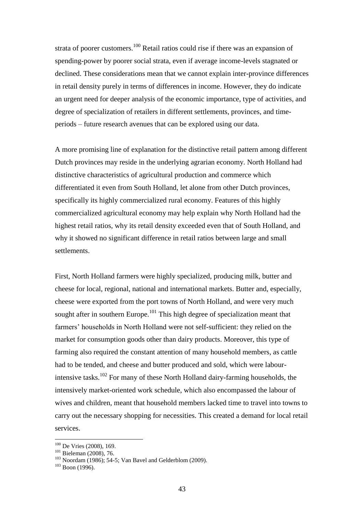strata of poorer customers.<sup>100</sup> Retail ratios could rise if there was an expansion of spending-power by poorer social strata, even if average income-levels stagnated or declined. These considerations mean that we cannot explain inter-province differences in retail density purely in terms of differences in income. However, they do indicate an urgent need for deeper analysis of the economic importance, type of activities, and degree of specialization of retailers in different settlements, provinces, and timeperiods – future research avenues that can be explored using our data.

A more promising line of explanation for the distinctive retail pattern among different Dutch provinces may reside in the underlying agrarian economy. North Holland had distinctive characteristics of agricultural production and commerce which differentiated it even from South Holland, let alone from other Dutch provinces, specifically its highly commercialized rural economy. Features of this highly commercialized agricultural economy may help explain why North Holland had the highest retail ratios, why its retail density exceeded even that of South Holland, and why it showed no significant difference in retail ratios between large and small settlements.

First, North Holland farmers were highly specialized, producing milk, butter and cheese for local, regional, national and international markets. Butter and, especially, cheese were exported from the port towns of North Holland, and were very much sought after in southern Europe.<sup>101</sup> This high degree of specialization meant that farmers' households in North Holland were not self-sufficient: they relied on the market for consumption goods other than dairy products. Moreover, this type of farming also required the constant attention of many household members, as cattle had to be tended, and cheese and butter produced and sold, which were labourintensive tasks.<sup>102</sup> For many of these North Holland dairy-farming households, the intensively market-oriented work schedule, which also encompassed the labour of wives and children, meant that household members lacked time to travel into towns to carry out the necessary shopping for necessities. This created a demand for local retail services.

<sup>&</sup>lt;sup>100</sup> De Vries (2008), 169.

<sup>101</sup> Bieleman (2008), 76.

<sup>103</sup> Noordam (1986); 54-5; Van Bavel and Gelderblom (2009).

 $103$  Boon (1996).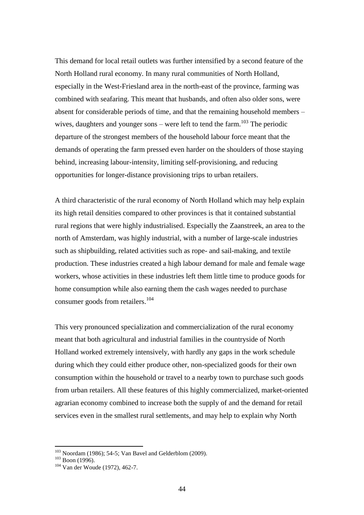This demand for local retail outlets was further intensified by a second feature of the North Holland rural economy. In many rural communities of North Holland, especially in the West-Friesland area in the north-east of the province, farming was combined with seafaring. This meant that husbands, and often also older sons, were absent for considerable periods of time, and that the remaining household members – wives, daughters and younger sons – were left to tend the farm.<sup>103</sup> The periodic departure of the strongest members of the household labour force meant that the demands of operating the farm pressed even harder on the shoulders of those staying behind, increasing labour-intensity, limiting self-provisioning, and reducing opportunities for longer-distance provisioning trips to urban retailers.

A third characteristic of the rural economy of North Holland which may help explain its high retail densities compared to other provinces is that it contained substantial rural regions that were highly industrialised. Especially the Zaanstreek, an area to the north of Amsterdam, was highly industrial, with a number of large-scale industries such as shipbuilding, related activities such as rope- and sail-making, and textile production. These industries created a high labour demand for male and female wage workers, whose activities in these industries left them little time to produce goods for home consumption while also earning them the cash wages needed to purchase consumer goods from retailers. 104

This very pronounced specialization and commercialization of the rural economy meant that both agricultural and industrial families in the countryside of North Holland worked extremely intensively, with hardly any gaps in the work schedule during which they could either produce other, non-specialized goods for their own consumption within the household or travel to a nearby town to purchase such goods from urban retailers. All these features of this highly commercialized, market-oriented agrarian economy combined to increase both the supply of and the demand for retail services even in the smallest rural settlements, and may help to explain why North

<sup>&</sup>lt;sup>103</sup> Noordam (1986); 54-5; Van Bavel and Gelderblom (2009).

 $103$  Boon (1996).

<sup>104</sup> Van der Woude (1972), 462-7.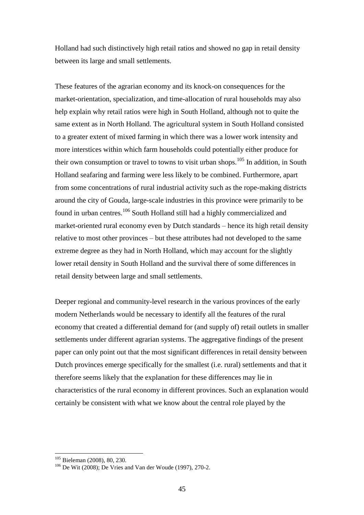Holland had such distinctively high retail ratios and showed no gap in retail density between its large and small settlements.

These features of the agrarian economy and its knock-on consequences for the market-orientation, specialization, and time-allocation of rural households may also help explain why retail ratios were high in South Holland, although not to quite the same extent as in North Holland. The agricultural system in South Holland consisted to a greater extent of mixed farming in which there was a lower work intensity and more interstices within which farm households could potentially either produce for their own consumption or travel to towns to visit urban shops.<sup>105</sup> In addition, in South Holland seafaring and farming were less likely to be combined. Furthermore, apart from some concentrations of rural industrial activity such as the rope-making districts around the city of Gouda, large-scale industries in this province were primarily to be found in urban centres.<sup>106</sup> South Holland still had a highly commercialized and market-oriented rural economy even by Dutch standards – hence its high retail density relative to most other provinces – but these attributes had not developed to the same extreme degree as they had in North Holland, which may account for the slightly lower retail density in South Holland and the survival there of some differences in retail density between large and small settlements.

Deeper regional and community-level research in the various provinces of the early modern Netherlands would be necessary to identify all the features of the rural economy that created a differential demand for (and supply of) retail outlets in smaller settlements under different agrarian systems. The aggregative findings of the present paper can only point out that the most significant differences in retail density between Dutch provinces emerge specifically for the smallest (i.e. rural) settlements and that it therefore seems likely that the explanation for these differences may lie in characteristics of the rural economy in different provinces. Such an explanation would certainly be consistent with what we know about the central role played by the

<sup>&</sup>lt;sup>105</sup> Bieleman (2008), 80, 230.

 $106$  De Wit (2008); De Vries and Van der Woude (1997), 270-2.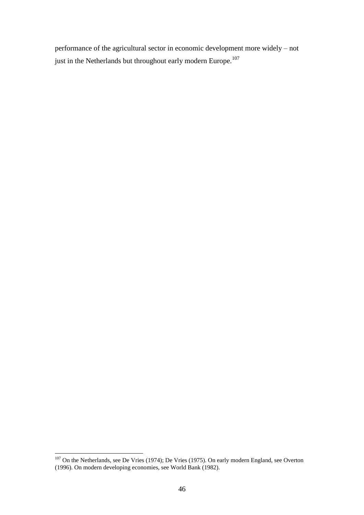performance of the agricultural sector in economic development more widely – not just in the Netherlands but throughout early modern Europe. $^{107}$ 

 $107$  On the Netherlands, see De Vries (1974); De Vries (1975). On early modern England, see Overton (1996). On modern developing economies, see World Bank (1982).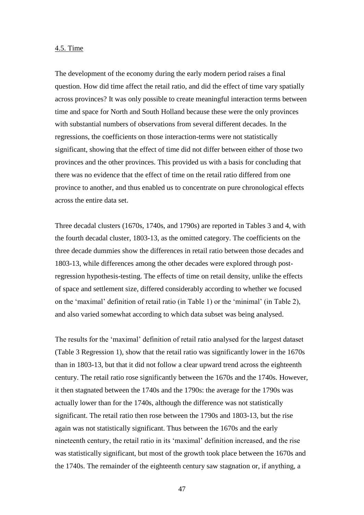### 4.5. Time

The development of the economy during the early modern period raises a final question. How did time affect the retail ratio, and did the effect of time vary spatially across provinces? It was only possible to create meaningful interaction terms between time and space for North and South Holland because these were the only provinces with substantial numbers of observations from several different decades. In the regressions, the coefficients on those interaction-terms were not statistically significant, showing that the effect of time did not differ between either of those two provinces and the other provinces. This provided us with a basis for concluding that there was no evidence that the effect of time on the retail ratio differed from one province to another, and thus enabled us to concentrate on pure chronological effects across the entire data set.

Three decadal clusters (1670s, 1740s, and 1790s) are reported in Tables 3 and 4, with the fourth decadal cluster, 1803-13, as the omitted category. The coefficients on the three decade dummies show the differences in retail ratio between those decades and 1803-13, while differences among the other decades were explored through postregression hypothesis-testing. The effects of time on retail density, unlike the effects of space and settlement size, differed considerably according to whether we focused on the 'maximal' definition of retail ratio (in Table 1) or the 'minimal' (in Table 2), and also varied somewhat according to which data subset was being analysed.

The results for the 'maximal' definition of retail ratio analysed for the largest dataset (Table 3 Regression 1), show that the retail ratio was significantly lower in the 1670s than in 1803-13, but that it did not follow a clear upward trend across the eighteenth century. The retail ratio rose significantly between the 1670s and the 1740s. However, it then stagnated between the 1740s and the 1790s: the average for the 1790s was actually lower than for the 1740s, although the difference was not statistically significant. The retail ratio then rose between the 1790s and 1803-13, but the rise again was not statistically significant. Thus between the 1670s and the early nineteenth century, the retail ratio in its 'maximal' definition increased, and the rise was statistically significant, but most of the growth took place between the 1670s and the 1740s. The remainder of the eighteenth century saw stagnation or, if anything, a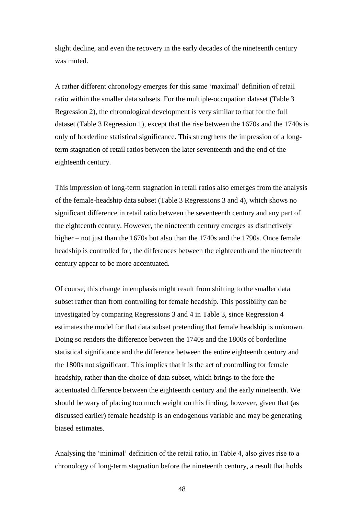slight decline, and even the recovery in the early decades of the nineteenth century was muted.

A rather different chronology emerges for this same 'maximal' definition of retail ratio within the smaller data subsets. For the multiple-occupation dataset (Table 3 Regression 2), the chronological development is very similar to that for the full dataset (Table 3 Regression 1), except that the rise between the 1670s and the 1740s is only of borderline statistical significance. This strengthens the impression of a longterm stagnation of retail ratios between the later seventeenth and the end of the eighteenth century.

This impression of long-term stagnation in retail ratios also emerges from the analysis of the female-headship data subset (Table 3 Regressions 3 and 4), which shows no significant difference in retail ratio between the seventeenth century and any part of the eighteenth century. However, the nineteenth century emerges as distinctively higher – not just than the 1670s but also than the 1740s and the 1790s. Once female headship is controlled for, the differences between the eighteenth and the nineteenth century appear to be more accentuated.

Of course, this change in emphasis might result from shifting to the smaller data subset rather than from controlling for female headship. This possibility can be investigated by comparing Regressions 3 and 4 in Table 3, since Regression 4 estimates the model for that data subset pretending that female headship is unknown. Doing so renders the difference between the 1740s and the 1800s of borderline statistical significance and the difference between the entire eighteenth century and the 1800s not significant. This implies that it is the act of controlling for female headship, rather than the choice of data subset, which brings to the fore the accentuated difference between the eighteenth century and the early nineteenth. We should be wary of placing too much weight on this finding, however, given that (as discussed earlier) female headship is an endogenous variable and may be generating biased estimates.

Analysing the 'minimal' definition of the retail ratio, in Table 4, also gives rise to a chronology of long-term stagnation before the nineteenth century, a result that holds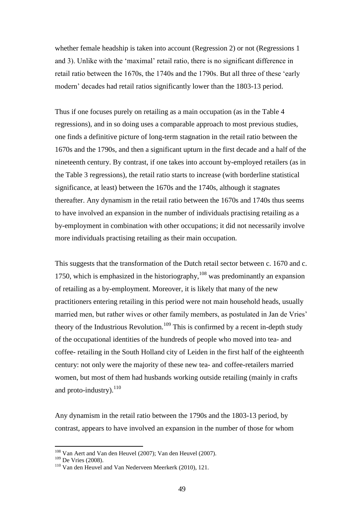whether female headship is taken into account (Regression 2) or not (Regressions 1 and 3). Unlike with the 'maximal' retail ratio, there is no significant difference in retail ratio between the 1670s, the 1740s and the 1790s. But all three of these 'early modern' decades had retail ratios significantly lower than the 1803-13 period.

Thus if one focuses purely on retailing as a main occupation (as in the Table 4 regressions), and in so doing uses a comparable approach to most previous studies, one finds a definitive picture of long-term stagnation in the retail ratio between the 1670s and the 1790s, and then a significant upturn in the first decade and a half of the nineteenth century. By contrast, if one takes into account by-employed retailers (as in the Table 3 regressions), the retail ratio starts to increase (with borderline statistical significance, at least) between the 1670s and the 1740s, although it stagnates thereafter. Any dynamism in the retail ratio between the 1670s and 1740s thus seems to have involved an expansion in the number of individuals practising retailing as a by-employment in combination with other occupations; it did not necessarily involve more individuals practising retailing as their main occupation.

This suggests that the transformation of the Dutch retail sector between c. 1670 and c. 1750, which is emphasized in the historiography, $108$  was predominantly an expansion of retailing as a by-employment. Moreover, it is likely that many of the new practitioners entering retailing in this period were not main household heads, usually married men, but rather wives or other family members, as postulated in Jan de Vries' theory of the Industrious Revolution.<sup>109</sup> This is confirmed by a recent in-depth study of the occupational identities of the hundreds of people who moved into tea- and coffee- retailing in the South Holland city of Leiden in the first half of the eighteenth century: not only were the majority of these new tea- and coffee-retailers married women, but most of them had husbands working outside retailing (mainly in crafts and proto-industry). $^{110}$ 

Any dynamism in the retail ratio between the 1790s and the 1803-13 period, by contrast, appears to have involved an expansion in the number of those for whom

<sup>&</sup>lt;sup>108</sup> Van Aert and Van den Heuvel (2007); Van den Heuvel (2007).

<sup>109</sup> De Vries (2008).

<sup>110</sup> Van den Heuvel and Van Nederveen Meerkerk (2010), 121.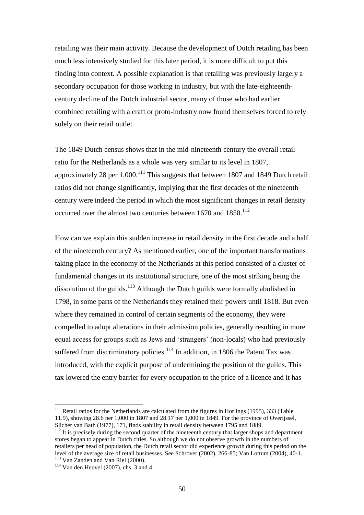retailing was their main activity. Because the development of Dutch retailing has been much less intensively studied for this later period, it is more difficult to put this finding into context. A possible explanation is that retailing was previously largely a secondary occupation for those working in industry, but with the late-eighteenthcentury decline of the Dutch industrial sector, many of those who had earlier combined retailing with a craft or proto-industry now found themselves forced to rely solely on their retail outlet.

The 1849 Dutch census shows that in the mid-nineteenth century the overall retail ratio for the Netherlands as a whole was very similar to its level in 1807, approximately 28 per  $1,000$ .<sup>111</sup> This suggests that between 1807 and 1849 Dutch retail ratios did not change significantly, implying that the first decades of the nineteenth century were indeed the period in which the most significant changes in retail density occurred over the almost two centuries between  $1670$  and  $1850$ .<sup>112</sup>

How can we explain this sudden increase in retail density in the first decade and a half of the nineteenth century? As mentioned earlier, one of the important transformations taking place in the economy of the Netherlands at this period consisted of a cluster of fundamental changes in its institutional structure, one of the most striking being the dissolution of the guilds. $113$  Although the Dutch guilds were formally abolished in 1798, in some parts of the Netherlands they retained their powers until 1818. But even where they remained in control of certain segments of the economy, they were compelled to adopt alterations in their admission policies, generally resulting in more equal access for groups such as Jews and 'strangers' (non-locals) who had previously suffered from discriminatory policies.<sup>114</sup> In addition, in 1806 the Patent Tax was introduced, with the explicit purpose of undermining the position of the guilds. This tax lowered the entry barrier for every occupation to the price of a licence and it has

 $111$  Retail ratios for the Netherlands are calculated from the figures in Horlings (1995), 333 (Table 11.9), showing 28.6 per 1,000 in 1807 and 28.17 per 1,000 in 1849. For the province of Overijssel, Slicher van Bath (1977), 171, finds stability in retail density between 1795 and 1889.

<sup>&</sup>lt;sup>112</sup> It is precisely during the second quarter of the nineteenth century that larger shops and department stores began to appear in Dutch cities. So although we do not observe growth in the numbers of retailers per head of population, the Dutch retail sector did experience growth during this period on the level of the average size of retail businesses. See Schrover (2002), 266-85; Van Lottum (2004), 40-1. <sup>113</sup> Van Zanden and Van Riel (2000).

 $114$  Van den Heuvel (2007), chs. 3 and 4.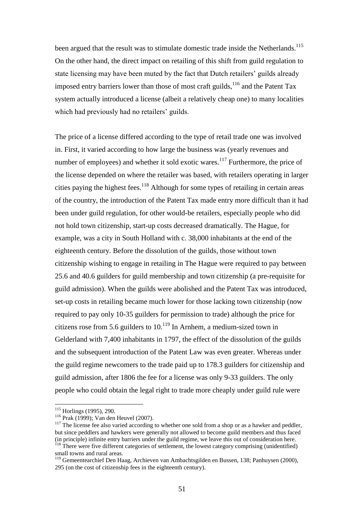been argued that the result was to stimulate domestic trade inside the Netherlands.<sup>115</sup> On the other hand, the direct impact on retailing of this shift from guild regulation to state licensing may have been muted by the fact that Dutch retailers' guilds already imposed entry barriers lower than those of most craft guilds,  $116$  and the Patent Tax system actually introduced a license (albeit a relatively cheap one) to many localities which had previously had no retailers' guilds.

The price of a license differed according to the type of retail trade one was involved in. First, it varied according to how large the business was (yearly revenues and number of employees) and whether it sold exotic wares.<sup>117</sup> Furthermore, the price of the license depended on where the retailer was based, with retailers operating in larger cities paying the highest fees. <sup>118</sup> Although for some types of retailing in certain areas of the country, the introduction of the Patent Tax made entry more difficult than it had been under guild regulation, for other would-be retailers, especially people who did not hold town citizenship, start-up costs decreased dramatically. The Hague, for example, was a city in South Holland with c. 38,000 inhabitants at the end of the eighteenth century. Before the dissolution of the guilds, those without town citizenship wishing to engage in retailing in The Hague were required to pay between 25.6 and 40.6 guilders for guild membership and town citizenship (a pre-requisite for guild admission). When the guilds were abolished and the Patent Tax was introduced, set-up costs in retailing became much lower for those lacking town citizenship (now required to pay only 10-35 guilders for permission to trade) although the price for citizens rose from 5.6 guilders to  $10^{119}$  In Arnhem, a medium-sized town in Gelderland with 7,400 inhabitants in 1797, the effect of the dissolution of the guilds and the subsequent introduction of the Patent Law was even greater. Whereas under the guild regime newcomers to the trade paid up to 178.3 guilders for citizenship and guild admission, after 1806 the fee for a license was only 9-33 guilders. The only people who could obtain the legal right to trade more cheaply under guild rule were

<sup>115</sup> Horlings (1995), 290.

<sup>116</sup> Prak (1999); Van den Heuvel (2007).

<sup>&</sup>lt;sup>117</sup> The license fee also varied according to whether one sold from a shop or as a hawker and peddler, but since peddlers and hawkers were generally not allowed to become guild members and thus faced (in principle) infinite entry barriers under the guild regime, we leave this out of consideration here.

<sup>&</sup>lt;sup>118</sup> There were five different categories of settlement, the lowest category comprising (unidentified) small towns and rural areas.

<sup>119</sup> Gemeentearchief Den Haag, Archieven van Ambachtsgilden en Bussen, 138; Panhuysen (2000), 295 (on the cost of citizenship fees in the eighteenth century).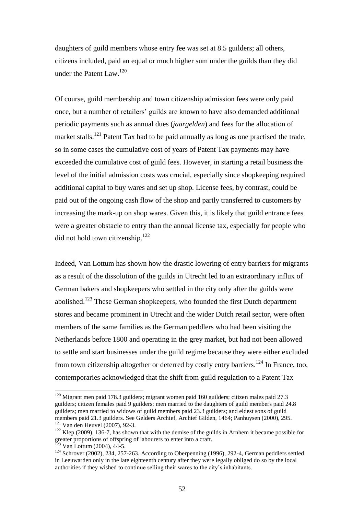daughters of guild members whose entry fee was set at 8.5 guilders; all others, citizens included, paid an equal or much higher sum under the guilds than they did under the Patent Law. 120

Of course, guild membership and town citizenship admission fees were only paid once, but a number of retailers' guilds are known to have also demanded additional periodic payments such as annual dues (*jaargelden*) and fees for the allocation of market stalls.<sup>121</sup> Patent Tax had to be paid annually as long as one practised the trade, so in some cases the cumulative cost of years of Patent Tax payments may have exceeded the cumulative cost of guild fees. However, in starting a retail business the level of the initial admission costs was crucial, especially since shopkeeping required additional capital to buy wares and set up shop. License fees, by contrast, could be paid out of the ongoing cash flow of the shop and partly transferred to customers by increasing the mark-up on shop wares. Given this, it is likely that guild entrance fees were a greater obstacle to entry than the annual license tax, especially for people who did not hold town citizenship.<sup>122</sup>

Indeed, Van Lottum has shown how the drastic lowering of entry barriers for migrants as a result of the dissolution of the guilds in Utrecht led to an extraordinary influx of German bakers and shopkeepers who settled in the city only after the guilds were abolished.<sup>123</sup> These German shopkeepers, who founded the first Dutch department stores and became prominent in Utrecht and the wider Dutch retail sector, were often members of the same families as the German peddlers who had been visiting the Netherlands before 1800 and operating in the grey market, but had not been allowed to settle and start businesses under the guild regime because they were either excluded from town citizenship altogether or deterred by costly entry barriers.<sup>124</sup> In France, too, contemporaries acknowledged that the shift from guild regulation to a Patent Tax

 $120$  Migrant men paid 178.3 guilders; migrant women paid 160 guilders; citizen males paid 27.3 guilders; citizen females paid 9 guilders; men married to the daughters of guild members paid 24.8 guilders; men married to widows of guild members paid 23.3 guilders; and eldest sons of guild members paid 21.3 guilders. See Gelders Archief, Archief Gilden, 1464; Panhuysen (2000), 295. <sup>121</sup> Van den Heuvel (2007), 92-3.

<sup>&</sup>lt;sup>122</sup> Klep (2009), 136-7, has shown that with the demise of the guilds in Arnhem it became possible for greater proportions of offspring of labourers to enter into a craft.  $123$  Van Lottum (2004), 44-5.

<sup>&</sup>lt;sup>124</sup> Schrover (2002), 234, 257-263. According to Oberpenning (1996), 292-4, German peddlers settled

in Leeuwarden only in the late eighteenth century after they were legally obliged do so by the local authorities if they wished to continue selling their wares to the city's inhabitants.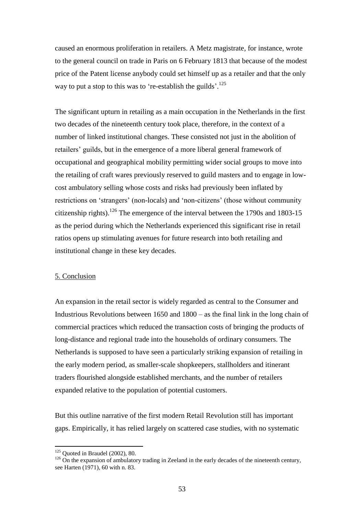caused an enormous proliferation in retailers. A Metz magistrate, for instance, wrote to the general council on trade in Paris on 6 February 1813 that because of the modest price of the Patent license anybody could set himself up as a retailer and that the only way to put a stop to this was to 're-establish the guilds'.<sup>125</sup>

The significant upturn in retailing as a main occupation in the Netherlands in the first two decades of the nineteenth century took place, therefore, in the context of a number of linked institutional changes. These consisted not just in the abolition of retailers' guilds, but in the emergence of a more liberal general framework of occupational and geographical mobility permitting wider social groups to move into the retailing of craft wares previously reserved to guild masters and to engage in lowcost ambulatory selling whose costs and risks had previously been inflated by restrictions on 'strangers' (non-locals) and 'non-citizens' (those without community citizenship rights).<sup>126</sup> The emergence of the interval between the 1790s and 1803-15 as the period during which the Netherlands experienced this significant rise in retail ratios opens up stimulating avenues for future research into both retailing and institutional change in these key decades.

#### 5. Conclusion

An expansion in the retail sector is widely regarded as central to the Consumer and Industrious Revolutions between 1650 and 1800 – as the final link in the long chain of commercial practices which reduced the transaction costs of bringing the products of long-distance and regional trade into the households of ordinary consumers. The Netherlands is supposed to have seen a particularly striking expansion of retailing in the early modern period, as smaller-scale shopkeepers, stallholders and itinerant traders flourished alongside established merchants, and the number of retailers expanded relative to the population of potential customers.

But this outline narrative of the first modern Retail Revolution still has important gaps. Empirically, it has relied largely on scattered case studies, with no systematic

 $125$  Quoted in Braudel (2002), 80.

<sup>&</sup>lt;sup>126</sup> On the expansion of ambulatory trading in Zeeland in the early decades of the nineteenth century, see Harten (1971), 60 with n. 83.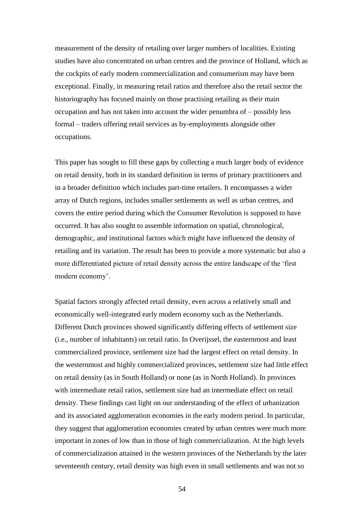measurement of the density of retailing over larger numbers of localities. Existing studies have also concentrated on urban centres and the province of Holland, which as the cockpits of early modern commercialization and consumerism may have been exceptional. Finally, in measuring retail ratios and therefore also the retail sector the historiography has focused mainly on those practising retailing as their main occupation and has not taken into account the wider penumbra of – possibly less formal – traders offering retail services as by-employments alongside other occupations.

This paper has sought to fill these gaps by collecting a much larger body of evidence on retail density, both in its standard definition in terms of primary practitioners and in a broader definition which includes part-time retailers. It encompasses a wider array of Dutch regions, includes smaller settlements as well as urban centres, and covers the entire period during which the Consumer Revolution is supposed to have occurred. It has also sought to assemble information on spatial, chronological, demographic, and institutional factors which might have influenced the density of retailing and its variation. The result has been to provide a more systematic but also a more differentiated picture of retail density across the entire landscape of the 'first modern economy'.

Spatial factors strongly affected retail density, even across a relatively small and economically well-integrated early modern economy such as the Netherlands. Different Dutch provinces showed significantly differing effects of settlement size (i.e., number of inhabitants) on retail ratio. In Overijssel, the easternmost and least commercialized province, settlement size had the largest effect on retail density. In the westernmost and highly commercialized provinces, settlement size had little effect on retail density (as in South Holland) or none (as in North Holland). In provinces with intermediate retail ratios, settlement size had an intermediate effect on retail density. These findings cast light on our understanding of the effect of urbanization and its associated agglomeration economies in the early modern period. In particular, they suggest that agglomeration economies created by urban centres were much more important in zones of low than in those of high commercialization. At the high levels of commercialization attained in the western provinces of the Netherlands by the later seventeenth century, retail density was high even in small settlements and was not so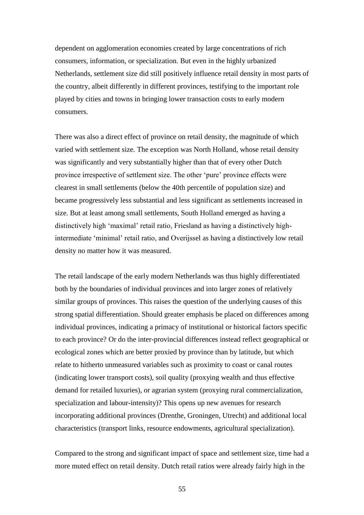dependent on agglomeration economies created by large concentrations of rich consumers, information, or specialization. But even in the highly urbanized Netherlands, settlement size did still positively influence retail density in most parts of the country, albeit differently in different provinces, testifying to the important role played by cities and towns in bringing lower transaction costs to early modern consumers.

There was also a direct effect of province on retail density, the magnitude of which varied with settlement size. The exception was North Holland, whose retail density was significantly and very substantially higher than that of every other Dutch province irrespective of settlement size. The other 'pure' province effects were clearest in small settlements (below the 40th percentile of population size) and became progressively less substantial and less significant as settlements increased in size. But at least among small settlements, South Holland emerged as having a distinctively high 'maximal' retail ratio, Friesland as having a distinctively highintermediate 'minimal' retail ratio, and Overijssel as having a distinctively low retail density no matter how it was measured.

The retail landscape of the early modern Netherlands was thus highly differentiated both by the boundaries of individual provinces and into larger zones of relatively similar groups of provinces. This raises the question of the underlying causes of this strong spatial differentiation. Should greater emphasis be placed on differences among individual provinces, indicating a primacy of institutional or historical factors specific to each province? Or do the inter-provincial differences instead reflect geographical or ecological zones which are better proxied by province than by latitude, but which relate to hitherto unmeasured variables such as proximity to coast or canal routes (indicating lower transport costs), soil quality (proxying wealth and thus effective demand for retailed luxuries), or agrarian system (proxying rural commercialization, specialization and labour-intensity)? This opens up new avenues for research incorporating additional provinces (Drenthe, Groningen, Utrecht) and additional local characteristics (transport links, resource endowments, agricultural specialization).

Compared to the strong and significant impact of space and settlement size, time had a more muted effect on retail density. Dutch retail ratios were already fairly high in the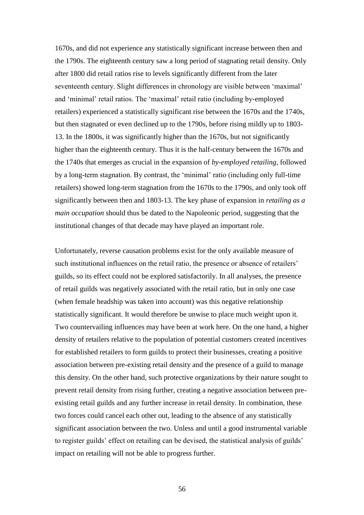1670s, and did not experience any statistically significant increase between then and the 1790s. The eighteenth century saw a long period of stagnating retail density. Only after 1800 did retail ratios rise to levels significantly different from the later seventeenth century. Slight differences in chronology are visible between 'maximal' and 'minimal' retail ratios. The 'maximal' retail ratio (including by-employed retailers) experienced a statistically significant rise between the 1670s and the 1740s, but then stagnated or even declined up to the 1790s, before rising mildly up to 1803- 13. In the 1800s, it was significantly higher than the 1670s, but not significantly higher than the eighteenth century. Thus it is the half-century between the 1670s and the 1740s that emerges as crucial in the expansion of *by-employed retailing*, followed by a long-term stagnation. By contrast, the 'minimal' ratio (including only full-time retailers) showed long-term stagnation from the 1670s to the 1790s, and only took off significantly between then and 1803-13. The key phase of expansion in *retailing as a main occupation* should thus be dated to the Napoleonic period, suggesting that the institutional changes of that decade may have played an important role.

Unfortunately, reverse causation problems exist for the only available measure of such institutional influences on the retail ratio, the presence or absence of retailers' guilds, so its effect could not be explored satisfactorily. In all analyses, the presence of retail guilds was negatively associated with the retail ratio, but in only one case (when female headship was taken into account) was this negative relationship statistically significant. It would therefore be unwise to place much weight upon it. Two countervailing influences may have been at work here. On the one hand, a higher density of retailers relative to the population of potential customers created incentives for established retailers to form guilds to protect their businesses, creating a positive association between pre-existing retail density and the presence of a guild to manage this density. On the other hand, such protective organizations by their nature sought to prevent retail density from rising further, creating a negative association between preexisting retail guilds and any further increase in retail density. In combination, these two forces could cancel each other out, leading to the absence of any statistically significant association between the two. Unless and until a good instrumental variable to register guilds' effect on retailing can be devised, the statistical analysis of guilds' impact on retailing will not be able to progress further.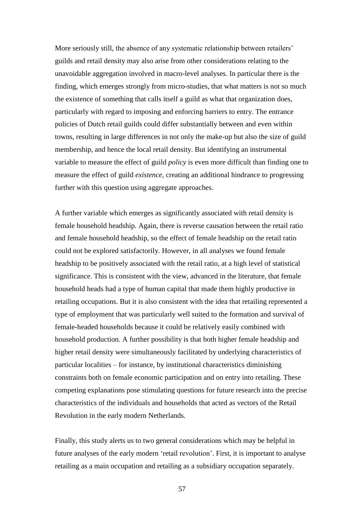More seriously still, the absence of any systematic relationship between retailers' guilds and retail density may also arise from other considerations relating to the unavoidable aggregation involved in macro-level analyses. In particular there is the finding, which emerges strongly from micro-studies, that what matters is not so much the existence of something that calls itself a guild as what that organization does, particularly with regard to imposing and enforcing barriers to entry. The entrance policies of Dutch retail guilds could differ substantially between and even within towns, resulting in large differences in not only the make-up but also the size of guild membership, and hence the local retail density. But identifying an instrumental variable to measure the effect of guild *policy* is even more difficult than finding one to measure the effect of guild *existence*, creating an additional hindrance to progressing further with this question using aggregate approaches.

A further variable which emerges as significantly associated with retail density is female household headship. Again, there is reverse causation between the retail ratio and female household headship, so the effect of female headship on the retail ratio could not be explored satisfactorily. However, in all analyses we found female headship to be positively associated with the retail ratio, at a high level of statistical significance. This is consistent with the view, advanced in the literature, that female household heads had a type of human capital that made them highly productive in retailing occupations. But it is also consistent with the idea that retailing represented a type of employment that was particularly well suited to the formation and survival of female-headed households because it could be relatively easily combined with household production. A further possibility is that both higher female headship and higher retail density were simultaneously facilitated by underlying characteristics of particular localities – for instance, by institutional characteristics diminishing constraints both on female economic participation and on entry into retailing. These competing explanations pose stimulating questions for future research into the precise characteristics of the individuals and households that acted as vectors of the Retail Revolution in the early modern Netherlands.

Finally, this study alerts us to two general considerations which may be helpful in future analyses of the early modern 'retail revolution'. First, it is important to analyse retailing as a main occupation and retailing as a subsidiary occupation separately.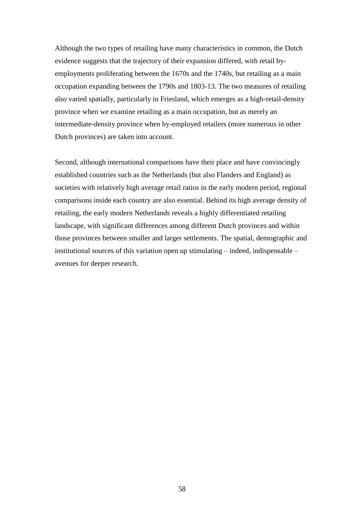Although the two types of retailing have many characteristics in common, the Dutch evidence suggests that the trajectory of their expansion differed, with retail byemployments proliferating between the 1670s and the 1740s, but retailing as a main occupation expanding between the 1790s and 1803-13. The two measures of retailing also varied spatially, particularly in Friesland, which emerges as a high-retail-density province when we examine retailing as a main occupation, but as merely an intermediate-density province when by-employed retailers (more numerous in other Dutch provinces) are taken into account.

Second, although international comparisons have their place and have convincingly established countries such as the Netherlands (but also Flanders and England) as societies with relatively high average retail ratios in the early modern period, regional comparisons inside each country are also essential. Behind its high average density of retailing, the early modern Netherlands reveals a highly differentiated retailing landscape, with significant differences among different Dutch provinces and within those provinces between smaller and larger settlements. The spatial, demographic and institutional sources of this variation open up stimulating – indeed, indispensable – avenues for deeper research.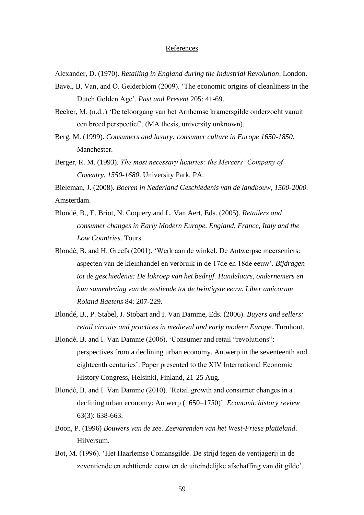## **References**

Alexander, D. (1970). *Retailing in England during the Industrial Revolution*. London.

Bavel, B. Van, and O. Gelderblom (2009). 'The economic origins of cleanliness in the Dutch Golden Age'. *Past and Present* 205: 41-69.

Becker, M. (n.d..) 'De teloorgang van het Arnhemse kramersgilde onderzocht vanuit een breed perspectief'. (MA thesis, university unknown).

Berg, M. (1999). *Consumers and luxury: consumer culture in Europe 1650-1850*. Manchester.

Berger, R. M. (1993). *The most necessary luxuries: the Mercers' Company of Coventry, 1550-1680*. University Park, PA.

Bieleman, J. (2008). *Boeren in Nederland Geschiedenis van de landbouw, 1500-2000.* Amsterdam.

- Blondé, B., E. Briot, N. Coquery and L. Van Aert, Eds. (2005). *Retailers and consumer changes in Early Modern Europe. England, France, Italy and the Low Countries*. Tours.
- Blondé, B. and H. Greefs (2001). 'Werk aan de winkel. De Antwerpse meerseniers: aspecten van de kleinhandel en verbruik in de 17de en 18de eeuw'. *Bijdragen tot de geschiedenis: De lokroep van het bedrijf. Handelaars, ondernemers en hun samenleving van de zestiende tot de twintigste eeuw. Liber amicorum Roland Baetens* 84: 207-229.

Blondé, B., P. Stabel, J. Stobart and I. Van Damme, Eds. (2006). *Buyers and sellers: retail circuits and practices in medieval and early modern Europe*. Turnhout.

- Blondé, B. and I. Van Damme (2006). 'Consumer and retail "revolutions": perspectives from a declining urban economy. Antwerp in the seventeenth and eighteenth centuries'. Paper presented to the XIV International Economic History Congress, Helsinki, Finland, 21-25 Aug.
- Blondé, B. and I. Van Damme (2010). 'Retail growth and consumer changes in a declining urban economy: Antwerp (1650–1750)'. *Economic history review* 63(3): 638-663.
- Boon, P. (1996) *Bouwers van de zee. Zeevarenden van het West-Friese platteland*. Hilversum.
- Bot, M. (1996). 'Het Haarlemse Comansgilde. De strijd tegen de ventjagerij in de zeventiende en achttiende eeuw en de uiteindelijke afschaffing van dit gilde'.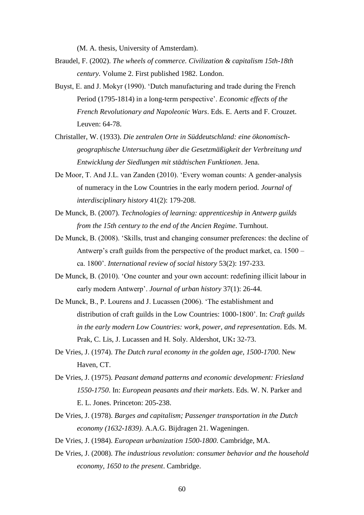(M. A. thesis, University of Amsterdam).

- Braudel, F. (2002). *The wheels of commerce. Civilization & capitalism 15th-18th century.* Volume 2. First published 1982. London.
- Buyst, E. and J. Mokyr (1990). 'Dutch manufacturing and trade during the French Period (1795-1814) in a long-term perspective'. *Economic effects of the French Revolutionary and Napoleonic Wars*. Eds. E. Aerts and F. Crouzet. Leuven: 64-78.
- Christaller, W. (1933). *Die zentralen Orte in Süddeutschland: eine ökonomischgeographische Untersuchung über die Gesetzmäßigkeit der Verbreitung und Entwicklung der Siedlungen mit städtischen Funktionen*. Jena.
- De Moor, T. And J.L. van Zanden (2010). 'Every woman counts: A gender-analysis of numeracy in the Low Countries in the early modern period. *Journal of interdisciplinary history* 41(2): 179-208.
- De Munck, B. (2007). *Technologies of learning: apprenticeship in Antwerp guilds from the 15th century to the end of the Ancien Regime*. Turnhout.
- De Munck, B. (2008). 'Skills, trust and changing consumer preferences: the decline of Antwerp's craft guilds from the perspective of the product market, ca. 1500 – ca. 1800'. *International review of social history* 53(2): 197-233.
- De Munck, B. (2010). 'One counter and your own account: redefining illicit labour in early modern Antwerp'. *Journal of urban history* 37(1): 26-44.
- De Munck, B., P. Lourens and J. Lucassen (2006). 'The establishment and distribution of craft guilds in the Low Countries: 1000-1800'. In: *Craft guilds in the early modern Low Countries: work, power, and representation*. Eds. M. Prak, C. Lis, J. Lucassen and H. Soly. Aldershot, UK**:** 32-73.
- De Vries, J. (1974). *The Dutch rural economy in the golden age, 1500-1700*. New Haven, CT.
- De Vries, J. (1975). *Peasant demand patterns and economic development: Friesland 1550-1750*. In: *European peasants and their markets*. Eds. W. N. Parker and E. L. Jones. Princeton: 205-238.
- De Vries, J. (1978). *Barges and capitalism; Passenger transportation in the Dutch economy (1632-1839)*. A.A.G. Bijdragen 21. Wageningen.
- De Vries, J. (1984). *European urbanization 1500-1800*. Cambridge, MA.
- De Vries, J. (2008). *The industrious revolution: consumer behavior and the household economy, 1650 to the present*. Cambridge.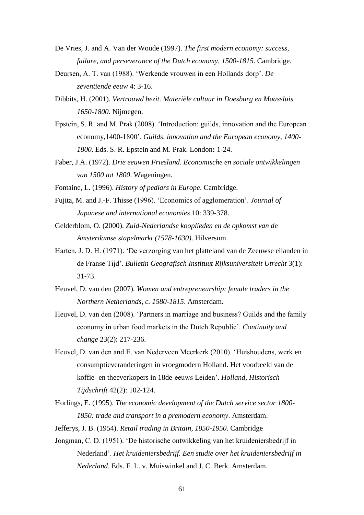- De Vries, J. and A. Van der Woude (1997). *The first modern economy: success, failure, and perseverance of the Dutch economy, 1500-1815*. Cambridge.
- Deursen, A. T. van (1988). 'Werkende vrouwen in een Hollands dorp'. *De zeventiende eeuw* 4: 3-16.
- Dibbits, H. (2001). *Vertrouwd bezit. Materiële cultuur in Doesburg en Maassluis 1650-1800*. Nijmegen.
- Epstein, S. R. and M. Prak (2008). 'Introduction: guilds, innovation and the European economy,1400-1800'. *Guilds, innovation and the European economy, 1400- 1800*. Eds. S. R. Epstein and M. Prak. London**:** 1-24.
- Faber, J.A. (1972). *Drie eeuwen Friesland. Economische en sociale ontwikkelingen van 1500 tot 1800*. Wageningen.
- Fontaine, L. (1996). *History of pedlars in Europe*. Cambridge.
- Fujita, M. and J.-F. Thisse (1996). 'Economics of agglomeration'. *Journal of Japanese and international economies* 10: 339-378.
- Gelderblom, O. (2000). *Zuid-Nederlandse kooplieden en de opkomst van de Amsterdamse stapelmarkt (1578-1630)*. Hilversum.
- Harten, J. D. H. (1971). 'De verzorging van het platteland van de Zeeuwse eilanden in de Franse Tijd'. *Bulletin Geografisch Instituut Rijksuniversiteit Utrecht* 3(1): 31-73.
- Heuvel, D. van den (2007). *Women and entrepreneurship: female traders in the Northern Netherlands, c. 1580-1815*. Amsterdam.
- Heuvel, D. van den (2008). 'Partners in marriage and business? Guilds and the family economy in urban food markets in the Dutch Republic'. *Continuity and change* 23(2): 217-236.
- Heuvel, D. van den and E. van Nederveen Meerkerk (2010). 'Huishoudens, werk en consumptieveranderingen in vroegmodern Holland. Het voorbeeld van de koffie- en theeverkopers in 18de-eeuws Leiden'. *Holland, Historisch Tijdschrift* 42(2): 102-124.
- Horlings, E. (1995). *The economic development of the Dutch service sector 1800- 1850: trade and transport in a premodern economy*. Amsterdam.
- Jefferys, J. B. (1954). *Retail trading in Britain, 1850-1950*. Cambridge
- Jongman, C. D. (1951). 'De historische ontwikkeling van het kruideniersbedrijf in Nederland'. *Het kruideniersbedrijf. Een studie over het kruideniersbedrijf in Nederland*. Eds. F. L. v. Muiswinkel and J. C. Berk. Amsterdam.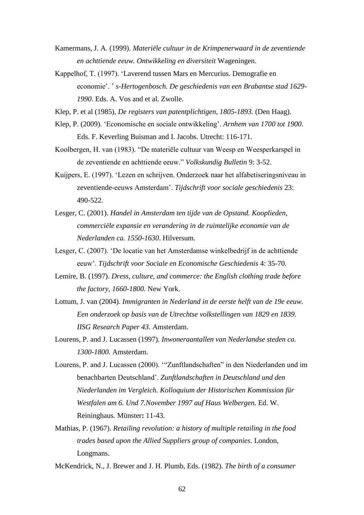- Kamermans, J. A. (1999). *Materiële cultuur in de Krimpenerwaard in de zeventiende en achttiende eeuw. Ontwikkeling en diversiteit* Wageningen.
- Kappelhof, T. (1997). 'Laverend tussen Mars en Mercurius. Demografie en economie'. ' *s-Hertogenbosch. De geschiedenis van een Brabantse stad 1629- 1990*. Eds. A. Vos and et al. Zwolle.
- Klep, P. et al (1985), *De registers van patentplichtigen, 1805-1893.* (Den Haag).
- Klep, P. (2009). 'Economische en sociale ontwikkeling'. *Arnhem van 1700 tot 1900.* Eds. F. Keverling Buisman and I. Jacobs. Utrecht: 116-171.
- Koolbergen, H. van (1983). "De materiële cultuur van Weesp en Weesperkarspel in de zeventiende en achttiende eeuw." *Volkskundig Bulletin* 9: 3-52.
- Kuijpers, E. (1997). 'Lezen en schrijven. Onderzoek naar het alfabetiseringsniveau in zeventiende-eeuws Amsterdam'. *Tijdschrift voor sociale geschiedenis* 23: 490-522.
- Lesger, C. (2001). *Handel in Amsterdam ten tijde van de Opstand. Kooplieden, commerciële expansie en verandering in de ruimtelijke economie van de Nederlanden ca. 1550-1630*. Hilversum.
- Lesger, C. (2007). 'De locatie van het Amsterdamse winkelbedrijf in de achttiende eeuw'. *Tijdschrift voor Sociale en Economische Geschiedenis* 4: 35-70.
- Lemire, B. (1997). *Dress, culture, and commerce: the English clothing trade before the factory, 1660-1800*. New York.
- Lottum, J. van (2004). *Immigranten in Nederland in de eerste helft van de 19e eeuw. Een onderzoek op basis van de Utrechtse volkstellingen van 1829 en 1839. IISG Research Paper 43.* Amsterdam.
- Lourens, P. and J. Lucassen (1997). *Inwoneraantallen van Nederlandse steden ca. 1300-1800*. Amsterdam.
- Lourens, P. and J. Lucassen (2000). '"Zunftlandschaften" in den Niederlanden und im benachbarten Deutschland'. *Zunftlandschaften in Deutschland und den Niederlanden im Vergleich. Kolloquium der Historischen Kommission für Westfalen am 6. Und 7.November 1997 auf Haus Welbergen*. Ed. W. Reininghaus. Münster**:** 11-43.
- Mathias, P. (1967). *Retailing revolution: a history of multiple retailing in the food trades based upon the Allied Suppliers group of companies*. London, Longmans.
- McKendrick, N., J. Brewer and J. H. Plumb, Eds. (1982). *The birth of a consumer*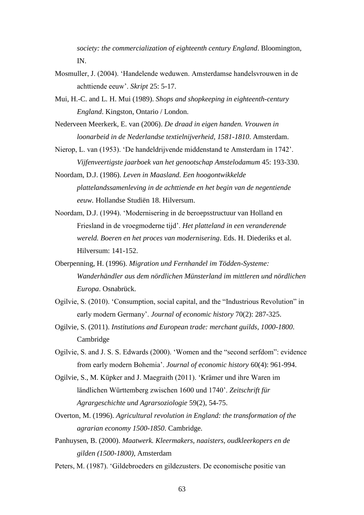*society: the commercialization of eighteenth century England*. Bloomington, IN.

- Mosmuller, J. (2004). 'Handelende weduwen. Amsterdamse handelsvrouwen in de achttiende eeuw'. *Skript* 25: 5-17.
- Mui, H.-C. and L. H. Mui (1989). *Shops and shopkeeping in eighteenth-century England*. Kingston, Ontario / London.
- Nederveen Meerkerk, E. van (2006). *De draad in eigen handen. Vrouwen in loonarbeid in de Nederlandse textielnijverheid, 1581-1810*. Amsterdam.
- Nierop, L. van (1953). 'De handeldrijvende middenstand te Amsterdam in 1742'. *Vijfenveertigste jaarboek van het genootschap Amstelodamum* 45: 193-330.
- Noordam, D.J. (1986). *Leven in Maasland. Een hoogontwikkelde plattelandssamenleving in de achttiende en het begin van de negentiende eeuw.* Hollandse Studiën 18. Hilversum.
- Noordam, D.J. (1994). 'Modernisering in de beroepsstructuur van Holland en Friesland in de vroegmoderne tijd'. *Het platteland in een veranderende wereld. Boeren en het proces van modernisering*. Eds. H. Diederiks et al. Hilversum: 141-152.
- Oberpenning, H. (1996). *Migration und Fernhandel im Tödden-Systeme: Wanderhändler aus dem nördlichen Münsterland im mittleren und nördlichen Europa*. Osnabrück.
- Ogilvie, S. (2010). 'Consumption, social capital, and the "Industrious Revolution" in early modern Germany'. *Journal of economic history* 70(2): 287-325.
- Ogilvie, S. (2011). *Institutions and European trade: merchant guilds, 1000-1800*. Cambridge
- Ogilvie, S. and J. S. S. Edwards (2000). 'Women and the "second serfdom": evidence from early modern Bohemia'. *Journal of economic history* 60(4): 961-994.
- Ogilvie, S., M. Küpker and J. Maegraith (2011). 'Krämer und ihre Waren im ländlichen Württemberg zwischen 1600 und 1740'. *Zeitschrift für Agrargeschichte und Agrarsoziologie* 59(2), 54-75.
- Overton, M. (1996). *Agricultural revolution in England: the transformation of the agrarian economy 1500-1850*. Cambridge.
- Panhuysen, B. (2000). *Maatwerk. Kleermakers, naaisters, oudkleerkopers en de gilden (1500-1800)*, Amsterdam
- Peters, M. (1987). 'Gildebroeders en gildezusters. De economische positie van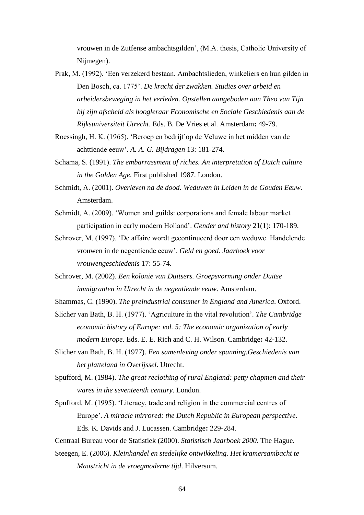vrouwen in de Zutfense ambachtsgilden', (M.A. thesis, Catholic University of Nijmegen).

- Prak, M. (1992). 'Een verzekerd bestaan. Ambachtslieden, winkeliers en hun gilden in Den Bosch, ca. 1775'. *De kracht der zwakken. Studies over arbeid en arbeidersbeweging in het verleden. Opstellen aangeboden aan Theo van Tijn bij zijn afscheid als hoogleraar Economische en Sociale Geschiedenis aan de Rijksuniversiteit Utrecht*. Eds. B. De Vries et al. Amsterdam**:** 49-79.
- Roessingh, H. K. (1965). 'Beroep en bedrijf op de Veluwe in het midden van de achttiende eeuw'. *A. A. G. Bijdragen* 13: 181-274.
- Schama, S. (1991). *The embarrassment of riches. An interpretation of Dutch culture in the Golden Age.* First published 1987. London.
- Schmidt, A. (2001). *Overleven na de dood. Weduwen in Leiden in de Gouden Eeuw*. Amsterdam.
- Schmidt, A. (2009). 'Women and guilds: corporations and female labour market participation in early modern Holland'. *Gender and history* 21(1): 170-189.
- Schrover, M. (1997). 'De affaire wordt gecontinueerd door een weduwe. Handelende vrouwen in de negentiende eeuw'. *Geld en goed. Jaarboek voor vrouwengeschiedenis* 17: 55-74.
- Schrover, M. (2002). *Een kolonie van Duitsers. Groepsvorming onder Duitse immigranten in Utrecht in de negentiende eeuw*. Amsterdam.
- Shammas, C. (1990). *The preindustrial consumer in England and America*. Oxford.

Slicher van Bath, B. H. (1977). 'Agriculture in the vital revolution'. *The Cambridge economic history of Europe: vol. 5: The economic organization of early modern Europe*. Eds. E. E. Rich and C. H. Wilson. Cambridge**:** 42-132.

- Slicher van Bath, B. H. (1977). *Een samenleving onder spanning.Geschiedenis van het platteland in Overijssel*. Utrecht.
- Spufford, M. (1984). *The great reclothing of rural England: petty chapmen and their wares in the seventeenth century*. London.
- Spufford, M. (1995). 'Literacy, trade and religion in the commercial centres of Europe'. *A miracle mirrored: the Dutch Republic in European perspective*. Eds. K. Davids and J. Lucassen. Cambridge**:** 229-284.

Centraal Bureau voor de Statistiek (2000). *Statistisch Jaarboek 2000*. The Hague.

Steegen, E. (2006). *Kleinhandel en stedelijke ontwikkeling. Het kramersambacht te Maastricht in de vroegmoderne tijd*. Hilversum.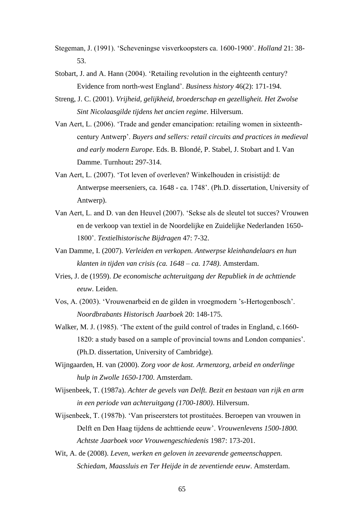- Stegeman, J. (1991). 'Scheveningse visverkoopsters ca. 1600-1900'. *Holland* 21: 38- 53.
- Stobart, J. and A. Hann (2004). 'Retailing revolution in the eighteenth century? Evidence from north-west England'. *Business history* 46(2): 171-194.
- Streng, J. C. (2001). *Vrijheid, gelijkheid, broederschap en gezelligheit. Het Zwolse Sint Nicolaasgilde tijdens het ancien regime*. Hilversum.
- Van Aert, L. (2006). 'Trade and gender emancipation: retailing women in sixteenthcentury Antwerp'. *Buyers and sellers: retail circuits and practices in medieval and early modern Europe*. Eds. B. Blondé, P. Stabel, J. Stobart and I. Van Damme. Turnhout**:** 297-314.
- Van Aert, L. (2007). 'Tot leven of overleven? Winkelhouden in crisistijd: de Antwerpse meerseniers, ca. 1648 - ca. 1748'. (Ph.D. dissertation, University of Antwerp).
- Van Aert, L. and D. van den Heuvel (2007). 'Sekse als de sleutel tot succes? Vrouwen en de verkoop van textiel in de Noordelijke en Zuidelijke Nederlanden 1650- 1800'. *Textielhistorische Bijdragen* 47: 7-32.
- Van Damme, I. (2007). *Verleiden en verkopen. Antwerpse kleinhandelaars en hun klanten in tijden van crisis (ca. 1648 – ca. 1748)*. Amsterdam.
- Vries, J. de (1959). *De economische achteruitgang der Republiek in de achttiende eeuw*. Leiden.
- Vos, A. (2003). 'Vrouwenarbeid en de gilden in vroegmodern 's-Hertogenbosch'. *Noordbrabants Historisch Jaarboek* 20: 148-175.
- Walker, M. J. (1985). 'The extent of the guild control of trades in England, c.1660- 1820: a study based on a sample of provincial towns and London companies'. (Ph.D. dissertation, University of Cambridge).
- Wijngaarden, H. van (2000). *Zorg voor de kost. Armenzorg, arbeid en onderlinge hulp in Zwolle 1650-1700*. Amsterdam.
- Wijsenbeek, T. (1987a). *Achter de gevels van Delft. Bezit en bestaan van rijk en arm in een periode van achteruitgang (1700-1800)*. Hilversum.
- Wijsenbeek, T. (1987b). 'Van priseersters tot prostituées. Beroepen van vrouwen in Delft en Den Haag tijdens de achttiende eeuw'. *Vrouwenlevens 1500-1800. Achtste Jaarboek voor Vrouwengeschiedenis* 1987: 173-201.
- Wit, A. de (2008). *Leven, werken en geloven in zeevarende gemeenschappen. Schiedam, Maassluis en Ter Heijde in de zeventiende eeuw*. Amsterdam.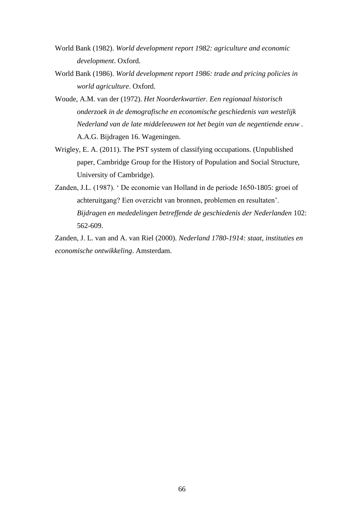- World Bank (1982). *World development report 1982: agriculture and economic development*. Oxford.
- World Bank (1986). *World development report 1986: trade and pricing policies in world agriculture*. Oxford.
- Woude, A.M. van der (1972). *Het Noorderkwartier. Een regionaal historisch onderzoek in de demografische en economische geschiedenis van westelijk Nederland van de late middeleeuwen tot het begin van de negentiende eeuw .*  A.A.G. Bijdragen 16. Wageningen.
- Wrigley, E. A. (2011). The PST system of classifying occupations. (Unpublished paper, Cambridge Group for the History of Population and Social Structure, University of Cambridge).
- Zanden, J.L. (1987). ' De economie van Holland in de periode 1650-1805: groei of achteruitgang? Een overzicht van bronnen, problemen en resultaten'. *Bijdragen en mededelingen betreffende de geschiedenis der Nederlanden* 102: 562-609.

Zanden, J. L. van and A. van Riel (2000). *Nederland 1780-1914: staat, instituties en economische ontwikkeling*. Amsterdam.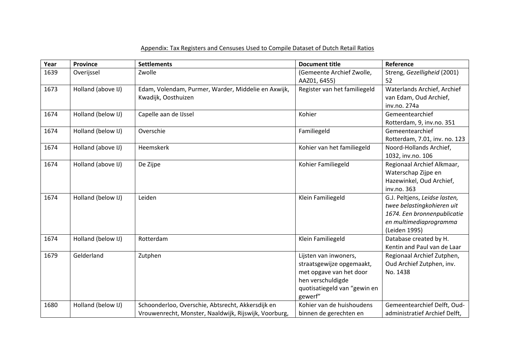# Appendix: Tax Registers and Censuses Used to Compile Dataset of Dutch Retail Ratios

| Year | Province           | <b>Settlements</b>                                    | <b>Document title</b>        | Reference                     |
|------|--------------------|-------------------------------------------------------|------------------------------|-------------------------------|
| 1639 | Overijssel         | Zwolle                                                | (Gemeente Archief Zwolle,    | Streng, Gezelligheid (2001)   |
|      |                    |                                                       | AAZ01, 6455)                 | 52                            |
| 1673 | Holland (above IJ) | Edam, Volendam, Purmer, Warder, Middelie en Axwijk,   | Register van het familiegeld | Waterlands Archief, Archief   |
|      |                    | Kwadijk, Oosthuizen                                   |                              | van Edam, Oud Archief,        |
|      |                    |                                                       |                              | inv.no. 274a                  |
| 1674 | Holland (below IJ) | Capelle aan de IJssel                                 | Kohier                       | Gemeentearchief               |
|      |                    |                                                       |                              | Rotterdam, 9, inv.no. 351     |
| 1674 | Holland (below IJ) | Overschie                                             | Familiegeld                  | Gemeentearchief               |
|      |                    |                                                       |                              | Rotterdam, 7.01, inv. no. 123 |
| 1674 | Holland (above IJ) | <b>Heemskerk</b>                                      | Kohier van het familiegeld   | Noord-Hollands Archief,       |
|      |                    |                                                       |                              | 1032, inv.no. 106             |
| 1674 | Holland (above IJ) | De Zijpe                                              | Kohier Familiegeld           | Regionaal Archief Alkmaar,    |
|      |                    |                                                       |                              | Waterschap Zijpe en           |
|      |                    |                                                       |                              | Hazewinkel, Oud Archief,      |
|      |                    |                                                       |                              | inv.no. 363                   |
| 1674 | Holland (below IJ) | Leiden                                                | Klein Familiegeld            | G.J. Peltjens, Leidse lasten, |
|      |                    |                                                       |                              | twee belastingkohieren uit    |
|      |                    |                                                       |                              | 1674. Een bronnenpublicatie   |
|      |                    |                                                       |                              | en multimediaprogramma        |
|      |                    |                                                       |                              | (Leiden 1995)                 |
| 1674 | Holland (below IJ) | Rotterdam                                             | Klein Familiegeld            | Database created by H.        |
|      |                    |                                                       |                              | Kentin and Paul van de Laar   |
| 1679 | Gelderland         | Zutphen                                               | Lijsten van inwoners,        | Regionaal Archief Zutphen,    |
|      |                    |                                                       | straatsgewijze opgemaakt,    | Oud Archief Zutphen, inv.     |
|      |                    |                                                       | met opgave van het door      | No. 1438                      |
|      |                    |                                                       | hen verschuldigde            |                               |
|      |                    |                                                       | quotisatiegeld van "gewin en |                               |
|      |                    |                                                       | gewerf"                      |                               |
| 1680 | Holland (below IJ) | Schoonderloo, Overschie, Abtsrecht, Akkersdijk en     | Kohier van de huishoudens    | Gemeentearchief Delft, Oud-   |
|      |                    | Vrouwenrecht, Monster, Naaldwijk, Rijswijk, Voorburg, | binnen de gerechten en       | administratief Archief Delft, |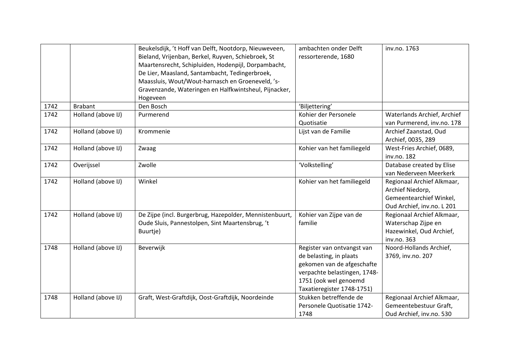|      |                    | Beukelsdijk, 't Hoff van Delft, Nootdorp, Nieuweveen,<br>Bieland, Vrijenban, Berkel, Ruyven, Schiebroek, St<br>Maartensrecht, Schipluiden, Hodenpijl, Dorpambacht,<br>De Lier, Maasland, Santambacht, Tedingerbroek,<br>Maassluis, Wout/Wout-harnasch en Groeneveld, 's-<br>Gravenzande, Wateringen en Halfkwintsheul, Pijnacker,<br>Hogeveen | ambachten onder Delft<br>ressorterende, 1680                                                                                                                               | inv.no. 1763                                                                                            |
|------|--------------------|-----------------------------------------------------------------------------------------------------------------------------------------------------------------------------------------------------------------------------------------------------------------------------------------------------------------------------------------------|----------------------------------------------------------------------------------------------------------------------------------------------------------------------------|---------------------------------------------------------------------------------------------------------|
| 1742 | <b>Brabant</b>     | Den Bosch                                                                                                                                                                                                                                                                                                                                     | 'Biljettering'                                                                                                                                                             |                                                                                                         |
| 1742 | Holland (above IJ) | Purmerend                                                                                                                                                                                                                                                                                                                                     | Kohier der Personele<br>Quotisatie                                                                                                                                         | Waterlands Archief, Archief<br>van Purmerend, inv.no. 178                                               |
| 1742 | Holland (above IJ) | Krommenie                                                                                                                                                                                                                                                                                                                                     | Lijst van de Familie                                                                                                                                                       | Archief Zaanstad, Oud<br>Archief, 0035, 289                                                             |
| 1742 | Holland (above IJ) | Zwaag                                                                                                                                                                                                                                                                                                                                         | Kohier van het familiegeld                                                                                                                                                 | West-Fries Archief, 0689,<br>inv.no. 182                                                                |
| 1742 | Overijssel         | Zwolle                                                                                                                                                                                                                                                                                                                                        | 'Volkstelling'                                                                                                                                                             | Database created by Elise<br>van Nederveen Meerkerk                                                     |
| 1742 | Holland (above IJ) | Winkel                                                                                                                                                                                                                                                                                                                                        | Kohier van het familiegeld                                                                                                                                                 | Regionaal Archief Alkmaar,<br>Archief Niedorp,<br>Gemeentearchief Winkel,<br>Oud Archief, inv.no. L 201 |
| 1742 | Holland (above IJ) | De Zijpe (incl. Burgerbrug, Hazepolder, Mennistenbuurt,<br>Oude Sluis, Pannestolpen, Sint Maartensbrug, 't<br>Buurtje)                                                                                                                                                                                                                        | Kohier van Zijpe van de<br>familie                                                                                                                                         | Regionaal Archief Alkmaar,<br>Waterschap Zijpe en<br>Hazewinkel, Oud Archief,<br>inv.no. 363            |
| 1748 | Holland (above IJ) | Beverwijk                                                                                                                                                                                                                                                                                                                                     | Register van ontvangst van<br>de belasting, in plaats<br>gekomen van de afgeschafte<br>verpachte belastingen, 1748-<br>1751 (ook wel genoemd<br>Taxatieregister 1748-1751) | Noord-Hollands Archief,<br>3769, inv.no. 207                                                            |
| 1748 | Holland (above IJ) | Graft, West-Graftdijk, Oost-Graftdijk, Noordeinde                                                                                                                                                                                                                                                                                             | Stukken betreffende de<br>Personele Quotisatie 1742-<br>1748                                                                                                               | Regionaal Archief Alkmaar,<br>Gemeentebestuur Graft,<br>Oud Archief, inv.no. 530                        |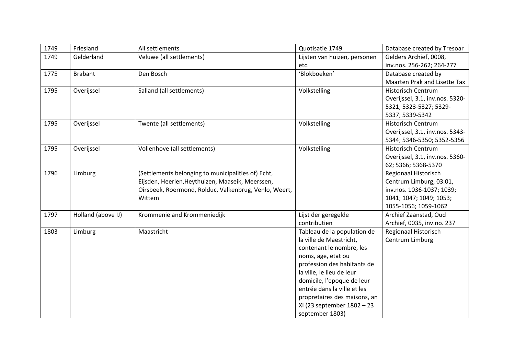| 1749 | Friesland          | All settlements                                       | Quotisatie 1749              | Database created by Tresoar     |
|------|--------------------|-------------------------------------------------------|------------------------------|---------------------------------|
| 1749 | Gelderland         | Veluwe (all settlements)                              | Lijsten van huizen, personen | Gelders Archief, 0008,          |
|      |                    |                                                       | etc.                         | inv.nos. 256-262; 264-277       |
| 1775 | <b>Brabant</b>     | Den Bosch                                             | 'Blokboeken'                 | Database created by             |
|      |                    |                                                       |                              | Maarten Prak and Lisette Tax    |
| 1795 | Overijssel         | Salland (all settlements)                             | Volkstelling                 | <b>Historisch Centrum</b>       |
|      |                    |                                                       |                              | Overijssel, 3.1, inv.nos. 5320- |
|      |                    |                                                       |                              | 5321; 5323-5327; 5329-          |
|      |                    |                                                       |                              | 5337; 5339-5342                 |
| 1795 | Overijssel         | Twente (all settlements)                              | Volkstelling                 | <b>Historisch Centrum</b>       |
|      |                    |                                                       |                              | Overijssel, 3.1, inv.nos. 5343- |
|      |                    |                                                       |                              | 5344; 5346-5350; 5352-5356      |
| 1795 | Overijssel         | Vollenhove (all settlements)                          | Volkstelling                 | <b>Historisch Centrum</b>       |
|      |                    |                                                       |                              | Overijssel, 3.1, inv.nos. 5360- |
|      |                    |                                                       |                              | 62; 5366; 5368-5370             |
| 1796 | Limburg            | (Settlements belonging to municipalities of) Echt,    |                              | Regionaal Historisch            |
|      |                    | Eijsden, Heerlen, Heythuizen, Maaseik, Meerssen,      |                              | Centrum Limburg, 03.01,         |
|      |                    | Oirsbeek, Roermond, Rolduc, Valkenbrug, Venlo, Weert, |                              | inv.nos. 1036-1037; 1039;       |
|      |                    | Wittem                                                |                              | 1041; 1047; 1049; 1053;         |
|      |                    |                                                       |                              | 1055-1056; 1059-1062            |
| 1797 | Holland (above IJ) | Krommenie and Krommeniedijk                           | Lijst der geregelde          | Archief Zaanstad, Oud           |
|      |                    |                                                       | contributien                 | Archief, 0035, inv.no. 237      |
| 1803 | Limburg            | Maastricht                                            | Tableau de la population de  | Regionaal Historisch            |
|      |                    |                                                       | la ville de Maestricht,      | Centrum Limburg                 |
|      |                    |                                                       | contenant le nombre, les     |                                 |
|      |                    |                                                       | noms, age, etat ou           |                                 |
|      |                    |                                                       | profession des habitants de  |                                 |
|      |                    |                                                       | la ville, le lieu de leur    |                                 |
|      |                    |                                                       | domicile, l'epoque de leur   |                                 |
|      |                    |                                                       | entrée dans la ville et les  |                                 |
|      |                    |                                                       | propretaires des maisons, an |                                 |
|      |                    |                                                       | XI (23 september 1802 - 23   |                                 |
|      |                    |                                                       | september 1803)              |                                 |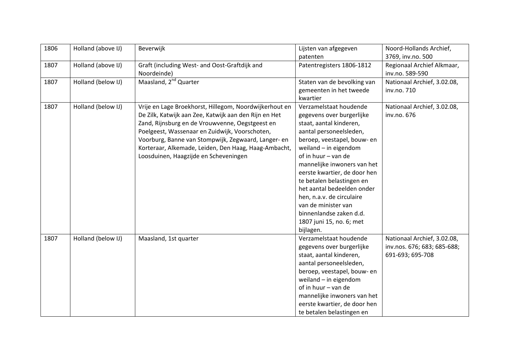| 1806 | Holland (above IJ) | Beverwijk                                              | Lijsten van afgegeven        | Noord-Hollands Archief,     |
|------|--------------------|--------------------------------------------------------|------------------------------|-----------------------------|
|      |                    |                                                        | patenten                     | 3769, inv.no. 500           |
| 1807 | Holland (above IJ) | Graft (including West- and Oost-Graftdijk and          | Patentregisters 1806-1812    | Regionaal Archief Alkmaar,  |
|      |                    | Noordeinde)                                            |                              | inv.no. 589-590             |
| 1807 | Holland (below IJ) | Maasland, 2 <sup>nd</sup> Quarter                      | Staten van de bevolking van  | Nationaal Archief, 3.02.08, |
|      |                    |                                                        | gemeenten in het tweede      | inv.no. 710                 |
|      |                    |                                                        | kwartier                     |                             |
| 1807 | Holland (below IJ) | Vrije en Lage Broekhorst, Hillegom, Noordwijkerhout en | Verzamelstaat houdende       | Nationaal Archief, 3.02.08, |
|      |                    | De Zilk, Katwijk aan Zee, Katwijk aan den Rijn en Het  | gegevens over burgerlijke    | inv.no. 676                 |
|      |                    | Zand, Rijnsburg en de Vrouwvenne, Oegstgeest en        | staat, aantal kinderen,      |                             |
|      |                    | Poelgeest, Wassenaar en Zuidwijk, Voorschoten,         | aantal personeelsleden,      |                             |
|      |                    | Voorburg, Banne van Stompwijk, Zegwaard, Langer- en    | beroep, veestapel, bouw- en  |                             |
|      |                    | Korteraar, Alkemade, Leiden, Den Haag, Haag-Ambacht,   | weiland $-$ in eigendom      |                             |
|      |                    | Loosduinen, Haagzijde en Scheveningen                  | of in huur - van de          |                             |
|      |                    |                                                        | mannelijke inwoners van het  |                             |
|      |                    |                                                        | eerste kwartier, de door hen |                             |
|      |                    |                                                        | te betalen belastingen en    |                             |
|      |                    |                                                        | het aantal bedeelden onder   |                             |
|      |                    |                                                        | hen, n.a.v. de circulaire    |                             |
|      |                    |                                                        | van de minister van          |                             |
|      |                    |                                                        | binnenlandse zaken d.d.      |                             |
|      |                    |                                                        | 1807 juni 15, no. 6; met     |                             |
|      |                    |                                                        | bijlagen.                    |                             |
| 1807 | Holland (below IJ) | Maasland, 1st quarter                                  | Verzamelstaat houdende       | Nationaal Archief, 3.02.08, |
|      |                    |                                                        | gegevens over burgerlijke    | inv.nos. 676; 683; 685-688; |
|      |                    |                                                        | staat, aantal kinderen,      | 691-693; 695-708            |
|      |                    |                                                        | aantal personeelsleden,      |                             |
|      |                    |                                                        | beroep, veestapel, bouw- en  |                             |
|      |                    |                                                        | weiland $-$ in eigendom      |                             |
|      |                    |                                                        | of in huur - van de          |                             |
|      |                    |                                                        | mannelijke inwoners van het  |                             |
|      |                    |                                                        | eerste kwartier, de door hen |                             |
|      |                    |                                                        | te betalen belastingen en    |                             |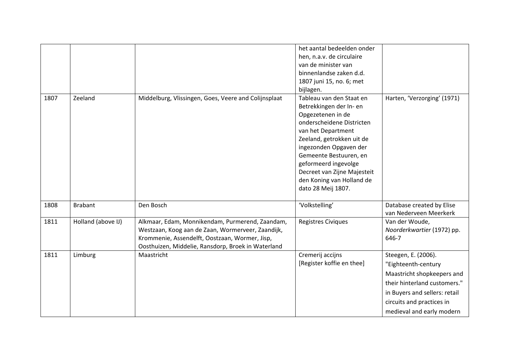|      |                    |                                                                                                                                                                                                              | het aantal bedeelden onder<br>hen, n.a.v. de circulaire<br>van de minister van<br>binnenlandse zaken d.d.<br>1807 juni 15, no. 6; met<br>bijlagen.                                                                                                                                                                     |                                                                                                                                                                                                     |
|------|--------------------|--------------------------------------------------------------------------------------------------------------------------------------------------------------------------------------------------------------|------------------------------------------------------------------------------------------------------------------------------------------------------------------------------------------------------------------------------------------------------------------------------------------------------------------------|-----------------------------------------------------------------------------------------------------------------------------------------------------------------------------------------------------|
| 1807 | Zeeland            | Middelburg, Vlissingen, Goes, Veere and Colijnsplaat                                                                                                                                                         | Tableau van den Staat en<br>Betrekkingen der In- en<br>Opgezetenen in de<br>onderscheidene Districten<br>van het Department<br>Zeeland, getrokken uit de<br>ingezonden Opgaven der<br>Gemeente Bestuuren, en<br>geformeerd ingevolge<br>Decreet van Zijne Majesteit<br>den Koning van Holland de<br>dato 28 Meij 1807. | Harten, 'Verzorging' (1971)                                                                                                                                                                         |
| 1808 | <b>Brabant</b>     | Den Bosch                                                                                                                                                                                                    | 'Volkstelling'                                                                                                                                                                                                                                                                                                         | Database created by Elise<br>van Nederveen Meerkerk                                                                                                                                                 |
| 1811 | Holland (above IJ) | Alkmaar, Edam, Monnikendam, Purmerend, Zaandam,<br>Westzaan, Koog aan de Zaan, Wormerveer, Zaandijk,<br>Krommenie, Assendelft, Oostzaan, Wormer, Jisp,<br>Oosthuizen, Middelie, Ransdorp, Broek in Waterland | <b>Registres Civiques</b>                                                                                                                                                                                                                                                                                              | Van der Woude,<br>Noorderkwartier (1972) pp.<br>646-7                                                                                                                                               |
| 1811 | Limburg            | Maastricht                                                                                                                                                                                                   | Cremerij accijns<br>[Register koffie en thee]                                                                                                                                                                                                                                                                          | Steegen, E. (2006).<br>"Eighteenth-century<br>Maastricht shopkeepers and<br>their hinterland customers."<br>in Buyers and sellers: retail<br>circuits and practices in<br>medieval and early modern |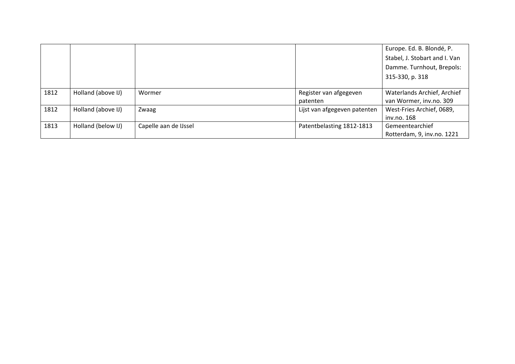|      |                    |                       |                              | Europe. Ed. B. Blondé, P.     |
|------|--------------------|-----------------------|------------------------------|-------------------------------|
|      |                    |                       |                              | Stabel, J. Stobart and I. Van |
|      |                    |                       |                              | Damme. Turnhout, Brepols:     |
|      |                    |                       |                              | 315-330, p. 318               |
|      |                    |                       |                              |                               |
| 1812 | Holland (above IJ) | Wormer                | Register van afgegeven       | Waterlands Archief, Archief   |
|      |                    |                       | patenten                     | van Wormer, inv.no. 309       |
| 1812 | Holland (above IJ) | Zwaag                 | Lijst van afgegeven patenten | West-Fries Archief, 0689,     |
|      |                    |                       |                              | inv.no. 168                   |
| 1813 | Holland (below IJ) | Capelle aan de IJssel | Patentbelasting 1812-1813    | Gemeentearchief               |
|      |                    |                       |                              | Rotterdam, 9, inv.no. 1221    |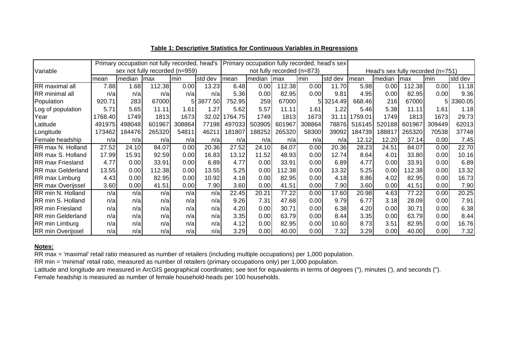|                          |         |        | Primary occupation not fully recorded, head's |        |         |                            |        |        |        | Primary occupation fully recorded, head's sex |         |                                   |        |        |         |  |  |
|--------------------------|---------|--------|-----------------------------------------------|--------|---------|----------------------------|--------|--------|--------|-----------------------------------------------|---------|-----------------------------------|--------|--------|---------|--|--|
| Variable                 |         |        | sex not fully recorded (n=959)                |        |         | not fully recorded (n=873) |        |        |        |                                               |         | Head's sex fully recorded (n=751) |        |        |         |  |  |
|                          | mean    | median | max                                           | min    | std dev | mean                       | median | max    | min    | std dev                                       | mean    | median                            | max    | min    | std dev |  |  |
| RR maximal all           | 7.88    | 1.68   | 112.38                                        | 0.00   | 13.23   | 6.48                       | 0.00   | 112.38 | 0.00   | 11.70                                         | 5.98    | 0.00                              | 112.38 | 0.00   | 11.18   |  |  |
| <b>RR</b> minimal all    | n/a     | n/a    | n/a                                           | n/a    | n/a     | 5.36                       | 0.00   | 82.95  | 0.00   | 9.81                                          | 4.95    | 0.00                              | 82.95  | 0.00   | 9.36    |  |  |
| Population               | 920.71  | 283    | 67000                                         | 51     | 3877.50 | 752.95                     | 259    | 67000  |        | 5 3214.49                                     | 668.46  | 216                               | 67000  | 5      | 3360.05 |  |  |
| Log of population        | 5.71    | 5.65   | 11.11                                         | 1.61   | 1.27    | 5.62                       | 5.57   | 11.11  | 1.61   | 1.22                                          | 5.46    | 5.38                              | 11.11l | 1.61   | 1.18    |  |  |
| Year                     | 1768.40 | 1749   | 1813                                          | 1673   | 32.02   | 764.75                     | 1749   | 1813   | 1673   | 31.11                                         | 1759.01 | 1749                              | 1813   | 1673   | 29.73   |  |  |
| Latitude                 | 491975  | 498048 | 601967                                        | 308864 | 77198   | 497033                     | 503905 | 601967 | 308864 | 78876                                         | 516145  | 520188                            | 601967 | 309449 | 62013   |  |  |
| Longitude                | 173462  | 184476 | 265320                                        | 54811  | 46211   | 181807                     | 188252 | 265320 | 58300  | 39092                                         | 184739  | 188817                            | 265320 | 70538  | 37748   |  |  |
| Female headship          | n/a     | n/a    | n/a                                           | n/a    | n/a     | n/a                        | n/a    | n/a    | n/a    | n/a                                           | 12.12   | 12.20                             | 37.14  | 0.00   | 7.45    |  |  |
| RR max N. Holland        | 27.52   | 24.10  | 84.07                                         | 0.00   | 20.36   | 27.52                      | 24.10  | 84.07  | 0.00   | 20.36                                         | 28.23   | 24.51                             | 84.07  | 0.00   | 22.70   |  |  |
| RR max S. Holland        | 17.99   | 15.91  | 92.59                                         | 0.00   | 16.83   | 13.12                      | 11.52  | 48.93  | 0.00   | 12.74                                         | 8.64    | 4.01                              | 33.80  | 0.00   | 10.16   |  |  |
| <b>RR max Friesland</b>  | 4.77    | 0.00   | 33.91                                         | 0.00   | 6.89    | 4.77                       | 0.00   | 33.91  | 0.00   | 6.89                                          | 4.77    | 0.00                              | 33.91  | 0.00   | 6.89    |  |  |
| <b>RR max Gelderland</b> | 13.55   | 0.00   | 112.38                                        | 0.00   | 13.55   | 5.25                       | 0.00   | 12.38  | 0.00   | 13.32                                         | 5.25    | 0.00                              | 112.38 | 0.00   | 13.32   |  |  |
| RR max Limburg           | 4.43    | 0.00   | 82.95                                         | 0.00   | 10.92   | 4.18                       | 0.00   | 82.95  | 0.00   | 4.18                                          | 8.86    | 4.02                              | 82.95  | 0.00   | 16.73   |  |  |
| <b>RR</b> max Overijssel | 3.60    | 0.00   | 41.51                                         | 0.00   | 7.90    | 3.60                       | 0.00   | 41.51  | 0.00   | 7.90                                          | 3.60    | 0.00                              | 41.51  | 0.00   | 7.90    |  |  |
| RR min N. Holland        | n/a     | n/a    | n/a                                           | n/a    | n/a     | 22.45                      | 20.21  | 77.22  | 0.00   | 17.60                                         | 20.98   | 4.63                              | 77.22  | 0.00   | 20.25   |  |  |
| RR min S. Holland        | n/a     | n/a    | n/a                                           | n/a    | n/a     | 9.26                       | 7.31   | 47.68  | 0.00   | 9.79                                          | 6.77    | 3.18                              | 28.09  | 0.00   | 7.91    |  |  |
| <b>RR min Friesland</b>  | n/a     | n/a    | n/a                                           | n/a    | n/a     | 4.20                       | 0.00   | 30.71  | 0.00   | 6.38                                          | 4.20    | 0.00                              | 30.71  | 0.00   | 6.38    |  |  |
| <b>RR min Gelderland</b> | n/a     | n/a    | n/a                                           | n/a    | n/a     | 3.35                       | 0.00   | 63.79  | 0.00   | 8.44                                          | 3.35    | 0.00                              | 63.79  | 0.00   | 8.44    |  |  |
| RR min Limburg           | n/a     | n/a    | n/a                                           | n/a    | n/a     | 4.12                       | 0.00   | 82.95  | 0.00   | 10.60                                         | 8.73    | 3.51                              | 82.95  | 0.00   | 16.76   |  |  |
| <b>RR</b> min Overijssel | n/a     | n/a    | n/a                                           | n/a    | n/a     | 3.29                       | 0.00   | 40.00  | 0.00   | 7.32                                          | 3.29    | 0.00                              | 40.00  | 0.00   | 7.32    |  |  |

#### **Table 1: Descriptive Statistics for Continuous Variables in Regressions**

#### **Notes:**

RR max = 'maximal' retail ratio measured as number of retailers (including multiple occupations) per 1,000 population.

RR min = 'minimal' retail ratio, measured as number of retailers (primary occupations only) per 1,000 population.

Latitude and longitude are measured in ArcGIS geographical coordinates; see text for equivalents in terms of degrees (°), minutes ('), and seconds ("). Female headship is measured as number of female household-heads per 100 households.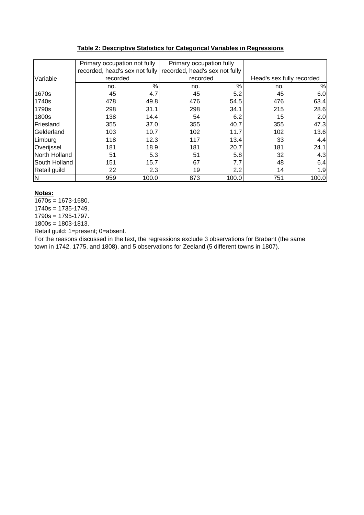## **Table 2: Descriptive Statistics for Categorical Variables in Regressions**

|               | Primary occupation not fully   |       | Primary occupation fully       |       |                           |       |  |
|---------------|--------------------------------|-------|--------------------------------|-------|---------------------------|-------|--|
|               | recorded, head's sex not fully |       | recorded, head's sex not fully |       |                           |       |  |
| Variable      | recorded                       |       | recorded                       |       | Head's sex fully recorded |       |  |
|               | no.                            | %     | no.                            | %     | no.                       | $\%$  |  |
| 1670s         | 45                             | 4.7   | 45                             | 5.2   | 45                        | 6.0   |  |
| 1740s         | 478                            | 49.8  | 476                            | 54.5  | 476                       | 63.4  |  |
| 1790s         | 298                            | 31.1  | 298                            | 34.1  | 215                       | 28.6  |  |
| 1800s         | 138                            | 14.4  | 54                             | 6.2   | 15                        | 2.0   |  |
| Friesland     | 355                            | 37.0  | 355                            | 40.7  | 355                       | 47.3  |  |
| Gelderland    | 103                            | 10.7  | 102                            | 11.7  | 102                       | 13.6  |  |
| Limburg       | 118                            | 12.3  | 117                            | 13.4  | 33                        | 4.4   |  |
| Overijssel    | 181                            | 18.9  | 181                            | 20.7  | 181                       | 24.1  |  |
| North Holland | 51                             | 5.3   | 51                             | 5.8   | 32                        | 4.3   |  |
| South Holland | 151                            | 15.7  | 67                             | 7.7   | 48                        | 6.4   |  |
| Retail guild  | 22                             | 2.3   | 19                             | 2.2   | 14                        | 1.9   |  |
| IN.           | 959                            | 100.0 | 873                            | 100.0 | 751                       | 100.0 |  |

**Notes:**

 $\overline{1670s}$  = 1673-1680.

 $1740s = 1735 - 1749.$ 

1790s = 1795-1797. 1800s = 1803-1813.

Retail guild: 1=present; 0=absent.

For the reasons discussed in the text, the regressions exclude 3 observations for Brabant (the same town in 1742, 1775, and 1808), and 5 observations for Zeeland (5 different towns in 1807).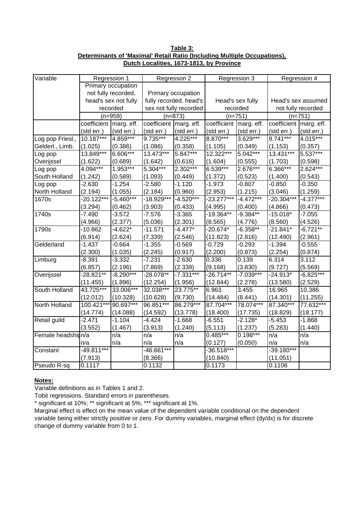**Table 3: Determinants of 'Maximal' Retail Ratio (Including Multiple Occupations), Dutch Localities, 1673-1813, by Province**

| Variable           |                        | Regression 1         |                        | Regresson 2            |                        | Regression 3     |                        | Regression 4 |  |
|--------------------|------------------------|----------------------|------------------------|------------------------|------------------------|------------------|------------------------|--------------|--|
|                    |                        | Primary occupation   |                        |                        |                        |                  |                        |              |  |
|                    |                        | not fully recorded,  |                        | Primary occupation     |                        |                  |                        |              |  |
|                    |                        | head's sex not fully |                        | fully recorded, head's |                        | Head's sex fully | Head's sex assumed     |              |  |
|                    |                        | recorded             |                        | sex not fully recorded |                        | recorded         | not fully recorded     |              |  |
|                    | $(n=959)$              |                      |                        | $(n=873)$              | $(n=751)$              |                  |                        | $(n=751)$    |  |
|                    | coefficient marg. eff. |                      | coefficient marg. eff. |                        | coefficient marg. eff. |                  | coefficient marg. eff. |              |  |
|                    | (std err.)             | (std err.)           | (std err.)             | (std err.)             | (std err.)             | (std err.)       | (std err.)             | (std err.)   |  |
| Log pop Friesl.,   | $10.187***$            | 4.859***             | 9.735***               | 4.225***               | 8.870***               | $3.629***$       | $9.741***$             | $4.015***$   |  |
| Gelderl., Limb.    | (1.025)                | (0.386)              | (1.086)                | (0.358)                | (1.105)                | (0.349)          | (1.153)                | (0.357)      |  |
| Log pop            | $13.849***$            | $6.606***$           | 13.473***              | $5.847***$             | 12.322***              | $5.042***$       | 13.431***              | $5.537***$   |  |
| Overijssel         | (1.622)                | (0.689)              | (1.642)                | (0.616)                | (1.604)                | (0.555)          | (1.703)                | (0.598)      |  |
| Log pop            | 4.094***               | $1.953***$           | $5.304***$             | 2.302***               | 6.539***               | 2.676***         | 6.366***               | 2.624***     |  |
| South Holland      | (1.242)                | (0.589)              | (1.093)                | (0.449)                | (1.372)                | (0.523)          | (1.400)                | (0.543)      |  |
| Log pop            | $-2.630$               | $-1.254$             | $-2.580$               | $-1.120$               | $-1.973$               | $-0.807$         | $-0.850$               | $-0.350$     |  |
| North Holland      | (2.194)                | (1.055)              | (2.184)                | (0.960)                | (2.953)                | (1.215)          | (3.046)                | (1.259)      |  |
| 1670s              | $-20.122***$           | $-5.460***$          | $-18.929***$           | $-4.520***$            | $-23.277***$           | $-4.472***$      | $-20.304***$           | $-4.377***$  |  |
|                    | (3.294)                | (0.462)              | (3.903)                | (0.433)                | (4.995)                | (0.400)          | (4.866)                | (0.473)      |  |
| 1740s              | $-7.490$               | $-3.572$             | $-7.576$               | $-3.365$               | $-19.364**$            | $-9.384**$       | $-15.018*$             | $-7.055$     |  |
|                    | (4.966)                | (2.377)              | (5.036)                | (2.301)                | (8.565)                | (4.776)          | (8.560)                | (4.526)      |  |
| 1790s              | $-10.862$              | $-4.622*$            | $-11.571$              | $-4.477*$              | $-20.674*$             | $-6.358**$       | $-21.841*$             | $-6.721**$   |  |
|                    | (6.914)                | (2.624)              | (7.339)                | (2.546)                | (11.823)               | (2.816)          | (12.490)               | (2.961)      |  |
| Gelderland         | $-1.437$               | $-0.664$             | $-1.355$               | $-0.569$               | $-0.729$               | $-0.293$         | $-1.394$               | $-0.555$     |  |
|                    | (2.300)                | (1.035)              | (2.245)                | (0.917)                | (2.200)                | (0.873)          | (2.254)                | (0.874)      |  |
| Limburg            | $-8.391$               | $-3.332$             | $-7.231$               | $-2.630$               | 0.336                  | 0.139            | 6.314                  | 3.112        |  |
|                    | (6.857)                | (2.196)              | (7.869)                | (2.339)                | (9.168)                | (3.830)          | (9.727)                | (5.569)      |  |
| Overijssel         | $-28.821**$            | $-8.290***$          | $-28.078**$            | $-7.331***$            | $-26.714**$            | $-7.039***$      | $-24.913*$             | $-6.825***$  |  |
|                    | (11.455)               | (1.896)              | (12.254)               | (1.956)                | (12.844)               | (2.278)          | (13.580)               | (2.529)      |  |
| South Holland      | 43.725***              | 33.006***            | 32.038***              | $23.775***$            | 6.963                  | 3.455            | 16.965                 | 10.386       |  |
|                    | (12.012)               | (10.328)             | (10.628)               | (9.730)                | (14.484)               | (8.441)          | (14.301)               | (11.255)     |  |
| North Holland      | 100.421***             | $90.697***$          | $96.851***$            | 86.279***              | 87.704***              | 78.074***        | 87.340***              | 77.632***    |  |
|                    | (14.774)               | (14.088)             | (14.592)               | (13.778)               | (18.400)               | (17.735)         | (18.829)               | (18.177)     |  |
| Retail guild       | $-2.471$               | $-1.104$             | $-4.424$               | $-1.668$               | $-6.551$               | $-2.128*$        | $-5.453$               | $-1.868$     |  |
|                    | (3.552)                | (1.467)              | (3.913)                | (1.240)                | (5.113)                | (1.237)          | (5.283)                | (1.440)      |  |
| Female headshipn/a |                        | n/a                  | n/a                    | n/a                    | $0.485***$             | $0.198***$       | n/a                    | n/a          |  |
|                    | n/a                    | n/a                  | n/a                    | n/a                    | (0.127)                | (0.050)          | n/a                    | n/a          |  |
| Constant           | $-49.811***$           |                      | $-46.661***$           |                        | $-36.518***$           |                  | $-39.180***$           |              |  |
|                    | (7.913)                |                      | (8.366)                |                        | (10.840)               |                  | (11.051)               |              |  |
| Pseudo R-sq        | 0.1117                 |                      | 0.1132                 |                        | 0.1173                 |                  | 0.1106                 |              |  |

# **Notes:**

Variable definitions as in Tables 1 and 2.

Tobit regressions. Standard errors in parentheses.

\* significant at 10%; \*\* significant at 5%; \*\*\* significant at 1%.

Marginal effect is effect on the mean value of the dependent variable conditional on the dependent variable being either strictly positive or zero. For dummy variables, marginal effect (dy/dx) is for discrete change of dummy variable from 0 to 1.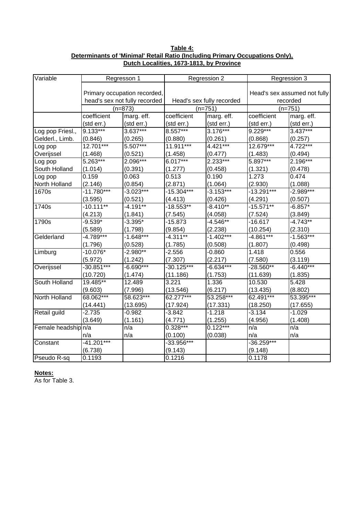**Table 4: Determinants of 'Minimal' Retail Ratio (Including Primary Occupations Only), Dutch Localities, 1673-1813, by Province**

| Variable            |              | Regresson 1                   |              | Regression 2              | Regression 3                 |             |  |
|---------------------|--------------|-------------------------------|--------------|---------------------------|------------------------------|-------------|--|
|                     |              |                               |              |                           |                              |             |  |
|                     |              | Primary occupation recorded,  |              |                           | Head's sex assumed not fully |             |  |
|                     |              | head's sex not fully recorded |              | Head's sex fully recorded |                              | recorded    |  |
|                     |              | $(n=873)$                     |              | $(n=751)$                 | $(n=751)$                    |             |  |
|                     | coefficient  | marg. eff.                    | coefficient  | marg. eff.                | coefficient                  | marg. eff.  |  |
|                     | (std err.)   | (std err.)                    | (std err.)   | (std err.)                | (std err.)                   | (std err.)  |  |
| Log pop Friesl.,    | $9.133***$   | $3.637***$                    | $8.557***$   | $3.176***$                | $9.229***$                   | $3.437***$  |  |
| Gelderl., Limb.     | (0.846)      | (0.265)                       | (0.880)      | (0.261)                   | (0.868)                      | (0.257)     |  |
| Log pop             | 12.701***    | $5.507***$                    | $11.911***$  | $4.421***$                | $12.679***$                  | 4.722***    |  |
| Overijssel          | (1.468)      | (0.521)                       | (1.458)      | (0.477)                   | (1.483)                      | (0.494)     |  |
| Log pop             | $5.263***$   | $2.096***$                    | $6.017***$   | $2.233***$                | $5.897***$                   | 2.196***    |  |
| South Holland       | (1.014)      | (0.391)                       | (1.277)      | (0.458)                   | (1.321)                      | (0.478)     |  |
| Log pop             | 0.159        | 0.063                         | 0.513        | 0.190                     | 1.273                        | 0.474       |  |
| North Holland       | (2.146)      | (0.854)                       | (2.871)      | (1.064)                   | (2.930)                      | (1.088)     |  |
| 1670s               | $-11.780***$ | $-3.023***$                   | $-15.304***$ | $-3.153***$               | $-13.291***$                 | $-2.989***$ |  |
|                     | (3.595)      | (0.521)                       | (4.413)      | (0.426)                   | (4.291)                      | (0.507)     |  |
| 1740s               | $-10.111**$  | $-4.191**$                    | $-18.553**$  | $-8.410**$                | $-15.571***$                 | $-6.857*$   |  |
|                     | (4.213)      | (1.841)                       | (7.545)      | (4.058)                   | (7.524)                      | (3.849)     |  |
| 1790s               | $-9.539*$    | $-3.395*$                     | $-15.873$    | $-4.546**$                | $-16.617$                    | $-4.743**$  |  |
|                     | (5.589)      | (1.798)                       | (9.854)      | (2.238)                   | (10.254)                     | (2.310)     |  |
| Gelderland          | $-4.789***$  | $-1.648***$                   | $-4.311**$   | $-1.402***$               | $-4.861***$                  | $-1.563***$ |  |
|                     | (1.796)      | (0.528)                       | (1.785)      | (0.508)                   | (1.807)                      | (0.498)     |  |
| Limburg             | $-10.076*$   | $-2.980**$                    | $-2.556$     | $-0.860$                  | 1.418                        | 0.556       |  |
|                     | (5.972)      | (1.242)                       | (7.307)      | (2.217)                   | (7.580)                      | (3.119)     |  |
| Overijssel          | $-30.851***$ | $-6.690***$                   | $-30.125***$ | $-6.634***$               | $-28.560**$                  | $-6.440***$ |  |
|                     | (10.720)     | (1.474)                       | (11.186)     | (1.753)                   | (11.639)                     | (1.835)     |  |
| South Holland       | $19.485**$   | 12.489                        | 3.221        | 1.336                     | 10.530                       | 5.428       |  |
|                     | (9.603)      | (7.996)                       | (13.546)     | (6.217)                   | (13.435)                     | (8.802)     |  |
| North Holland       | 68.062***    | 58.623***                     | 62.277***    | $53.258***$               | 62.491***                    | 53.395***   |  |
|                     | (14.441)     | (13.695)                      | (17.924)     | (17.331)                  | (18.250)                     | (17.655)    |  |
| Retail guild        | $-2.735$     | $-0.982$                      | $-3.842$     | $-1.218$                  | $-3.134$                     | $-1.029$    |  |
|                     | (3.649)      | (1.161)                       | (4.771)      | (1.255)                   | (4.956)                      | (1.408)     |  |
| Female headship n/a |              | n/a                           | 0.328***     | $0.122***$                | n/a                          | n/a         |  |
|                     | n/a          | n/a                           | (0.100)      | (0.038)                   | n/a                          | n/a         |  |
| Constant            | $-41.201***$ |                               | $-33.956***$ |                           | $-36.259***$                 |             |  |
|                     | (6.738)      |                               | (9.143)      |                           | (9.148)                      |             |  |
| Pseudo R-sq         | 0.1193       |                               | 0.1216       |                           | 0.1178                       |             |  |

## **Notes:**

As for Table 3.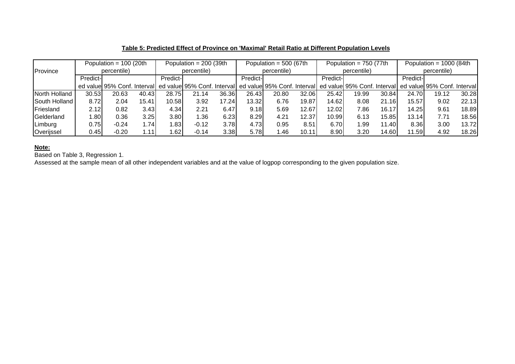|               |             | Population = $100$ (20th    |       |                  | Population = $200$ (39th    |       | Population = $500$ (67th |                                                         |       |                  | Population = $750$ (77th |       | Population = $1000$ (84th |                             |       |
|---------------|-------------|-----------------------------|-------|------------------|-----------------------------|-------|--------------------------|---------------------------------------------------------|-------|------------------|--------------------------|-------|---------------------------|-----------------------------|-------|
| Province      | percentile) |                             |       | percentile)      |                             |       | percentile)              |                                                         |       |                  | percentile)              |       | percentile)               |                             |       |
|               | Predict-    |                             |       | <b>Predict-I</b> |                             |       | Predict-                 |                                                         |       | <b>Predict-I</b> |                          |       | <b>Predict-</b>           |                             |       |
|               |             | ed value 95% Conf. Interval |       |                  | ed value 95% Conf. Interval |       |                          | ed value 95% Conf. Interval ed value 95% Conf. Interval |       |                  |                          |       |                           | ed value 95% Conf. Interval |       |
| North Holland | 30.53       | 20.63                       | 40.43 | 28.75            | 21.14                       | 36.36 | 26.43                    | 20.80                                                   | 32.06 | 25.42            | 19.99                    | 30.84 | 24.70                     | 19.12                       | 30.28 |
| South Holland | 8.72        | 2.04                        | 15.41 | 10.58            | 3.92                        | 17.24 | 13.32                    | 6.76                                                    | 19.87 | 14.62            | 8.08                     | 21.16 | 15.57                     | 9.02                        | 22.13 |
| Friesland     | 2.12        | 0.82                        | 3.43  | 4.34             | 2.21                        | 6.47  | 9.18                     | 5.69                                                    | 12.67 | 12.02            | 7.86                     | 16.17 | 14.25                     | 9.61                        | 18.89 |
| Gelderland    | .80         | 0.36                        | 3.25  | 3.80             | 1.36                        | 6.23  | 8.29                     | 4.21                                                    | 12.37 | 10.99            | 6.13                     | 15.85 | 13.14                     | 7.7'                        | 18.56 |
| Limburg       | 0.75        | $-0.24$                     | .74   | .83              | $-0.12$                     | 3.78  | 4.73                     | 0.95                                                    | 8.51  | 6.70             | ⊦.99                     | 11.40 | 8.36                      | 3.00                        | 13.72 |
| Overijssel    | 0.45        | $-0.20$                     | ' 11. | .62              | $-0.14$                     | 3.38  | 5.78                     | .46                                                     | 10.11 | 8.90             | 3.20                     | 14.60 | 11.59                     | 4.92                        | 18.26 |

## **Table 5: Predicted Effect of Province on 'Maximal' Retail Ratio at Different Population Levels**

**Note:** Based on Table 3, Regression 1.

Assessed at the sample mean of all other independent variables and at the value of logpop corresponding to the given population size.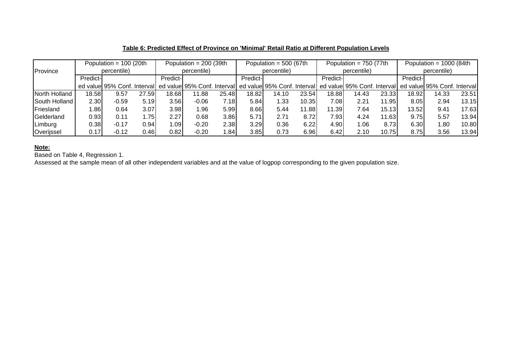|               |             | Population = $100$ (20th      |       | Population = $200$ (39th |                             |         | Population = $500$ (67th |                                                                                     |       |          | Population = $750$ (77th |       | Population = $1000$ (84th |       |       |
|---------------|-------------|-------------------------------|-------|--------------------------|-----------------------------|---------|--------------------------|-------------------------------------------------------------------------------------|-------|----------|--------------------------|-------|---------------------------|-------|-------|
| Province      | percentile) |                               |       | percentile)              |                             |         | percentile)              |                                                                                     |       |          | percentile)              |       | percentile)               |       |       |
|               | Predict-    |                               |       | Predict-                 |                             |         | Predict-                 |                                                                                     |       | Predict- |                          |       | Predict-                  |       |       |
|               |             | ed valuel 95% Conf. Intervall |       |                          | ed value 95% Conf. Interval |         |                          | ed value 95% Conf. Interval ed value 95% Conf. Interval ed value 95% Conf. Interval |       |          |                          |       |                           |       |       |
| North Holland | 18.58       | 9.57                          | 27.59 | 18.68                    | 11.88                       | 25.48   | 18.82                    | 14.10                                                                               | 23.54 | 18.88    | 14.43                    | 23.33 | 18.92                     | 14.33 | 23.51 |
| South Holland | 2.30        | $-0.59$                       | 5.19  | 3.56                     | $-0.06$                     | 7.18I   | 5.84                     | 1.33                                                                                | 10.35 | 7.08     | 2.21                     | 11.95 | 8.05                      | 2.94  | 13.15 |
| Friesland     | .86         | 0.64                          | 3.07  | 3.98                     | 1.96                        | 5.99    | 8.66                     | 5.44                                                                                | 11.88 | 11.39    | 7.64                     | 15.13 | 13.52                     | 9.41  | 17.63 |
| Gelderland    | 0.93        | 0.11                          | .75   | 2.27                     | 0.68                        | 3.86    | 5.71                     | 2.71                                                                                | 8.72  | 7.93     | 4.24                     | 11.63 | 9.75                      | 5.57  | 13.94 |
| Limburg       | 0.38        | $-0.17$                       | 0.94  | 1.09                     | $-0.20$                     | 2.38    | 3.29                     | 0.36                                                                                | 6.22  | 4.90     | 1.06                     | 8.73  | 6.30                      | 1.80  | 10.80 |
| Overijssel    | 0.17        | $-0.12$                       | 0.46  | 0.82                     | $-0.20$                     | ا 84. ا | 3.85                     | 0.73                                                                                | 6.96  | 6.42     | 2.10                     | 10.75 | 8.75                      | 3.56  | 13.94 |

## **Table 6: Predicted Effect of Province on 'Minimal' Retail Ratio at Different Population Levels**

**Note:** Based on Table 4, Regression 1.

Assessed at the sample mean of all other independent variables and at the value of logpop corresponding to the given population size.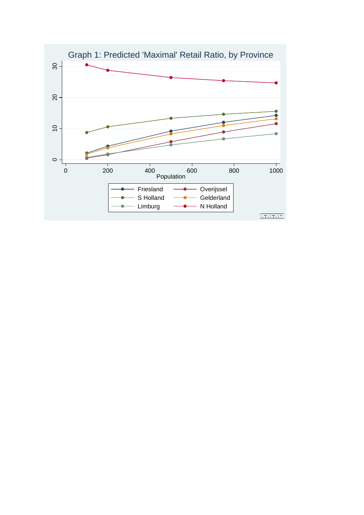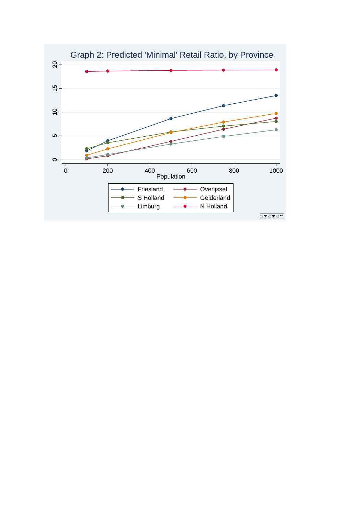